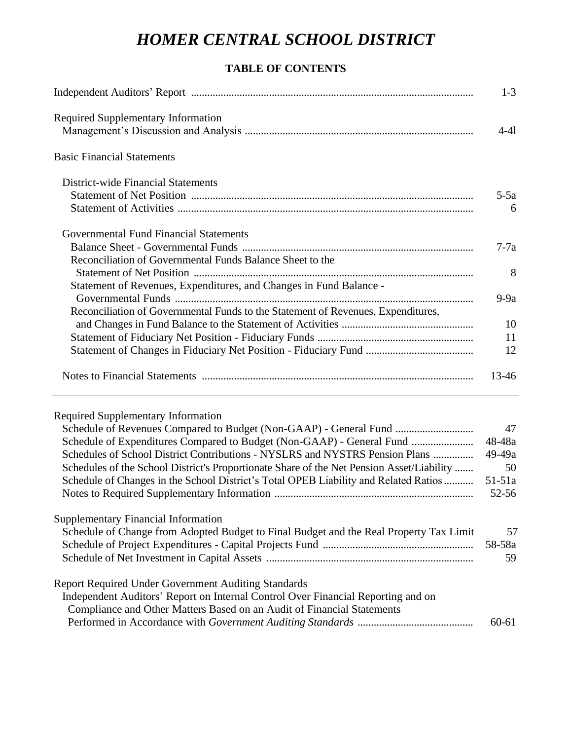## **TABLE OF CONTENTS**

|                                                                                           | $1-3$             |
|-------------------------------------------------------------------------------------------|-------------------|
| <b>Required Supplementary Information</b>                                                 |                   |
|                                                                                           | $4-41$            |
| <b>Basic Financial Statements</b>                                                         |                   |
| District-wide Financial Statements                                                        |                   |
|                                                                                           | $5-5a$            |
|                                                                                           | 6                 |
| Governmental Fund Financial Statements                                                    |                   |
|                                                                                           | $7-7a$            |
| Reconciliation of Governmental Funds Balance Sheet to the                                 |                   |
|                                                                                           | 8                 |
| Statement of Revenues, Expenditures, and Changes in Fund Balance -                        |                   |
|                                                                                           | $9-9a$            |
| Reconciliation of Governmental Funds to the Statement of Revenues, Expenditures,          |                   |
|                                                                                           | 10                |
|                                                                                           | 11                |
|                                                                                           | 12                |
|                                                                                           | 13-46             |
|                                                                                           |                   |
| <b>Required Supplementary Information</b>                                                 |                   |
| Schedule of Revenues Compared to Budget (Non-GAAP) - General Fund                         | 47                |
| Schedule of Expenditures Compared to Budget (Non-GAAP) - General Fund                     | 48-48a            |
| Schedules of School District Contributions - NYSLRS and NYSTRS Pension Plans              | $49-49a$          |
| Schedules of the School District's Proportionate Share of the Net Pension Asset/Liability | 50                |
| Schedule of Changes in the School District's Total OPEB Liability and Related Ratios      | $51-51a$<br>52-56 |
| <b>Supplementary Financial Information</b>                                                |                   |
| Schedule of Change from Adopted Budget to Final Budget and the Real Property Tax Limit    | 57                |
|                                                                                           | 58-58a            |
|                                                                                           | 59                |
| <b>Report Required Under Government Auditing Standards</b>                                |                   |
| Independent Auditors' Report on Internal Control Over Financial Reporting and on          |                   |
| Compliance and Other Matters Based on an Audit of Financial Statements                    |                   |
|                                                                                           | $60 - 61$         |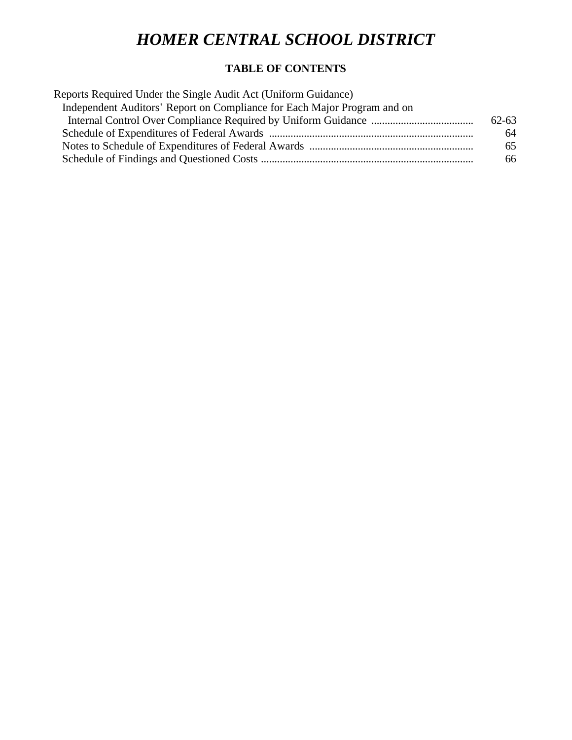## **TABLE OF CONTENTS**

| Reports Required Under the Single Audit Act (Uniform Guidance)           |           |
|--------------------------------------------------------------------------|-----------|
| Independent Auditors' Report on Compliance for Each Major Program and on |           |
|                                                                          | $62 - 63$ |
|                                                                          | 64        |
|                                                                          | 65        |
|                                                                          | 66        |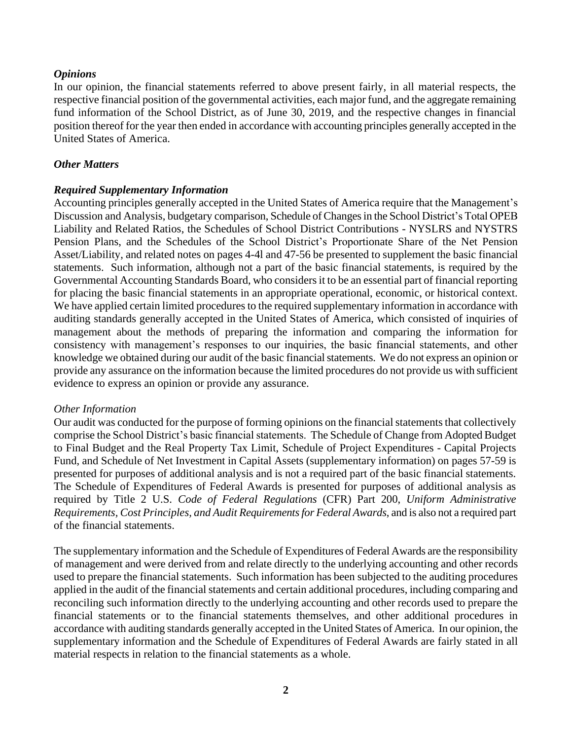### *Opinions*

In our opinion, the financial statements referred to above present fairly, in all material respects, the respective financial position of the governmental activities, each major fund, and the aggregate remaining fund information of the School District, as of June 30, 2019, and the respective changes in financial position thereof for the year then ended in accordance with accounting principles generally accepted in the United States of America.

#### *Other Matters*

### *Required Supplementary Information*

Accounting principles generally accepted in the United States of America require that the Management's Discussion and Analysis, budgetary comparison, Schedule of Changes in the School District's Total OPEB Liability and Related Ratios, the Schedules of School District Contributions - NYSLRS and NYSTRS Pension Plans, and the Schedules of the School District's Proportionate Share of the Net Pension Asset/Liability, and related notes on pages 4-4l and 47-56 be presented to supplement the basic financial statements. Such information, although not a part of the basic financial statements, is required by the Governmental Accounting Standards Board, who considers it to be an essential part of financial reporting for placing the basic financial statements in an appropriate operational, economic, or historical context. We have applied certain limited procedures to the required supplementary information in accordance with auditing standards generally accepted in the United States of America, which consisted of inquiries of management about the methods of preparing the information and comparing the information for consistency with management's responses to our inquiries, the basic financial statements, and other knowledge we obtained during our audit of the basic financial statements. We do not express an opinion or provide any assurance on the information because the limited procedures do not provide us with sufficient evidence to express an opinion or provide any assurance.

#### *Other Information*

Our audit was conducted for the purpose of forming opinions on the financial statements that collectively comprise the School District's basic financial statements. The Schedule of Change from Adopted Budget to Final Budget and the Real Property Tax Limit, Schedule of Project Expenditures - Capital Projects Fund, and Schedule of Net Investment in Capital Assets (supplementary information) on pages 57-59 is presented for purposes of additional analysis and is not a required part of the basic financial statements. The Schedule of Expenditures of Federal Awards is presented for purposes of additional analysis as required by Title 2 U.S. *Code of Federal Regulations* (CFR) Part 200, *Uniform Administrative Requirements, Cost Principles, and Audit Requirements for Federal Awards*, and is also not a required part of the financial statements.

The supplementary information and the Schedule of Expenditures of Federal Awards are the responsibility of management and were derived from and relate directly to the underlying accounting and other records used to prepare the financial statements. Such information has been subjected to the auditing procedures applied in the audit of the financial statements and certain additional procedures, including comparing and reconciling such information directly to the underlying accounting and other records used to prepare the financial statements or to the financial statements themselves, and other additional procedures in accordance with auditing standards generally accepted in the United States of America. In our opinion, the supplementary information and the Schedule of Expenditures of Federal Awards are fairly stated in all material respects in relation to the financial statements as a whole.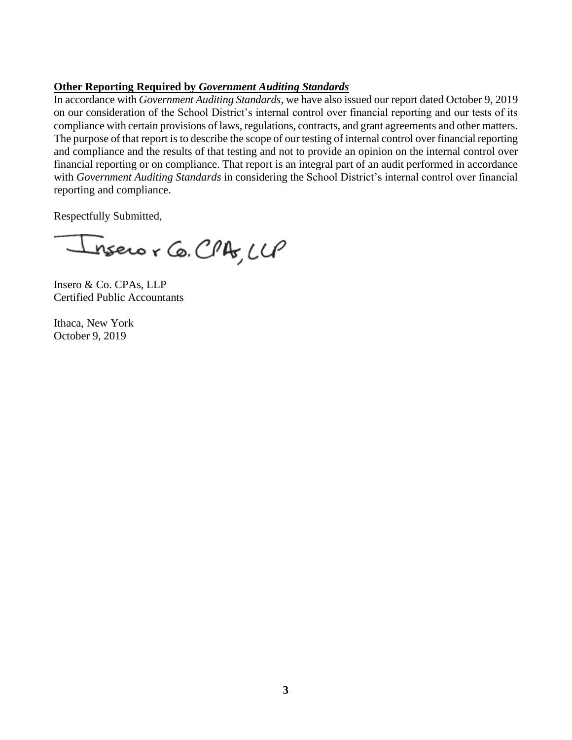## **Other Reporting Required by** *Government Auditing Standards*

In accordance with *Government Auditing Standards*, we have also issued our report dated October 9, 2019 on our consideration of the School District's internal control over financial reporting and our tests of its compliance with certain provisions of laws, regulations, contracts, and grant agreements and other matters. The purpose of that report is to describe the scope of our testing of internal control over financial reporting and compliance and the results of that testing and not to provide an opinion on the internal control over financial reporting or on compliance. That report is an integral part of an audit performed in accordance with *Government Auditing Standards* in considering the School District's internal control over financial reporting and compliance.

Respectfully Submitted,

nsero r Co. CPA, LLP

Insero & Co. CPAs, LLP Certified Public Accountants

Ithaca, New York October 9, 2019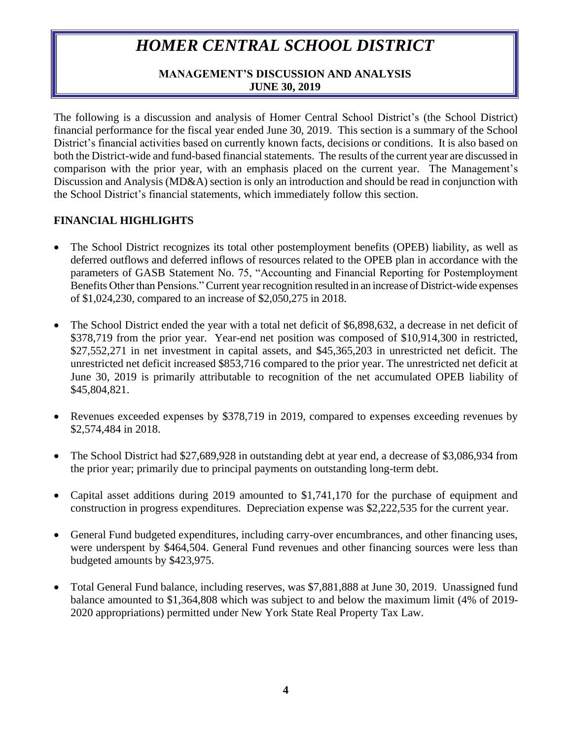## **MANAGEMENT'S DISCUSSION AND ANALYSIS JUNE 30, 2019**

The following is a discussion and analysis of Homer Central School District's (the School District) financial performance for the fiscal year ended June 30, 2019. This section is a summary of the School District's financial activities based on currently known facts, decisions or conditions. It is also based on both the District-wide and fund-based financial statements. The results of the current year are discussed in comparison with the prior year, with an emphasis placed on the current year. The Management's Discussion and Analysis (MD&A) section is only an introduction and should be read in conjunction with the School District's financial statements, which immediately follow this section.

## **FINANCIAL HIGHLIGHTS**

- The School District recognizes its total other postemployment benefits (OPEB) liability, as well as deferred outflows and deferred inflows of resources related to the OPEB plan in accordance with the parameters of GASB Statement No. 75, "Accounting and Financial Reporting for Postemployment Benefits Other than Pensions." Current year recognition resulted in an increase of District-wide expenses of \$1,024,230, compared to an increase of \$2,050,275 in 2018.
- The School District ended the year with a total net deficit of \$6,898,632, a decrease in net deficit of \$378,719 from the prior year. Year-end net position was composed of \$10,914,300 in restricted, \$27,552,271 in net investment in capital assets, and \$45,365,203 in unrestricted net deficit. The unrestricted net deficit increased \$853,716 compared to the prior year. The unrestricted net deficit at June 30, 2019 is primarily attributable to recognition of the net accumulated OPEB liability of \$45,804,821.
- Revenues exceeded expenses by \$378,719 in 2019, compared to expenses exceeding revenues by \$2,574,484 in 2018.
- The School District had \$27,689,928 in outstanding debt at year end, a decrease of \$3,086,934 from the prior year; primarily due to principal payments on outstanding long-term debt.
- Capital asset additions during 2019 amounted to \$1,741,170 for the purchase of equipment and construction in progress expenditures. Depreciation expense was \$2,222,535 for the current year.
- General Fund budgeted expenditures, including carry-over encumbrances, and other financing uses, were underspent by \$464,504. General Fund revenues and other financing sources were less than budgeted amounts by \$423,975.
- Total General Fund balance, including reserves, was \$7,881,888 at June 30, 2019. Unassigned fund balance amounted to \$1,364,808 which was subject to and below the maximum limit (4% of 2019- 2020 appropriations) permitted under New York State Real Property Tax Law.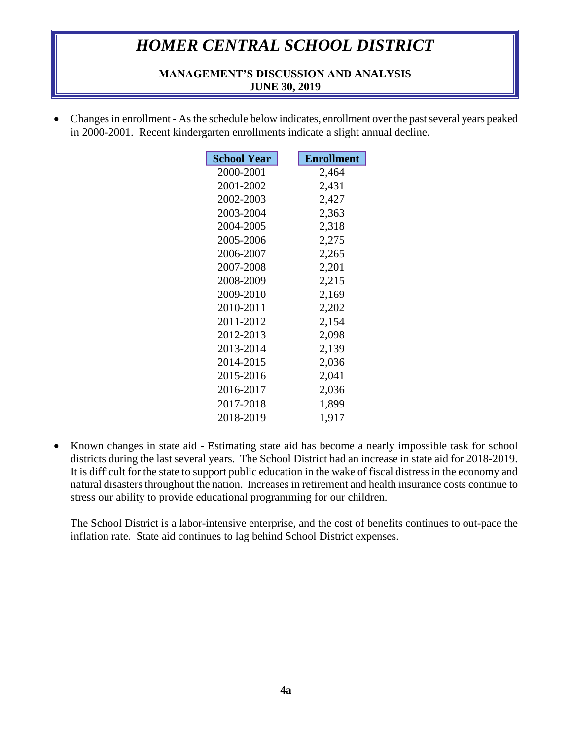### **MANAGEMENT'S DISCUSSION AND ANALYSIS JUNE 30, 2019**

• Changes in enrollment - As the schedule below indicates, enrollment over the past several years peaked in 2000-2001. Recent kindergarten enrollments indicate a slight annual decline.

| <b>School Year</b> | <b>Enrollment</b> |
|--------------------|-------------------|
| 2000-2001          | 2,464             |
| 2001-2002          | 2,431             |
| 2002-2003          | 2,427             |
| 2003-2004          | 2,363             |
| 2004-2005          | 2,318             |
| 2005-2006          | 2,275             |
| 2006-2007          | 2,265             |
| 2007-2008          | 2,201             |
| 2008-2009          | 2,215             |
| 2009-2010          | 2,169             |
| 2010-2011          | 2,202             |
| 2011-2012          | 2,154             |
| 2012-2013          | 2,098             |
| 2013-2014          | 2,139             |
| 2014-2015          | 2,036             |
| 2015-2016          | 2,041             |
| 2016-2017          | 2,036             |
| 2017-2018          | 1,899             |
| 2018-2019          | 1,917             |

• Known changes in state aid - Estimating state aid has become a nearly impossible task for school districts during the last several years. The School District had an increase in state aid for 2018-2019. It is difficult for the state to support public education in the wake of fiscal distress in the economy and natural disasters throughout the nation. Increases in retirement and health insurance costs continue to stress our ability to provide educational programming for our children.

The School District is a labor-intensive enterprise, and the cost of benefits continues to out-pace the inflation rate. State aid continues to lag behind School District expenses.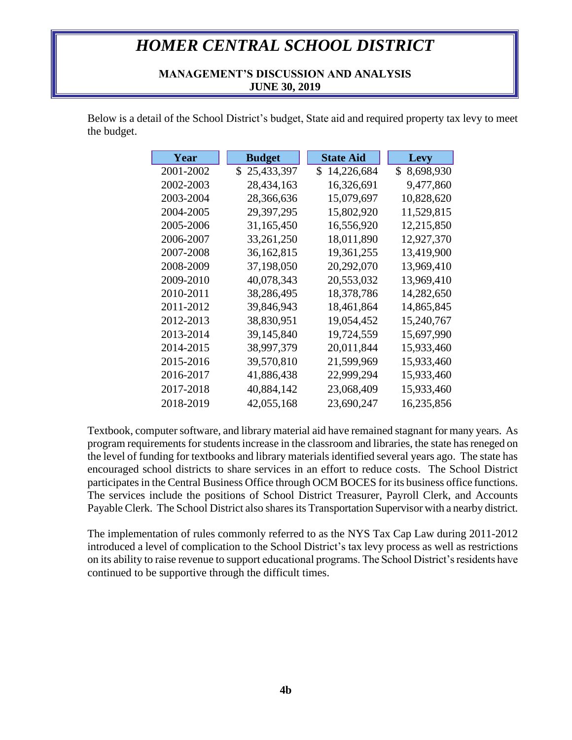### **MANAGEMENT'S DISCUSSION AND ANALYSIS JUNE 30, 2019**

Below is a detail of the School District's budget, State aid and required property tax levy to meet the budget.

| Year      | <b>Budget</b> | <b>State Aid</b> | <b>Levy</b>  |
|-----------|---------------|------------------|--------------|
| 2001-2002 | \$25,433,397  | S.<br>14,226,684 | \$ 8,698,930 |
| 2002-2003 | 28,434,163    | 16,326,691       | 9,477,860    |
| 2003-2004 | 28,366,636    | 15,079,697       | 10,828,620   |
| 2004-2005 | 29,397,295    | 15,802,920       | 11,529,815   |
| 2005-2006 | 31,165,450    | 16,556,920       | 12,215,850   |
| 2006-2007 | 33,261,250    | 18,011,890       | 12,927,370   |
| 2007-2008 | 36,162,815    | 19,361,255       | 13,419,900   |
| 2008-2009 | 37,198,050    | 20,292,070       | 13,969,410   |
| 2009-2010 | 40,078,343    | 20,553,032       | 13,969,410   |
| 2010-2011 | 38,286,495    | 18,378,786       | 14,282,650   |
| 2011-2012 | 39,846,943    | 18,461,864       | 14,865,845   |
| 2012-2013 | 38,830,951    | 19,054,452       | 15,240,767   |
| 2013-2014 | 39,145,840    | 19,724,559       | 15,697,990   |
| 2014-2015 | 38,997,379    | 20,011,844       | 15,933,460   |
| 2015-2016 | 39,570,810    | 21,599,969       | 15,933,460   |
| 2016-2017 | 41,886,438    | 22,999,294       | 15,933,460   |
| 2017-2018 | 40,884,142    | 23,068,409       | 15,933,460   |
| 2018-2019 | 42,055,168    | 23,690,247       | 16,235,856   |

Textbook, computer software, and library material aid have remained stagnant for many years. As program requirements for students increase in the classroom and libraries, the state has reneged on the level of funding for textbooks and library materials identified several years ago. The state has encouraged school districts to share services in an effort to reduce costs. The School District participates in the Central Business Office through OCM BOCES for its business office functions. The services include the positions of School District Treasurer, Payroll Clerk, and Accounts Payable Clerk. The School District also shares its Transportation Supervisor with a nearby district.

The implementation of rules commonly referred to as the NYS Tax Cap Law during 2011-2012 introduced a level of complication to the School District's tax levy process as well as restrictions on its ability to raise revenue to support educational programs. The School District's residents have continued to be supportive through the difficult times.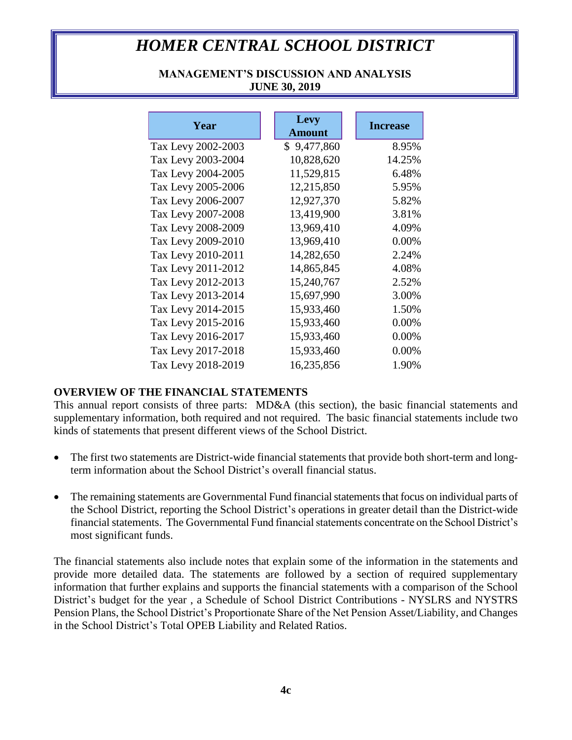## **MANAGEMENT'S DISCUSSION AND ANALYSIS JUNE 30, 2019**

| Year               | Levy<br><b>Amount</b> | <b>Increase</b> |
|--------------------|-----------------------|-----------------|
| Tax Levy 2002-2003 | \$9,477,860           | 8.95%           |
| Tax Levy 2003-2004 | 10,828,620            | 14.25%          |
| Tax Levy 2004-2005 | 11,529,815            | 6.48%           |
| Tax Levy 2005-2006 | 12,215,850            | 5.95%           |
| Tax Levy 2006-2007 | 12,927,370            | 5.82%           |
| Tax Levy 2007-2008 | 13,419,900            | 3.81%           |
| Tax Levy 2008-2009 | 13,969,410            | 4.09%           |
| Tax Levy 2009-2010 | 13,969,410            | 0.00%           |
| Tax Levy 2010-2011 | 14,282,650            | 2.24%           |
| Tax Levy 2011-2012 | 14,865,845            | 4.08%           |
| Tax Levy 2012-2013 | 15,240,767            | 2.52%           |
| Tax Levy 2013-2014 | 15,697,990            | 3.00%           |
| Tax Levy 2014-2015 | 15,933,460            | 1.50%           |
| Tax Levy 2015-2016 | 15,933,460            | 0.00%           |
| Tax Levy 2016-2017 | 15,933,460            | 0.00%           |
| Tax Levy 2017-2018 | 15,933,460            | 0.00%           |
| Tax Levy 2018-2019 | 16,235,856            | 1.90%           |

## **OVERVIEW OF THE FINANCIAL STATEMENTS**

This annual report consists of three parts: MD&A (this section), the basic financial statements and supplementary information, both required and not required. The basic financial statements include two kinds of statements that present different views of the School District.

- The first two statements are District-wide financial statements that provide both short-term and longterm information about the School District's overall financial status.
- The remaining statements are Governmental Fund financial statements that focus on individual parts of the School District, reporting the School District's operations in greater detail than the District-wide financial statements. The Governmental Fund financial statements concentrate on the School District's most significant funds.

The financial statements also include notes that explain some of the information in the statements and provide more detailed data. The statements are followed by a section of required supplementary information that further explains and supports the financial statements with a comparison of the School District's budget for the year , a Schedule of School District Contributions - NYSLRS and NYSTRS Pension Plans, the School District's Proportionate Share of the Net Pension Asset/Liability, and Changes in the School District's Total OPEB Liability and Related Ratios.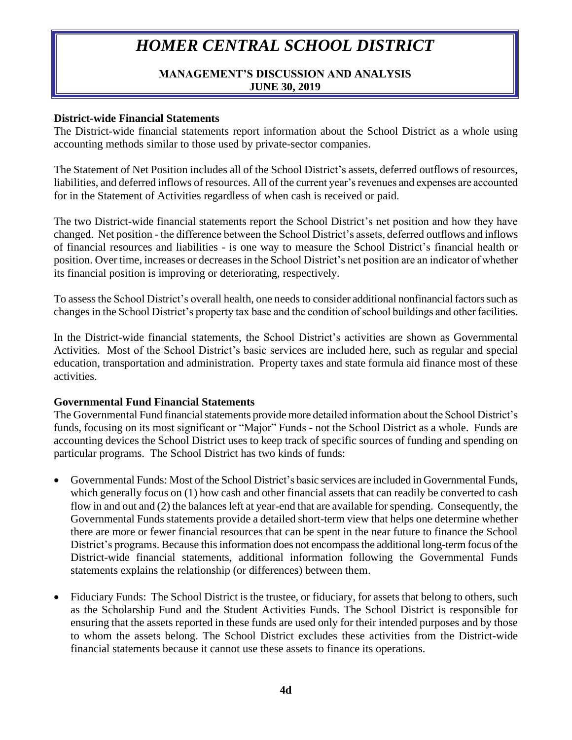### **MANAGEMENT'S DISCUSSION AND ANALYSIS JUNE 30, 2019**

### **District-wide Financial Statements**

The District-wide financial statements report information about the School District as a whole using accounting methods similar to those used by private-sector companies.

The Statement of Net Position includes all of the School District's assets, deferred outflows of resources, liabilities, and deferred inflows of resources. All of the current year's revenues and expenses are accounted for in the Statement of Activities regardless of when cash is received or paid.

The two District-wide financial statements report the School District's net position and how they have changed. Net position - the difference between the School District's assets, deferred outflows and inflows of financial resources and liabilities - is one way to measure the School District's financial health or position. Over time, increases or decreases in the School District's net position are an indicator of whether its financial position is improving or deteriorating, respectively.

To assess the School District's overall health, one needs to consider additional nonfinancial factors such as changes in the School District's property tax base and the condition of school buildings and other facilities.

In the District-wide financial statements, the School District's activities are shown as Governmental Activities. Most of the School District's basic services are included here, such as regular and special education, transportation and administration. Property taxes and state formula aid finance most of these activities.

### **Governmental Fund Financial Statements**

The Governmental Fund financial statements provide more detailed information about the School District's funds, focusing on its most significant or "Major" Funds - not the School District as a whole. Funds are accounting devices the School District uses to keep track of specific sources of funding and spending on particular programs. The School District has two kinds of funds:

- Governmental Funds: Most of the School District's basic services are included in Governmental Funds, which generally focus on (1) how cash and other financial assets that can readily be converted to cash flow in and out and (2) the balances left at year-end that are available for spending. Consequently, the Governmental Funds statements provide a detailed short-term view that helps one determine whether there are more or fewer financial resources that can be spent in the near future to finance the School District's programs. Because this information does not encompass the additional long-term focus of the District-wide financial statements, additional information following the Governmental Funds statements explains the relationship (or differences) between them.
- Fiduciary Funds: The School District is the trustee, or fiduciary, for assets that belong to others, such as the Scholarship Fund and the Student Activities Funds. The School District is responsible for ensuring that the assets reported in these funds are used only for their intended purposes and by those to whom the assets belong. The School District excludes these activities from the District-wide financial statements because it cannot use these assets to finance its operations.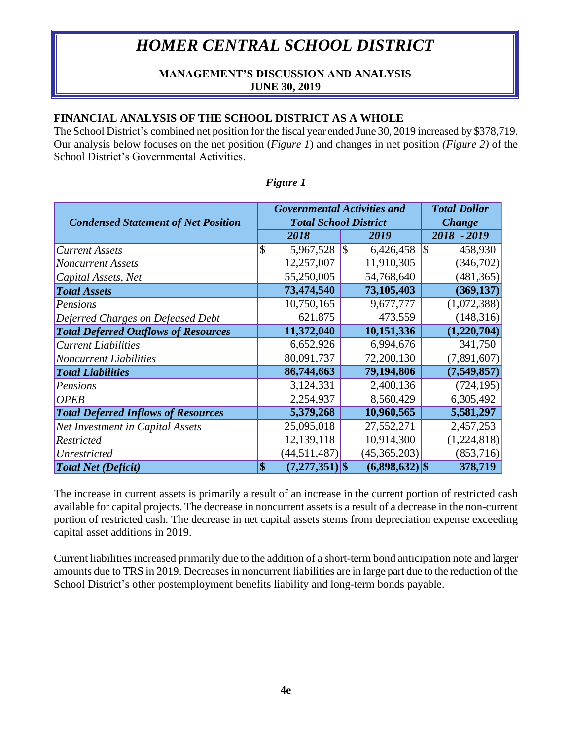## **MANAGEMENT'S DISCUSSION AND ANALYSIS JUNE 30, 2019**

## **FINANCIAL ANALYSIS OF THE SCHOOL DISTRICT AS A WHOLE**

The School District's combined net position for the fiscal year ended June 30, 2019 increased by \$378,719. Our analysis below focuses on the net position (*Figure 1*) and changes in net position *(Figure 2)* of the School District's Governmental Activities.

| <b>Total Dollar</b><br><b>Governmental Activities and</b> |                          |                              |               |                  |                |  |  |  |  |  |
|-----------------------------------------------------------|--------------------------|------------------------------|---------------|------------------|----------------|--|--|--|--|--|
| <b>Condensed Statement of Net Position</b>                |                          | <b>Total School District</b> | <b>Change</b> |                  |                |  |  |  |  |  |
|                                                           |                          | 2018                         |               | 2019             | 2018 - 2019    |  |  |  |  |  |
| <b>Current Assets</b>                                     | $\overline{\mathcal{S}}$ | 5,967,528                    | \$            | 6,426,458        | 1\$<br>458,930 |  |  |  |  |  |
| <b>Noncurrent Assets</b>                                  |                          | 12,257,007                   |               | 11,910,305       | (346,702)      |  |  |  |  |  |
| Capital Assets, Net                                       |                          | 55,250,005                   |               | 54,768,640       | (481, 365)     |  |  |  |  |  |
| <b>Total Assets</b>                                       |                          | 73,474,540                   |               | 73,105,403       | (369, 137)     |  |  |  |  |  |
| Pensions                                                  |                          | 10,750,165                   |               | 9,677,777        | (1,072,388)    |  |  |  |  |  |
| Deferred Charges on Defeased Debt                         |                          | 621,875                      |               | 473,559          | (148, 316)     |  |  |  |  |  |
| <b>Total Deferred Outflows of Resources</b>               |                          | 11,372,040                   |               | 10,151,336       | (1,220,704)    |  |  |  |  |  |
| <b>Current Liabilities</b>                                |                          | 6,652,926                    |               | 6,994,676        | 341,750        |  |  |  |  |  |
| <b>Noncurrent Liabilities</b>                             |                          | 80,091,737                   |               | 72,200,130       | (7,891,607)    |  |  |  |  |  |
| <b>Total Liabilities</b>                                  |                          | 86,744,663                   |               | 79,194,806       | (7, 549, 857)  |  |  |  |  |  |
| Pensions                                                  |                          | 3,124,331                    |               | 2,400,136        | (724, 195)     |  |  |  |  |  |
| <b>OPEB</b>                                               |                          | 2,254,937                    |               | 8,560,429        | 6,305,492      |  |  |  |  |  |
| <b>Total Deferred Inflows of Resources</b>                |                          | 5,379,268                    |               | 10,960,565       | 5,581,297      |  |  |  |  |  |
| Net Investment in Capital Assets                          |                          | 25,095,018                   |               | 27,552,271       | 2,457,253      |  |  |  |  |  |
| <b>Restricted</b>                                         |                          | 12,139,118                   |               | 10,914,300       | (1,224,818)    |  |  |  |  |  |
| Unrestricted                                              |                          | (44, 511, 487)               |               | (45,365,203)     | (853, 716)     |  |  |  |  |  |
| <b>Total Net (Deficit)</b>                                | \$                       | $(7,277,351)$ \$             |               | $(6,898,632)$ \$ | 378,719        |  |  |  |  |  |

### *Figure 1*

The increase in current assets is primarily a result of an increase in the current portion of restricted cash available for capital projects. The decrease in noncurrent assets is a result of a decrease in the non-current portion of restricted cash. The decrease in net capital assets stems from depreciation expense exceeding capital asset additions in 2019.

Current liabilities increased primarily due to the addition of a short-term bond anticipation note and larger amounts due to TRS in 2019. Decreases in noncurrent liabilities are in large part due to the reduction of the School District's other postemployment benefits liability and long-term bonds payable.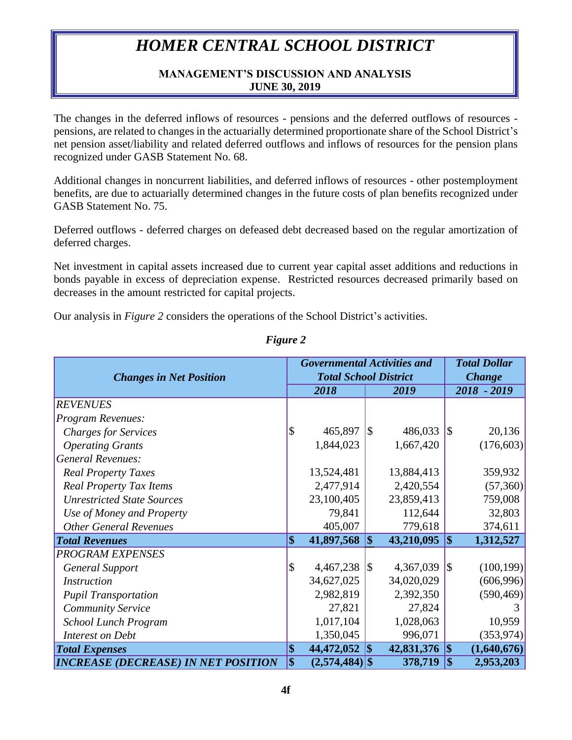## **MANAGEMENT'S DISCUSSION AND ANALYSIS JUNE 30, 2019**

The changes in the deferred inflows of resources - pensions and the deferred outflows of resources pensions, are related to changes in the actuarially determined proportionate share of the School District's net pension asset/liability and related deferred outflows and inflows of resources for the pension plans recognized under GASB Statement No. 68.

Additional changes in noncurrent liabilities, and deferred inflows of resources - other postemployment benefits, are due to actuarially determined changes in the future costs of plan benefits recognized under GASB Statement No. 75.

Deferred outflows - deferred charges on defeased debt decreased based on the regular amortization of deferred charges.

Net investment in capital assets increased due to current year capital asset additions and reductions in bonds payable in excess of depreciation expense. Restricted resources decreased primarily based on decreases in the amount restricted for capital projects.

Our analysis in *Figure 2* considers the operations of the School District's activities.

|                                            |                           | <b>Governmental Activities and</b> | <b>Total Dollar</b> |            |             |             |  |
|--------------------------------------------|---------------------------|------------------------------------|---------------------|------------|-------------|-------------|--|
| <b>Changes in Net Position</b>             |                           | <b>Total School District</b>       | <b>Change</b>       |            |             |             |  |
|                                            |                           | 2018                               |                     | 2019       | 2018 - 2019 |             |  |
| <b>REVENUES</b>                            |                           |                                    |                     |            |             |             |  |
| Program Revenues:                          |                           |                                    |                     |            |             |             |  |
| <b>Charges for Services</b>                | $\boldsymbol{\mathsf{S}}$ | 465,897                            | 5                   | 486,033    | $\sqrt{3}$  | 20,136      |  |
| <b>Operating Grants</b>                    |                           | 1,844,023                          |                     | 1,667,420  |             | (176,603)   |  |
| <b>General Revenues:</b>                   |                           |                                    |                     |            |             |             |  |
| <b>Real Property Taxes</b>                 |                           | 13,524,481                         |                     | 13,884,413 |             | 359,932     |  |
| <b>Real Property Tax Items</b>             |                           | 2,477,914                          |                     | 2,420,554  |             | (57,360)    |  |
| <b>Unrestricted State Sources</b>          |                           | 23,100,405                         |                     | 23,859,413 |             | 759,008     |  |
| Use of Money and Property                  |                           | 79,841                             |                     | 112,644    |             | 32,803      |  |
| <b>Other General Revenues</b>              |                           | 405,007                            |                     | 779,618    |             | 374,611     |  |
| <b>Total Revenues</b>                      | $\vert \$\$               | 41,897,568                         | 5                   | 43,210,095 | $\sqrt{5}$  | 1,312,527   |  |
| <b>PROGRAM EXPENSES</b>                    |                           |                                    |                     |            |             |             |  |
| <b>General Support</b>                     | $\boldsymbol{\mathsf{S}}$ | 4,467,238                          | $\sqrt{3}$          | 4,367,039  | $\sqrt{3}$  | (100, 199)  |  |
| <i>Instruction</i>                         |                           | 34,627,025                         |                     | 34,020,029 |             | (606,996)   |  |
| <b>Pupil Transportation</b>                |                           | 2,982,819                          |                     | 2,392,350  |             | (590, 469)  |  |
| Community Service                          |                           | 27,821                             |                     | 27,824     |             |             |  |
| School Lunch Program                       |                           | 1,017,104                          |                     | 1,028,063  |             | 10,959      |  |
| Interest on Debt                           |                           | 1,350,045                          |                     | 996,071    |             | (353, 974)  |  |
| <b>Total Expenses</b>                      | $\vert \$\$               | 44,472,052                         | \$                  | 42,831,376 | $\vert$ \$  | (1,640,676) |  |
| <b>INCREASE (DECREASE) IN NET POSITION</b> | $\overline{\$}$           | $(2,574,484)$ \$                   |                     | 378,719    |             | 2,953,203   |  |

## *Figure 2*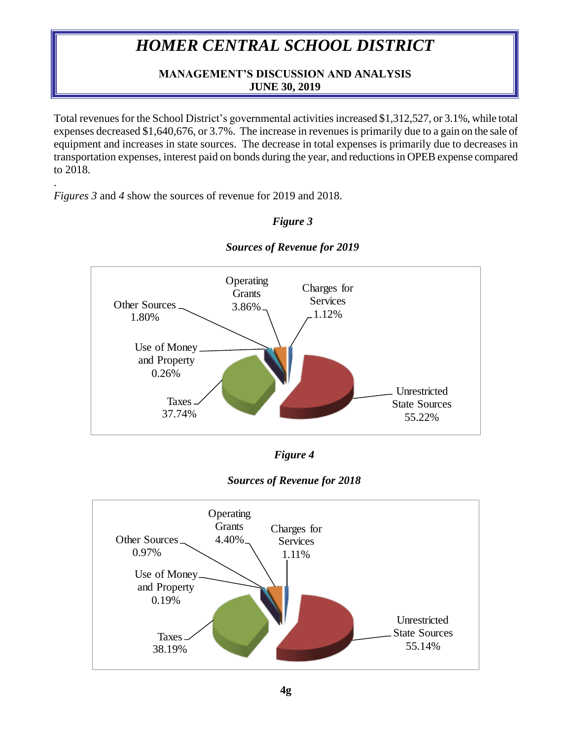## **MANAGEMENT'S DISCUSSION AND ANALYSIS JUNE 30, 2019**

Total revenues for the School District's governmental activities increased \$1,312,527, or 3.1%, while total expenses decreased \$1,640,676, or 3.7%. The increase in revenues is primarily due to a gain on the sale of equipment and increases in state sources. The decrease in total expenses is primarily due to decreases in transportation expenses, interest paid on bonds during the year, and reductions in OPEB expense compared to 2018.

*Figures 3* and *4* show the sources of revenue for 2019 and 2018.

.

## *Figure 3*



*Sources of Revenue for 2019*

|  | r igure | 4 |
|--|---------|---|
|--|---------|---|



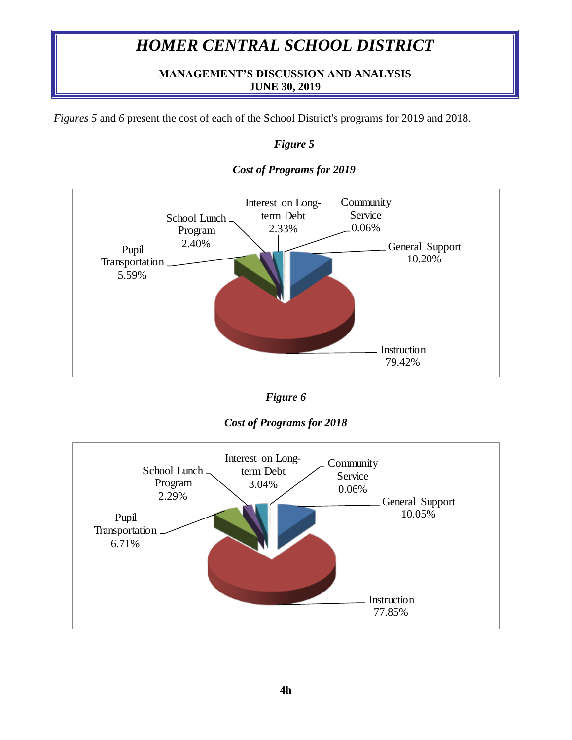## **MANAGEMENT'S DISCUSSION AND ANALYSIS JUNE 30, 2019**

*Figures 5* and *6* present the cost of each of the School District's programs for 2019 and 2018.

## *Figure 5*



### *Cost of Programs for 2019*





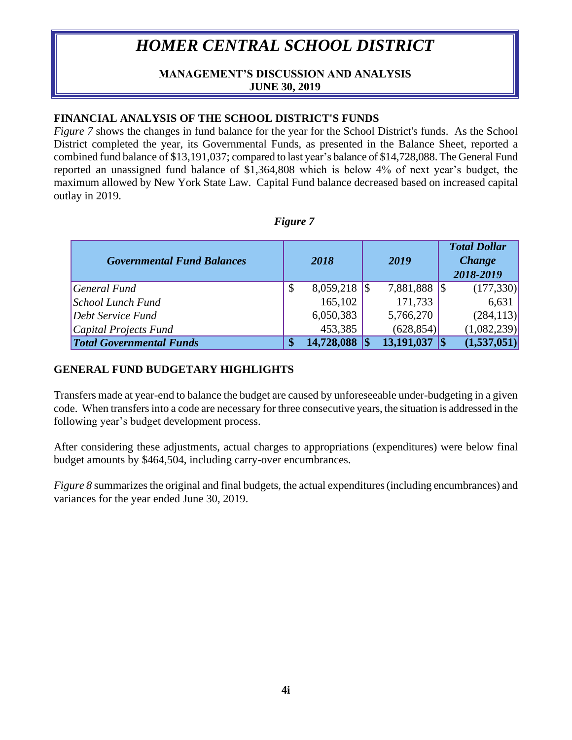### **MANAGEMENT'S DISCUSSION AND ANALYSIS JUNE 30, 2019**

### **FINANCIAL ANALYSIS OF THE SCHOOL DISTRICT'S FUNDS**

*Figure* 7 shows the changes in fund balance for the year for the School District's funds. As the School District completed the year, its Governmental Funds, as presented in the Balance Sheet, reported a combined fund balance of \$13,191,037; compared to last year's balance of \$14,728,088. The General Fund reported an unassigned fund balance of \$1,364,808 which is below 4% of next year's budget, the maximum allowed by New York State Law. Capital Fund balance decreased based on increased capital outlay in 2019.

| wur<br>v |  |
|----------|--|
|----------|--|

| <b>Governmental Fund Balances</b> | 2018             | 2019         | <b>Total Dollar</b><br><b>Change</b><br>2018-2019 |
|-----------------------------------|------------------|--------------|---------------------------------------------------|
| General Fund                      | \$               | 7,881,888 \$ | (177, 330)                                        |
| School Lunch Fund                 | 165,102          | 171,733      | 6,631                                             |
| Debt Service Fund                 | 6,050,383        | 5,766,270    | (284, 113)                                        |
| Capital Projects Fund             | 453,385          | (628, 854)   | (1,082,239)                                       |
| <b>Total Governmental Funds</b>   | \$<br>14,728,088 | 13,191,037   | (1,537,051)                                       |

### **GENERAL FUND BUDGETARY HIGHLIGHTS**

Transfers made at year-end to balance the budget are caused by unforeseeable under-budgeting in a given code. When transfers into a code are necessary for three consecutive years, the situation is addressed in the following year's budget development process.

After considering these adjustments, actual charges to appropriations (expenditures) were below final budget amounts by \$464,504, including carry-over encumbrances.

*Figure 8* summarizes the original and final budgets, the actual expenditures (including encumbrances) and variances for the year ended June 30, 2019.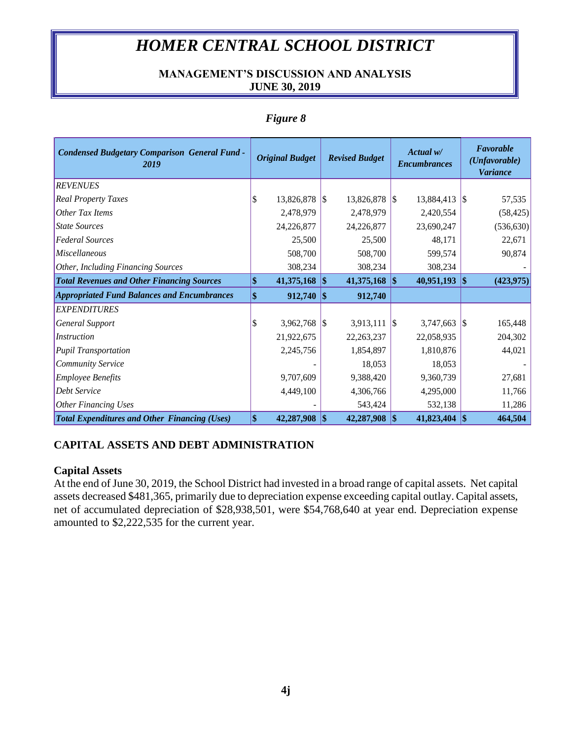## **MANAGEMENT'S DISCUSSION AND ANALYSIS JUNE 30, 2019**

| <b>Condensed Budgetary Comparison General Fund -</b><br>2019 | <b>Original Budget</b> |                     | <b>Revised Budget</b> |               | Actual w/<br><b>Encumbrances</b> |            |            | Favorable<br>(Unfavorable)<br><b>Variance</b> |
|--------------------------------------------------------------|------------------------|---------------------|-----------------------|---------------|----------------------------------|------------|------------|-----------------------------------------------|
| <b>REVENUES</b>                                              |                        |                     |                       |               |                                  |            |            |                                               |
| <b>Real Property Taxes</b>                                   |                        | $13,826,878$ \\ \\$ |                       | 13,826,878 \$ |                                  | 13,884,413 |            | 57,535                                        |
| Other Tax Items                                              |                        | 2,478,979           |                       | 2,478,979     |                                  | 2,420,554  |            | (58, 425)                                     |
| <b>State Sources</b>                                         |                        | 24,226,877          |                       | 24,226,877    |                                  | 23,690,247 |            | (536, 630)                                    |
| <b>Federal Sources</b>                                       |                        | 25,500              |                       | 25,500        |                                  | 48,171     |            | 22,671                                        |
| <i>Miscellaneous</i>                                         |                        | 508,700             |                       | 508,700       |                                  | 599,574    |            | 90,874                                        |
| Other, Including Financing Sources                           |                        | 308,234             |                       | 308,234       |                                  | 308,234    |            |                                               |
| <b>Total Revenues and Other Financing Sources</b>            |                        | 41,375,168          | <b>S</b>              | 41,375,168    | $\vert$ \$                       | 40,951,193 | 1\$        | (423, 975)                                    |
| <b>Appropriated Fund Balances and Encumbrances</b>           |                        | 912,740             | 1\$                   | 912,740       |                                  |            |            |                                               |
| <b>EXPENDITURES</b>                                          |                        |                     |                       |               |                                  |            |            |                                               |
| General Support                                              |                        | 3,962,768 $\vert \$ |                       | 3,913,111     | $\sqrt{3}$                       | 3,747,663  |            | 165,448                                       |
| Instruction                                                  |                        | 21,922,675          |                       | 22, 263, 237  |                                  | 22,058,935 |            | 204,302                                       |
| <b>Pupil Transportation</b>                                  |                        | 2,245,756           |                       | 1,854,897     |                                  | 1,810,876  |            | 44,021                                        |
| Community Service                                            |                        |                     |                       | 18,053        |                                  | 18,053     |            |                                               |
| <b>Employee Benefits</b>                                     |                        | 9,707,609           |                       | 9,388,420     |                                  | 9,360,739  |            | 27,681                                        |
| <b>Debt Service</b>                                          |                        | 4,449,100           |                       | 4,306,766     |                                  | 4,295,000  |            | 11,766                                        |
| <b>Other Financing Uses</b>                                  |                        |                     |                       | 543,424       |                                  | 532,138    |            | 11,286                                        |
| <b>Total Expenditures and Other Financing (Uses)</b>         | \$                     | 42,287,908          | 1\$                   | 42,287,908    | $\vert \mathbf{\$}$              | 41,823,404 | $\vert$ \$ | 464,504                                       |

### *Figure 8*

## **CAPITAL ASSETS AND DEBT ADMINISTRATION**

### **Capital Assets**

At the end of June 30, 2019, the School District had invested in a broad range of capital assets. Net capital assets decreased \$481,365, primarily due to depreciation expense exceeding capital outlay. Capital assets, net of accumulated depreciation of \$28,938,501, were \$54,768,640 at year end. Depreciation expense amounted to \$2,222,535 for the current year.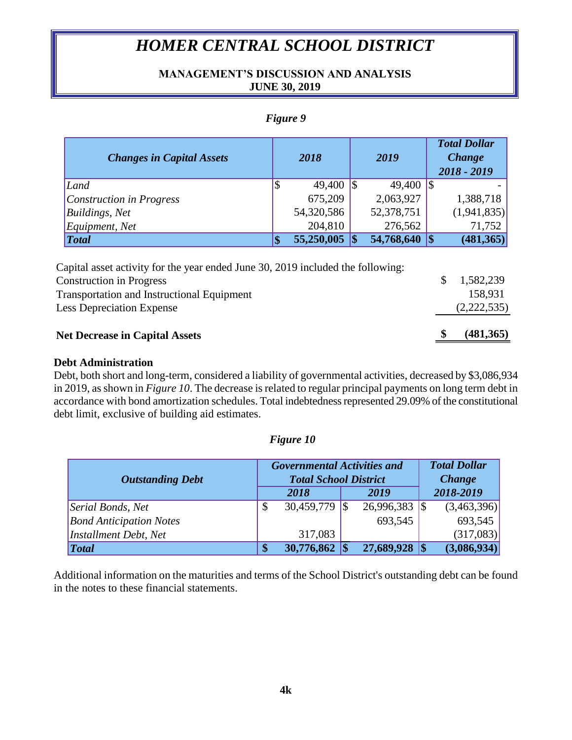### **MANAGEMENT'S DISCUSSION AND ANALYSIS JUNE 30, 2019**

### *Figure 9*

| <b>Changes in Capital Assets</b> |         | 2018       | 2019             |                 | <b>Total Dollar</b><br><b>Change</b><br>2018 - 2019 |
|----------------------------------|---------|------------|------------------|-----------------|-----------------------------------------------------|
| Land                             |         | 49,400     | 49,400           | $\overline{15}$ |                                                     |
| Construction in Progress         |         | 675,209    | 2,063,927        |                 | 1,388,718                                           |
| Buildings, Net                   |         | 54,320,586 | 52,378,751       |                 | (1,941,835)                                         |
| Equipment, Net                   |         | 204,810    | 276,562          |                 | 71,752                                              |
| $\vert Total$                    | œ<br>LЮ | 55,250,005 | 54,768,640 \\ \$ |                 | (481, 365)                                          |

| <b>Net Decrease in Capital Assets</b>                                           |     | (481,365)   |
|---------------------------------------------------------------------------------|-----|-------------|
| <b>Less Depreciation Expense</b>                                                |     | (2,222,535) |
| <b>Transportation and Instructional Equipment</b>                               |     | 158.931     |
| <b>Construction in Progress</b>                                                 | SS. | 1,582,239   |
| Capital asset activity for the year ended June 30, 2019 included the following: |     |             |

### **Debt Administration**

Debt, both short and long-term, considered a liability of governmental activities, decreased by \$3,086,934 in 2019, as shown in *Figure 10*. The decrease is related to regular principal payments on long term debt in accordance with bond amortization schedules. Total indebtedness represented 29.09% of the constitutional debt limit, exclusive of building aid estimates.

### *Figure 10*

|                                | <b>Governmental Activities and</b><br><b>Total School District</b> |                     | <b>Total Dollar</b> |                            |
|--------------------------------|--------------------------------------------------------------------|---------------------|---------------------|----------------------------|
| <b>Outstanding Debt</b>        |                                                                    | 2018                | 2019                | <b>Change</b><br>2018-2019 |
|                                |                                                                    |                     |                     |                            |
| Serial Bonds, Net              | \$                                                                 | $30,459,779$ \\ \\$ |                     | (3,463,396)                |
| <b>Bond Anticipation Notes</b> |                                                                    |                     | 693,545             | 693,545                    |
| Installment Debt, Net          |                                                                    | 317,083             |                     | (317,083)                  |
| <b>Total</b>                   | S                                                                  | 30,776,862          | 27,689,928          | (3,086,934)                |

Additional information on the maturities and terms of the School District's outstanding debt can be found in the notes to these financial statements.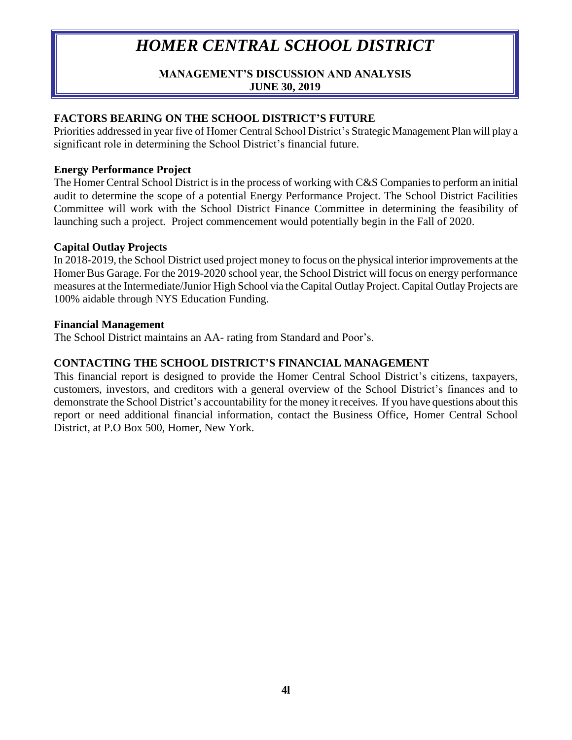## **MANAGEMENT'S DISCUSSION AND ANALYSIS JUNE 30, 2019**

## **FACTORS BEARING ON THE SCHOOL DISTRICT'S FUTURE**

Priorities addressed in year five of Homer Central School District's Strategic Management Plan will play a significant role in determining the School District's financial future.

### **Energy Performance Project**

The Homer Central School District is in the process of working with C&S Companies to perform an initial audit to determine the scope of a potential Energy Performance Project. The School District Facilities Committee will work with the School District Finance Committee in determining the feasibility of launching such a project. Project commencement would potentially begin in the Fall of 2020.

### **Capital Outlay Projects**

In 2018-2019, the School District used project money to focus on the physical interior improvements at the Homer Bus Garage. For the 2019-2020 school year, the School District will focus on energy performance measures at the Intermediate/Junior High School via the Capital Outlay Project. Capital Outlay Projects are 100% aidable through NYS Education Funding.

### **Financial Management**

The School District maintains an AA- rating from Standard and Poor's.

## **CONTACTING THE SCHOOL DISTRICT'S FINANCIAL MANAGEMENT**

This financial report is designed to provide the Homer Central School District's citizens, taxpayers, customers, investors, and creditors with a general overview of the School District's finances and to demonstrate the School District's accountability for the money it receives. If you have questions about this report or need additional financial information, contact the Business Office, Homer Central School District, at P.O Box 500, Homer, New York.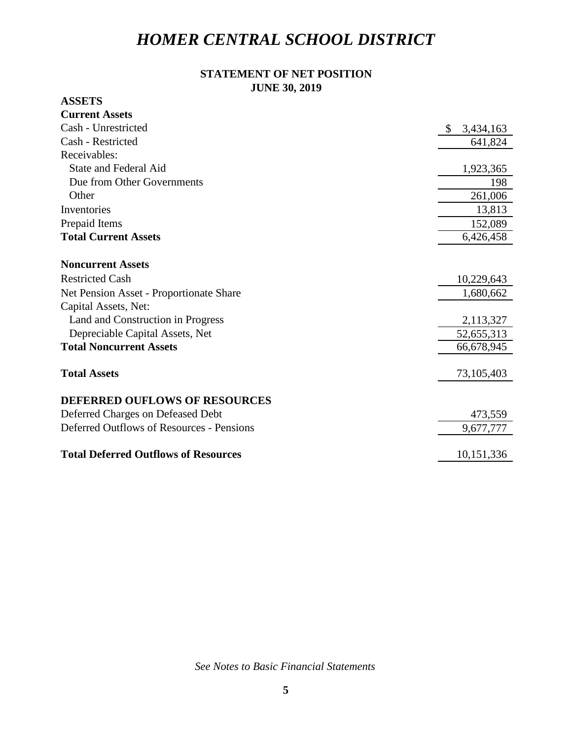## **STATEMENT OF NET POSITION JUNE 30, 2019**

## **ASSETS**

| <b>Current Assets</b>                       |                 |
|---------------------------------------------|-----------------|
| Cash - Unrestricted                         | 3,434,163<br>\$ |
| Cash - Restricted                           | 641,824         |
| Receivables:                                |                 |
| <b>State and Federal Aid</b>                | 1,923,365       |
| Due from Other Governments                  | 198             |
| Other                                       | 261,006         |
| Inventories                                 | 13,813          |
| Prepaid Items                               | 152,089         |
| <b>Total Current Assets</b>                 | 6,426,458       |
|                                             |                 |
| <b>Noncurrent Assets</b>                    |                 |
| <b>Restricted Cash</b>                      | 10,229,643      |
| Net Pension Asset - Proportionate Share     | 1,680,662       |
| Capital Assets, Net:                        |                 |
| Land and Construction in Progress           | 2,113,327       |
| Depreciable Capital Assets, Net             | 52,655,313      |
| <b>Total Noncurrent Assets</b>              | 66,678,945      |
|                                             |                 |
| <b>Total Assets</b>                         | 73,105,403      |
|                                             |                 |
| <b>DEFERRED OUFLOWS OF RESOURCES</b>        |                 |
| Deferred Charges on Defeased Debt           | 473,559         |
| Deferred Outflows of Resources - Pensions   | 9,677,777       |
|                                             |                 |
| <b>Total Deferred Outflows of Resources</b> | 10,151,336      |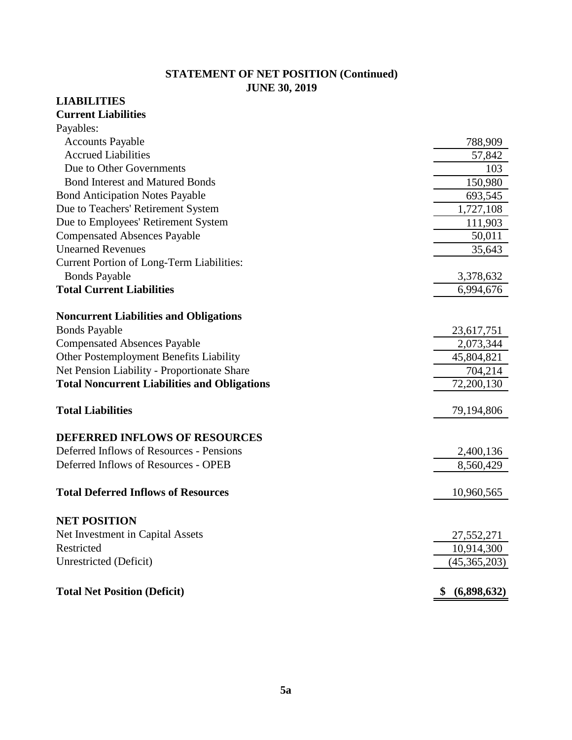## **STATEMENT OF NET POSITION (Continued) JUNE 30, 2019**

## **LIABILITIES**

#### **Current Liabilities**  $D_{\alpha\nu\alpha}$ ble

| Payables:                                           |                   |
|-----------------------------------------------------|-------------------|
| <b>Accounts Payable</b>                             | 788,909           |
| <b>Accrued Liabilities</b>                          | 57,842            |
| Due to Other Governments                            | 103               |
| <b>Bond Interest and Matured Bonds</b>              | 150,980           |
| <b>Bond Anticipation Notes Payable</b>              | 693,545           |
| Due to Teachers' Retirement System                  | 1,727,108         |
| Due to Employees' Retirement System                 | 111,903           |
| <b>Compensated Absences Payable</b>                 | 50,011            |
| <b>Unearned Revenues</b>                            | 35,643            |
| <b>Current Portion of Long-Term Liabilities:</b>    |                   |
| <b>Bonds Payable</b>                                | 3,378,632         |
| <b>Total Current Liabilities</b>                    | 6,994,676         |
| <b>Noncurrent Liabilities and Obligations</b>       |                   |
| <b>Bonds Payable</b>                                | 23,617,751        |
| <b>Compensated Absences Payable</b>                 | 2,073,344         |
| Other Postemployment Benefits Liability             | 45,804,821        |
| Net Pension Liability - Proportionate Share         | 704,214           |
| <b>Total Noncurrent Liabilities and Obligations</b> | 72,200,130        |
| <b>Total Liabilities</b>                            | 79,194,806        |
| <b>DEFERRED INFLOWS OF RESOURCES</b>                |                   |
| Deferred Inflows of Resources - Pensions            | 2,400,136         |
| Deferred Inflows of Resources - OPEB                | 8,560,429         |
| <b>Total Deferred Inflows of Resources</b>          | 10,960,565        |
| <b>NET POSITION</b>                                 |                   |
| Net Investment in Capital Assets                    | 27,552,271        |
| Restricted                                          | 10,914,300        |
| Unrestricted (Deficit)                              | (45,365,203)      |
|                                                     |                   |
| <b>Total Net Position (Deficit)</b>                 | (6,898,632)<br>\$ |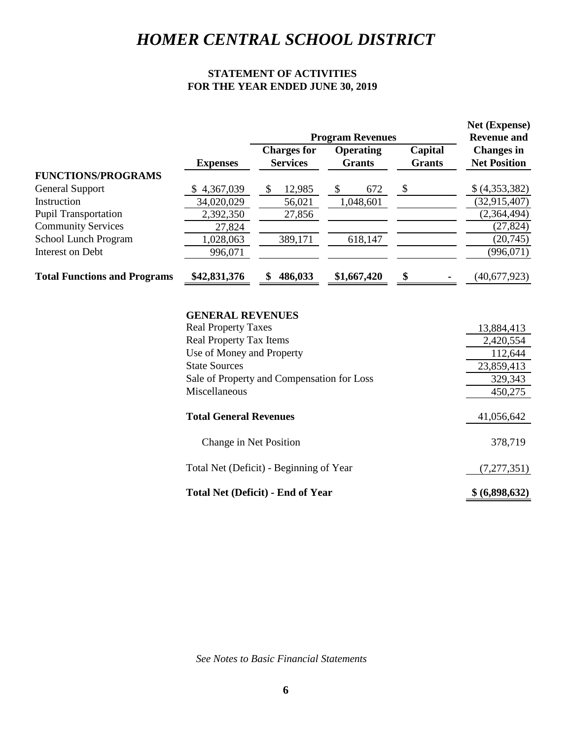## **STATEMENT OF ACTIVITIES FOR THE YEAR ENDED JUNE 30, 2019**

|                                     |                 |                                       | <b>Program Revenues</b>           |                          | Net (Expense)<br><b>Revenue and</b>      |
|-------------------------------------|-----------------|---------------------------------------|-----------------------------------|--------------------------|------------------------------------------|
|                                     | <b>Expenses</b> | <b>Charges for</b><br><b>Services</b> | <b>Operating</b><br><b>Grants</b> | Capital<br><b>Grants</b> | <b>Changes in</b><br><b>Net Position</b> |
| <b>FUNCTIONS/PROGRAMS</b>           |                 |                                       |                                   |                          |                                          |
| General Support                     | \$4,367,039     | 12,985                                | 672                               |                          | \$(4,353,382)                            |
| Instruction                         | 34,020,029      | 56,021                                | 1,048,601                         |                          | (32, 915, 407)                           |
| <b>Pupil Transportation</b>         | 2,392,350       | 27,856                                |                                   |                          | (2,364,494)                              |
| <b>Community Services</b>           | 27,824          |                                       |                                   |                          | (27, 824)                                |
| School Lunch Program                | 1,028,063       | 389,171                               | 618,147                           |                          | (20, 745)                                |
| Interest on Debt                    | 996,071         |                                       |                                   |                          | (996, 071)                               |
| <b>Total Functions and Programs</b> | \$42,831,376    | 486,033                               | \$1,667,420                       | \$                       | (40, 677, 923)                           |

### **GENERAL REVENUES**

| <b>Real Property Taxes</b>                 | 13,884,413     |
|--------------------------------------------|----------------|
| <b>Real Property Tax Items</b>             | 2,420,554      |
| Use of Money and Property                  | 112,644        |
| <b>State Sources</b>                       | 23,859,413     |
| Sale of Property and Compensation for Loss | 329,343        |
| Miscellaneous                              | 450,275        |
| <b>Total General Revenues</b>              | 41,056,642     |
| Change in Net Position                     | 378,719        |
| Total Net (Deficit) - Beginning of Year    | (7,277,351)    |
| <b>Total Net (Deficit) - End of Year</b>   | \$ (6,898,632) |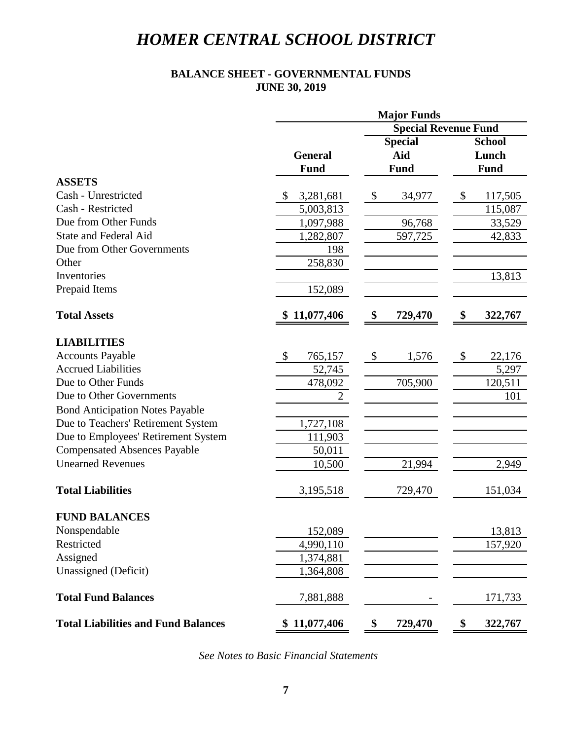## **BALANCE SHEET - GOVERNMENTAL FUNDS JUNE 30, 2019**

|                                            |                 | <b>Major Funds</b>                  |               |
|--------------------------------------------|-----------------|-------------------------------------|---------------|
|                                            |                 | <b>Special Revenue Fund</b>         |               |
|                                            |                 | <b>Special</b>                      | <b>School</b> |
|                                            | <b>General</b>  | Aid                                 | Lunch         |
|                                            | <b>Fund</b>     | <b>Fund</b>                         | <b>Fund</b>   |
| <b>ASSETS</b>                              |                 |                                     |               |
| Cash - Unrestricted                        | 3,281,681<br>\$ | $\boldsymbol{\mathsf{S}}$<br>34,977 | \$<br>117,505 |
| Cash - Restricted                          | 5,003,813       |                                     | 115,087       |
| Due from Other Funds                       | 1,097,988       | 96,768                              | 33,529        |
| <b>State and Federal Aid</b>               | 1,282,807       | 597,725                             | 42,833        |
| Due from Other Governments                 | 198             |                                     |               |
| Other                                      | 258,830         |                                     |               |
| Inventories                                |                 |                                     | 13,813        |
| Prepaid Items                              | 152,089         |                                     |               |
| <b>Total Assets</b>                        | \$11,077,406    | \$<br>729,470                       | \$<br>322,767 |
| <b>LIABILITIES</b>                         |                 |                                     |               |
| <b>Accounts Payable</b>                    | \$<br>765,157   | $\boldsymbol{\mathsf{S}}$<br>1,576  | \$<br>22,176  |
| <b>Accrued Liabilities</b>                 | 52,745          |                                     | 5,297         |
| Due to Other Funds                         | 478,092         | 705,900                             | 120,511       |
| Due to Other Governments                   | $\overline{2}$  |                                     | 101           |
| <b>Bond Anticipation Notes Payable</b>     |                 |                                     |               |
| Due to Teachers' Retirement System         | 1,727,108       |                                     |               |
| Due to Employees' Retirement System        | 111,903         |                                     |               |
| <b>Compensated Absences Payable</b>        | 50,011          |                                     |               |
| <b>Unearned Revenues</b>                   | 10,500          | 21,994                              | 2,949         |
| <b>Total Liabilities</b>                   | 3,195,518       | 729,470                             | 151,034       |
| <b>FUND BALANCES</b>                       |                 |                                     |               |
| Nonspendable                               | 152,089         |                                     | 13,813        |
| Restricted                                 | 4,990,110       |                                     | 157,920       |
| Assigned                                   | 1,374,881       |                                     |               |
| Unassigned (Deficit)                       | 1,364,808       |                                     |               |
| <b>Total Fund Balances</b>                 | 7,881,888       |                                     | 171,733       |
| <b>Total Liabilities and Fund Balances</b> | \$11,077,406    | \$<br>729,470                       | \$<br>322,767 |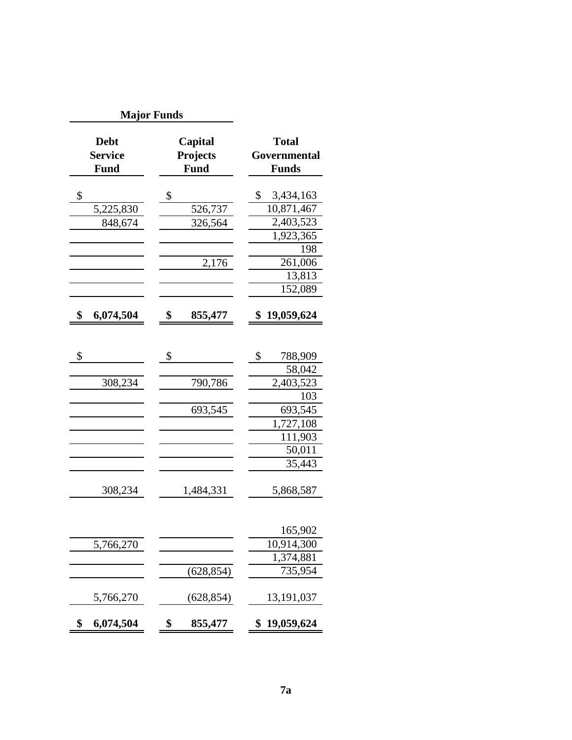| <b>Major Funds</b>                           |                                    |                                              |
|----------------------------------------------|------------------------------------|----------------------------------------------|
| <b>Debt</b><br><b>Service</b><br><b>Fund</b> | Capital<br>Projects<br><b>Fund</b> | <b>Total</b><br>Governmental<br><b>Funds</b> |
|                                              |                                    |                                              |
| \$                                           | \$                                 | \$<br>3,434,163                              |
| 5,225,830                                    | 526,737                            | 10,871,467                                   |
| 848,674                                      | 326,564                            | 2,403,523                                    |
|                                              |                                    | 1,923,365                                    |
|                                              |                                    | 198                                          |
|                                              | 2,176                              | 261,006                                      |
|                                              |                                    | 13,813                                       |
|                                              |                                    | 152,089                                      |
| \$<br>6,074,504                              | \$<br>855,477                      | \$<br>19,059,624                             |
|                                              |                                    |                                              |
| \$                                           | \$                                 | \$<br>788,909                                |
|                                              |                                    | 58,042                                       |
| 308,234                                      | 790,786                            | 2,403,523                                    |
|                                              |                                    | 103                                          |
|                                              | 693,545                            | 693,545                                      |
|                                              |                                    | 1,727,108                                    |
|                                              |                                    | 111,903                                      |
|                                              |                                    | 50,011                                       |
|                                              |                                    | 35,443                                       |
|                                              |                                    |                                              |
| 308,234                                      | 1,484,331                          | 5,868,587                                    |
|                                              |                                    |                                              |
|                                              |                                    | 165,902                                      |
| 5,766,270                                    |                                    | 10,914,300                                   |
|                                              |                                    | 1,374,881                                    |
|                                              | (628, 854)                         | 735,954                                      |
| 5,766,270                                    | (628, 854)                         | 13,191,037                                   |
|                                              |                                    |                                              |
| \$<br>6,074,504                              | \$<br>855,477                      | 19,059,624<br>\$                             |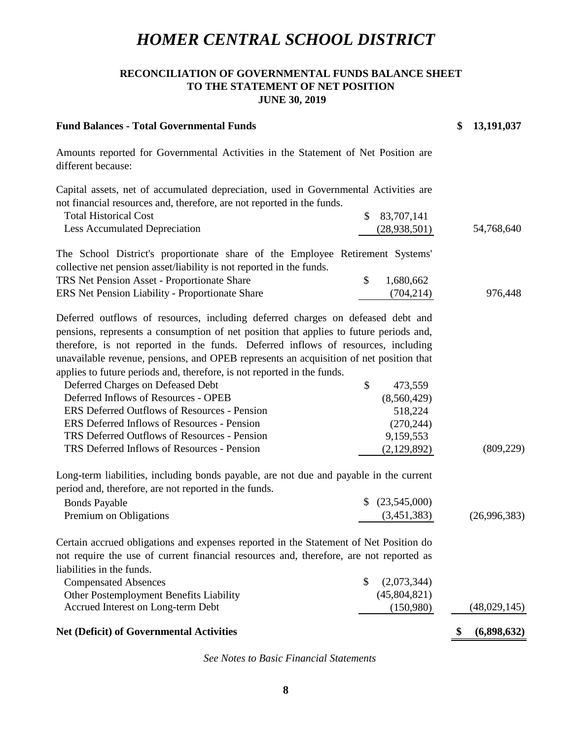### **RECONCILIATION OF GOVERNMENTAL FUNDS BALANCE SHEET TO THE STATEMENT OF NET POSITION JUNE 30, 2019**

| <b>Fund Balances - Total Governmental Funds</b>                                                                                                                                                                                                                                                                                                                                                                                                                          |                   | \$<br>13,191,037 |
|--------------------------------------------------------------------------------------------------------------------------------------------------------------------------------------------------------------------------------------------------------------------------------------------------------------------------------------------------------------------------------------------------------------------------------------------------------------------------|-------------------|------------------|
| Amounts reported for Governmental Activities in the Statement of Net Position are<br>different because:                                                                                                                                                                                                                                                                                                                                                                  |                   |                  |
| Capital assets, net of accumulated depreciation, used in Governmental Activities are                                                                                                                                                                                                                                                                                                                                                                                     |                   |                  |
| not financial resources and, therefore, are not reported in the funds.                                                                                                                                                                                                                                                                                                                                                                                                   |                   |                  |
| <b>Total Historical Cost</b>                                                                                                                                                                                                                                                                                                                                                                                                                                             | \$<br>83,707,141  |                  |
| <b>Less Accumulated Depreciation</b>                                                                                                                                                                                                                                                                                                                                                                                                                                     | (28, 938, 501)    | 54,768,640       |
| The School District's proportionate share of the Employee Retirement Systems'<br>collective net pension asset/liability is not reported in the funds.                                                                                                                                                                                                                                                                                                                    |                   |                  |
| TRS Net Pension Asset - Proportionate Share                                                                                                                                                                                                                                                                                                                                                                                                                              | \$<br>1,680,662   |                  |
| ERS Net Pension Liability - Proportionate Share                                                                                                                                                                                                                                                                                                                                                                                                                          | (704, 214)        | 976,448          |
| Deferred outflows of resources, including deferred charges on defeased debt and<br>pensions, represents a consumption of net position that applies to future periods and,<br>therefore, is not reported in the funds. Deferred inflows of resources, including<br>unavailable revenue, pensions, and OPEB represents an acquisition of net position that<br>applies to future periods and, therefore, is not reported in the funds.<br>Deferred Charges on Defeased Debt | \$<br>473,559     |                  |
| Deferred Inflows of Resources - OPEB                                                                                                                                                                                                                                                                                                                                                                                                                                     | (8,560,429)       |                  |
| <b>ERS Deferred Outflows of Resources - Pension</b>                                                                                                                                                                                                                                                                                                                                                                                                                      | 518,224           |                  |
| ERS Deferred Inflows of Resources - Pension                                                                                                                                                                                                                                                                                                                                                                                                                              | (270, 244)        |                  |
| TRS Deferred Outflows of Resources - Pension                                                                                                                                                                                                                                                                                                                                                                                                                             | 9,159,553         |                  |
| TRS Deferred Inflows of Resources - Pension                                                                                                                                                                                                                                                                                                                                                                                                                              | (2,129,892)       | (809, 229)       |
| Long-term liabilities, including bonds payable, are not due and payable in the current<br>period and, therefore, are not reported in the funds.                                                                                                                                                                                                                                                                                                                          |                   |                  |
| <b>Bonds Payable</b>                                                                                                                                                                                                                                                                                                                                                                                                                                                     | (23,545,000)      |                  |
| Premium on Obligations                                                                                                                                                                                                                                                                                                                                                                                                                                                   | (3,451,383)       | (26,996,383)     |
| Certain accrued obligations and expenses reported in the Statement of Net Position do<br>not require the use of current financial resources and, therefore, are not reported as<br>liabilities in the funds.                                                                                                                                                                                                                                                             |                   |                  |
| <b>Compensated Absences</b>                                                                                                                                                                                                                                                                                                                                                                                                                                              | \$<br>(2,073,344) |                  |
| Other Postemployment Benefits Liability                                                                                                                                                                                                                                                                                                                                                                                                                                  | (45,804,821)      |                  |
| Accrued Interest on Long-term Debt                                                                                                                                                                                                                                                                                                                                                                                                                                       | (150,980)         | (48,029,145)     |
| <b>Net (Deficit) of Governmental Activities</b>                                                                                                                                                                                                                                                                                                                                                                                                                          |                   | (6,898,632)      |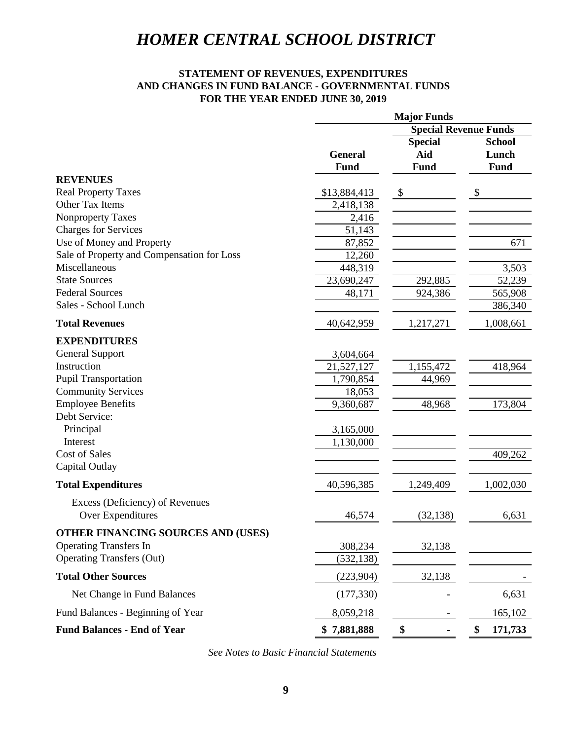### **STATEMENT OF REVENUES, EXPENDITURES AND CHANGES IN FUND BALANCE - GOVERNMENTAL FUNDS FOR THE YEAR ENDED JUNE 30, 2019**

|                                            | <b>Major Funds</b>           |                           |                           |
|--------------------------------------------|------------------------------|---------------------------|---------------------------|
|                                            | <b>Special Revenue Funds</b> |                           |                           |
|                                            |                              | <b>Special</b>            | <b>School</b>             |
|                                            | <b>General</b>               | Aid                       | Lunch                     |
|                                            | Fund                         | Fund                      | <b>Fund</b>               |
| <b>REVENUES</b>                            |                              |                           |                           |
| <b>Real Property Taxes</b>                 | \$13,884,413                 | $\boldsymbol{\mathsf{S}}$ | $\boldsymbol{\mathsf{S}}$ |
| Other Tax Items                            | 2,418,138                    |                           |                           |
| Nonproperty Taxes                          | 2,416                        |                           |                           |
| <b>Charges for Services</b>                | 51,143                       |                           |                           |
| Use of Money and Property                  | 87,852                       |                           | 671                       |
| Sale of Property and Compensation for Loss | 12,260                       |                           |                           |
| Miscellaneous                              | 448,319                      |                           | 3,503                     |
| <b>State Sources</b>                       | 23,690,247                   | 292,885                   | 52,239                    |
| <b>Federal Sources</b>                     | 48,171                       | 924,386                   | 565,908                   |
| Sales - School Lunch                       |                              |                           | 386,340                   |
| <b>Total Revenues</b>                      | 40,642,959                   | 1,217,271                 | 1,008,661                 |
| <b>EXPENDITURES</b>                        |                              |                           |                           |
| <b>General Support</b>                     | 3,604,664                    |                           |                           |
| Instruction                                | 21,527,127                   | 1,155,472                 | 418,964                   |
| <b>Pupil Transportation</b>                | 1,790,854                    | 44,969                    |                           |
| <b>Community Services</b>                  | 18,053                       |                           |                           |
| <b>Employee Benefits</b>                   | 9,360,687                    | 48,968                    | 173,804                   |
| Debt Service:                              |                              |                           |                           |
| Principal                                  | 3,165,000                    |                           |                           |
| Interest                                   | 1,130,000                    |                           |                           |
| <b>Cost of Sales</b>                       |                              |                           | 409,262                   |
| Capital Outlay                             |                              |                           |                           |
| <b>Total Expenditures</b>                  | 40,596,385                   | 1,249,409                 | 1,002,030                 |
| Excess (Deficiency) of Revenues            |                              |                           |                           |
| Over Expenditures                          | 46,574                       | (32, 138)                 | 6,631                     |
| <b>OTHER FINANCING SOURCES AND (USES)</b>  |                              |                           |                           |
| <b>Operating Transfers In</b>              | 308,234                      | 32,138                    |                           |
| <b>Operating Transfers (Out)</b>           | (532, 138)                   |                           |                           |
| <b>Total Other Sources</b>                 | (223,904)                    | 32,138                    |                           |
| Net Change in Fund Balances                | (177, 330)                   |                           | 6,631                     |
| Fund Balances - Beginning of Year          | 8,059,218                    |                           | 165,102                   |
| <b>Fund Balances - End of Year</b>         | \$7,881,888                  | \$                        | \$<br>171,733             |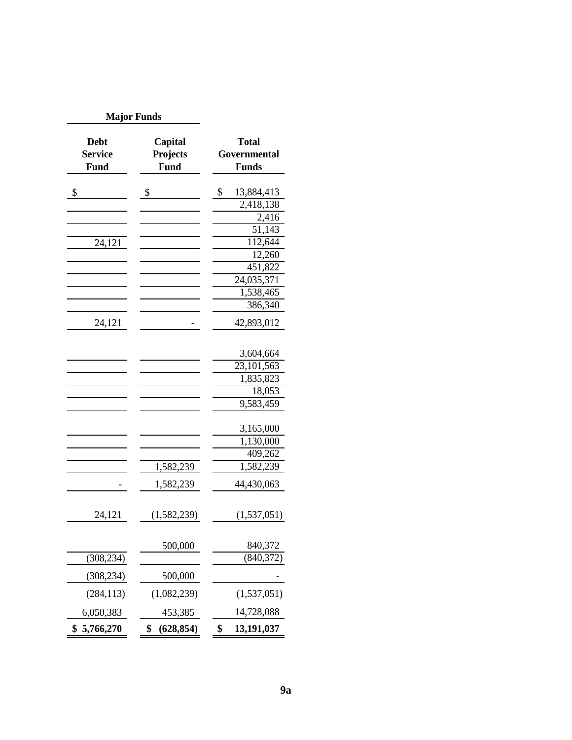| <b>Major Funds</b>                           |                                    |                                              |
|----------------------------------------------|------------------------------------|----------------------------------------------|
| <b>Debt</b><br><b>Service</b><br><b>Fund</b> | Capital<br>Projects<br><b>Fund</b> | <b>Total</b><br>Governmental<br><b>Funds</b> |
| \$                                           | \$                                 | \$<br>13,884,413                             |
|                                              |                                    | 2,418,138                                    |
|                                              |                                    | 2,416                                        |
|                                              |                                    | 51,143                                       |
| 24,121                                       |                                    | 112,644                                      |
|                                              |                                    | 12,260                                       |
|                                              |                                    | 451,822                                      |
|                                              |                                    | 24,035,371                                   |
|                                              |                                    | 1,538,465                                    |
|                                              |                                    | 386,340                                      |
| 24,121                                       |                                    | 42,893,012                                   |
|                                              |                                    | 3,604,664                                    |
|                                              |                                    | 23,101,563                                   |
|                                              |                                    | 1,835,823                                    |
|                                              |                                    | 18,053                                       |
|                                              |                                    | 9,583,459                                    |
|                                              |                                    | 3,165,000                                    |
|                                              |                                    | 1,130,000                                    |
|                                              |                                    | 409,262                                      |
|                                              | 1,582,239                          | 1,582,239                                    |
|                                              | 1,582,239                          | 44,430,063                                   |
| 24,121                                       | (1,582,239)                        | (1,537,051)                                  |
|                                              | 500,000                            | 840,372                                      |
| (308, 234)                                   |                                    | (840,372)                                    |
| (308, 234)                                   | 500,000                            |                                              |
| (284, 113)                                   | (1,082,239)                        | (1,537,051)                                  |
| 6,050,383                                    | 453,385                            | 14,728,088                                   |
| \$<br>5,766,270                              | \$<br>(628, 854)                   | \$<br>13,191,037                             |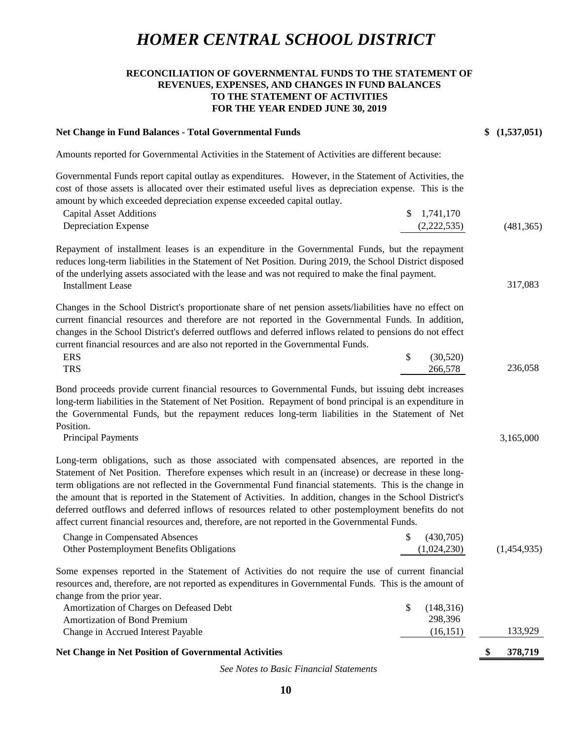#### **RECONCILIATION OF GOVERNMENTAL FUNDS TO THE STATEMENT OF REVENUES, EXPENSES, AND CHANGES IN FUND BALANCES TO THE STATEMENT OF ACTIVITIES FOR THE YEAR ENDED JUNE 30, 2019**

#### **Net Change in Fund Balances - Total Governmental Funds 6 (1,537,051) \$** (1,537,051)

317,083

3,165,000

Amounts reported for Governmental Activities in the Statement of Activities are different because:

Governmental Funds report capital outlay as expenditures. However, in the Statement of Activities, the cost of those assets is allocated over their estimated useful lives as depreciation expense. This is the amount by which exceeded depreciation expense exceeded capital outlay.

| Capital Asset Additions | $\frac{1,741,170}{2}$ |            |
|-------------------------|-----------------------|------------|
| Depreciation Expense    | (2,222,535)           | (481, 365) |

Repayment of installment leases is an expenditure in the Governmental Funds, but the repayment reduces long-term liabilities in the Statement of Net Position. During 2019, the School District disposed of the underlying assets associated with the lease and was not required to make the final payment.

Installment Lease

Changes in the School District's proportionate share of net pension assets/liabilities have no effect on current financial resources and therefore are not reported in the Governmental Funds. In addition, changes in the School District's deferred outflows and deferred inflows related to pensions do not effect current financial resources and are also not reported in the Governmental Funds.

| <b>ERS</b> | (30,520) |         |
|------------|----------|---------|
| <b>TRS</b> | 266,578  | 236,058 |

Bond proceeds provide current financial resources to Governmental Funds, but issuing debt increases long-term liabilities in the Statement of Net Position. Repayment of bond principal is an expenditure in the Governmental Funds, but the repayment reduces long-term liabilities in the Statement of Net Position.

Principal Payments

Long-term obligations, such as those associated with compensated absences, are reported in the Statement of Net Position. Therefore expenses which result in an (increase) or decrease in these longterm obligations are not reflected in the Governmental Fund financial statements. This is the change in the amount that is reported in the Statement of Activities. In addition, changes in the School District's deferred outflows and deferred inflows of resources related to other postemployment benefits do not affect current financial resources and, therefore, are not reported in the Governmental Funds.

| <b>Change in Compensated Absences</b>     | (430,705)   |             |
|-------------------------------------------|-------------|-------------|
| Other Postemployment Benefits Obligations | (1,024,230) | (1,454,935) |

Some expenses reported in the Statement of Activities do not require the use of current financial resources and, therefore, are not reported as expenditures in Governmental Funds. This is the amount of change from the prior year.

| Net Change in Net Position of Governmental Activities |           | S. | 378.719 |
|-------------------------------------------------------|-----------|----|---------|
| Change in Accrued Interest Payable                    | (16, 151) |    | 133,929 |
| <b>Amortization of Bond Premium</b>                   | 298.396   |    |         |
| Amortization of Charges on Defeased Debt              | (148.316) |    |         |

**Net Change in Net Position of Governmental Activities**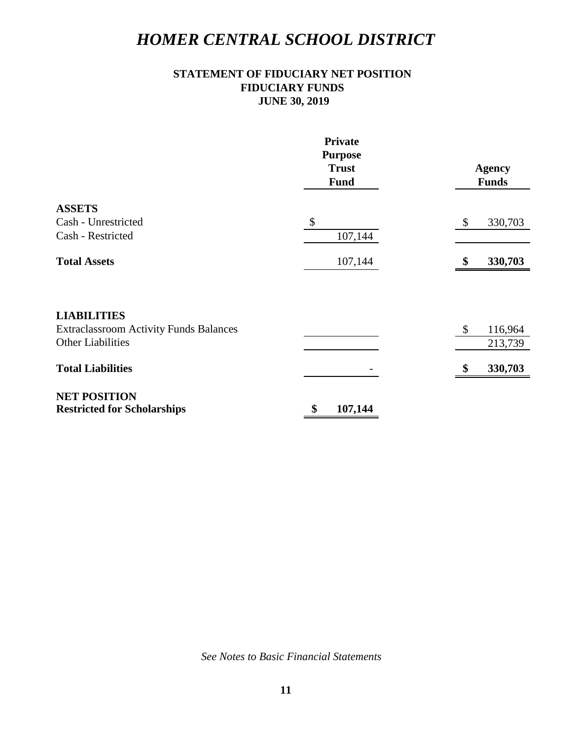## **STATEMENT OF FIDUCIARY NET POSITION FIDUCIARY FUNDS JUNE 30, 2019**

|                                                                     | <b>Private</b><br><b>Purpose</b><br><b>Trust</b><br><b>Fund</b> | <b>Agency</b><br><b>Funds</b> |
|---------------------------------------------------------------------|-----------------------------------------------------------------|-------------------------------|
| <b>ASSETS</b>                                                       |                                                                 |                               |
| Cash - Unrestricted                                                 | $\boldsymbol{\mathsf{S}}$                                       | $\sqrt{3}$<br>330,703         |
| Cash - Restricted                                                   | 107,144                                                         |                               |
| <b>Total Assets</b>                                                 | 107,144                                                         | 330,703<br>\$                 |
| <b>LIABILITIES</b><br><b>Extraclassroom Activity Funds Balances</b> |                                                                 | - \$<br>116,964               |
| <b>Other Liabilities</b>                                            |                                                                 | 213,739                       |
| <b>Total Liabilities</b>                                            |                                                                 | 330,703<br>\$                 |
| <b>NET POSITION</b>                                                 |                                                                 |                               |
| <b>Restricted for Scholarships</b>                                  | \$<br>107,144                                                   |                               |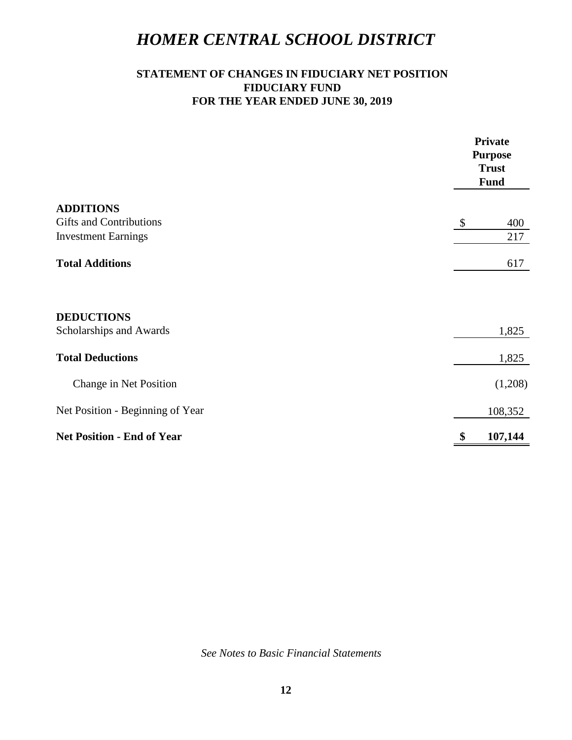## **STATEMENT OF CHANGES IN FIDUCIARY NET POSITION FIDUCIARY FUND FOR THE YEAR ENDED JUNE 30, 2019**

|                                   | <b>Private</b><br><b>Purpose</b><br><b>Trust</b><br><b>Fund</b> |
|-----------------------------------|-----------------------------------------------------------------|
| <b>ADDITIONS</b>                  |                                                                 |
| <b>Gifts and Contributions</b>    | 400<br>$\boldsymbol{\mathcal{S}}$                               |
| <b>Investment Earnings</b>        | 217                                                             |
| <b>Total Additions</b>            | 617                                                             |
| <b>DEDUCTIONS</b>                 |                                                                 |
| Scholarships and Awards           | 1,825                                                           |
| <b>Total Deductions</b>           | 1,825                                                           |
| Change in Net Position            | (1,208)                                                         |
| Net Position - Beginning of Year  | 108,352                                                         |
| <b>Net Position - End of Year</b> | \$<br>107,144                                                   |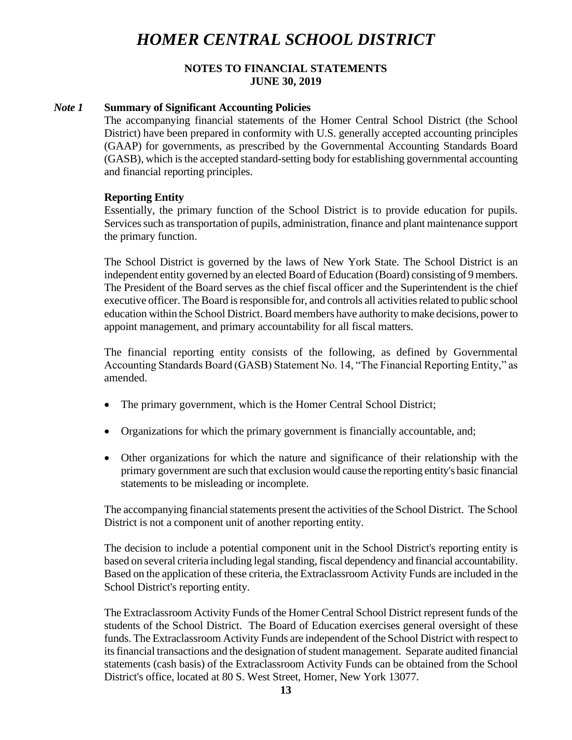### **NOTES TO FINANCIAL STATEMENTS JUNE 30, 2019**

### *Note 1* **Summary of Significant Accounting Policies**

The accompanying financial statements of the Homer Central School District (the School District) have been prepared in conformity with U.S. generally accepted accounting principles (GAAP) for governments, as prescribed by the Governmental Accounting Standards Board (GASB), which is the accepted standard-setting body for establishing governmental accounting and financial reporting principles.

### **Reporting Entity**

Essentially, the primary function of the School District is to provide education for pupils. Services such as transportation of pupils, administration, finance and plant maintenance support the primary function.

The School District is governed by the laws of New York State. The School District is an independent entity governed by an elected Board of Education (Board) consisting of 9 members. The President of the Board serves as the chief fiscal officer and the Superintendent is the chief executive officer. The Board is responsible for, and controls all activities related to public school education within the School District. Board members have authority to make decisions, power to appoint management, and primary accountability for all fiscal matters.

The financial reporting entity consists of the following, as defined by Governmental Accounting Standards Board (GASB) Statement No. 14, "The Financial Reporting Entity," as amended.

- The primary government, which is the Homer Central School District;
- Organizations for which the primary government is financially accountable, and;
- Other organizations for which the nature and significance of their relationship with the primary government are such that exclusion would cause the reporting entity's basic financial statements to be misleading or incomplete.

The accompanying financial statements present the activities of the School District. The School District is not a component unit of another reporting entity.

The decision to include a potential component unit in the School District's reporting entity is based on several criteria including legal standing, fiscal dependency and financial accountability. Based on the application of these criteria, the Extraclassroom Activity Funds are included in the School District's reporting entity.

The Extraclassroom Activity Funds of the Homer Central School District represent funds of the students of the School District. The Board of Education exercises general oversight of these funds. The Extraclassroom Activity Funds are independent of the School District with respect to its financial transactions and the designation of student management. Separate audited financial statements (cash basis) of the Extraclassroom Activity Funds can be obtained from the School District's office, located at 80 S. West Street, Homer, New York 13077.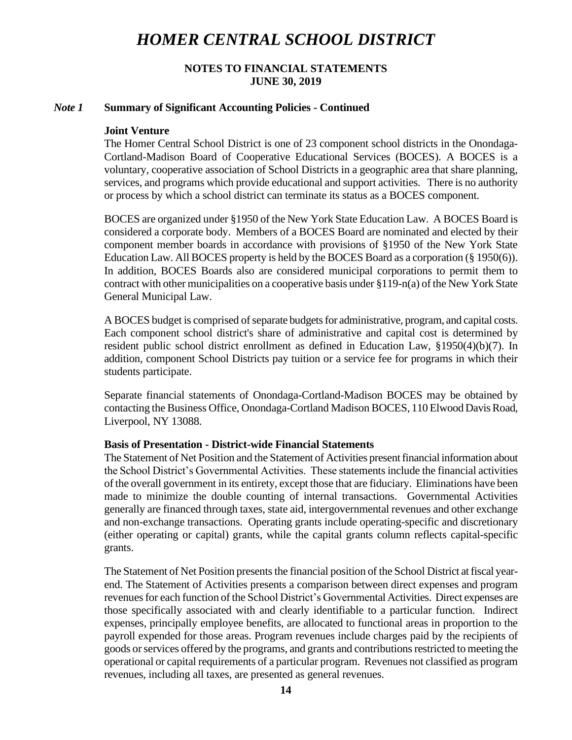### **NOTES TO FINANCIAL STATEMENTS JUNE 30, 2019**

#### *Note 1* **Summary of Significant Accounting Policies - Continued**

#### **Joint Venture**

The Homer Central School District is one of 23 component school districts in the Onondaga-Cortland-Madison Board of Cooperative Educational Services (BOCES). A BOCES is a voluntary, cooperative association of School Districts in a geographic area that share planning, services, and programs which provide educational and support activities. There is no authority or process by which a school district can terminate its status as a BOCES component.

BOCES are organized under §1950 of the New York State Education Law. A BOCES Board is considered a corporate body. Members of a BOCES Board are nominated and elected by their component member boards in accordance with provisions of §1950 of the New York State Education Law. All BOCES property is held by the BOCES Board as a corporation (§ 1950(6)). In addition, BOCES Boards also are considered municipal corporations to permit them to contract with other municipalities on a cooperative basis under §119-n(a) of the New York State General Municipal Law.

A BOCES budget is comprised of separate budgets for administrative, program, and capital costs. Each component school district's share of administrative and capital cost is determined by resident public school district enrollment as defined in Education Law, §1950(4)(b)(7). In addition, component School Districts pay tuition or a service fee for programs in which their students participate.

Separate financial statements of Onondaga-Cortland-Madison BOCES may be obtained by contacting the Business Office, Onondaga-Cortland Madison BOCES, 110 Elwood Davis Road, Liverpool, NY 13088.

#### **Basis of Presentation - District-wide Financial Statements**

The Statement of Net Position and the Statement of Activities present financial information about the School District's Governmental Activities. These statements include the financial activities of the overall government in its entirety, except those that are fiduciary. Eliminations have been made to minimize the double counting of internal transactions. Governmental Activities generally are financed through taxes, state aid, intergovernmental revenues and other exchange and non-exchange transactions. Operating grants include operating-specific and discretionary (either operating or capital) grants, while the capital grants column reflects capital-specific grants.

The Statement of Net Position presents the financial position of the School District at fiscal yearend. The Statement of Activities presents a comparison between direct expenses and program revenues for each function of the School District's Governmental Activities. Direct expenses are those specifically associated with and clearly identifiable to a particular function. Indirect expenses, principally employee benefits, are allocated to functional areas in proportion to the payroll expended for those areas. Program revenues include charges paid by the recipients of goods or services offered by the programs, and grants and contributions restricted to meeting the operational or capital requirements of a particular program. Revenues not classified as program revenues, including all taxes, are presented as general revenues.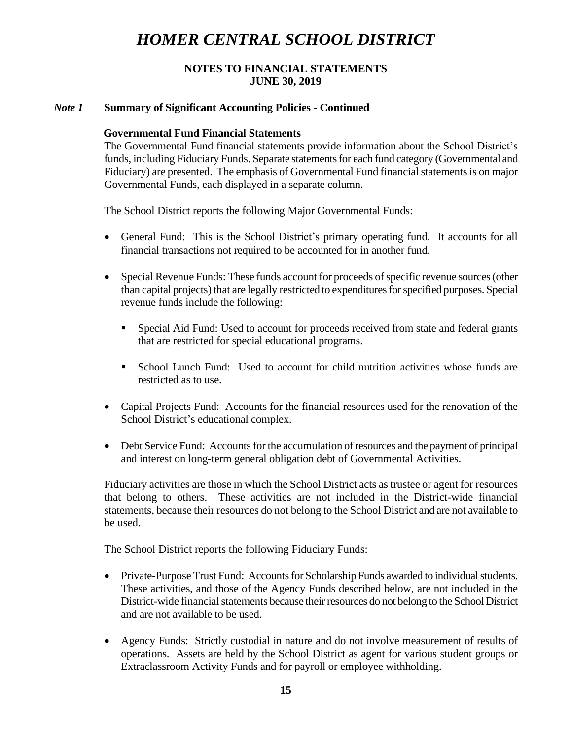### **NOTES TO FINANCIAL STATEMENTS JUNE 30, 2019**

### *Note 1* **Summary of Significant Accounting Policies - Continued**

### **Governmental Fund Financial Statements**

The Governmental Fund financial statements provide information about the School District's funds, including Fiduciary Funds. Separate statements for each fund category (Governmental and Fiduciary) are presented. The emphasis of Governmental Fund financial statements is on major Governmental Funds, each displayed in a separate column.

The School District reports the following Major Governmental Funds:

- General Fund: This is the School District's primary operating fund. It accounts for all financial transactions not required to be accounted for in another fund.
- Special Revenue Funds: These funds account for proceeds of specific revenue sources (other than capital projects) that are legally restricted to expenditures for specified purposes. Special revenue funds include the following:
	- Special Aid Fund: Used to account for proceeds received from state and federal grants that are restricted for special educational programs.
	- School Lunch Fund: Used to account for child nutrition activities whose funds are restricted as to use.
- Capital Projects Fund: Accounts for the financial resources used for the renovation of the School District's educational complex.
- Debt Service Fund: Accounts for the accumulation of resources and the payment of principal and interest on long-term general obligation debt of Governmental Activities.

Fiduciary activities are those in which the School District acts astrustee or agent for resources that belong to others. These activities are not included in the District-wide financial statements, because their resources do not belong to the School District and are not available to be used.

The School District reports the following Fiduciary Funds:

- Private-Purpose Trust Fund: Accounts for Scholarship Funds awarded to individual students. These activities, and those of the Agency Funds described below, are not included in the District-wide financial statements because their resources do not belong to the School District and are not available to be used.
- Agency Funds: Strictly custodial in nature and do not involve measurement of results of operations. Assets are held by the School District as agent for various student groups or Extraclassroom Activity Funds and for payroll or employee withholding.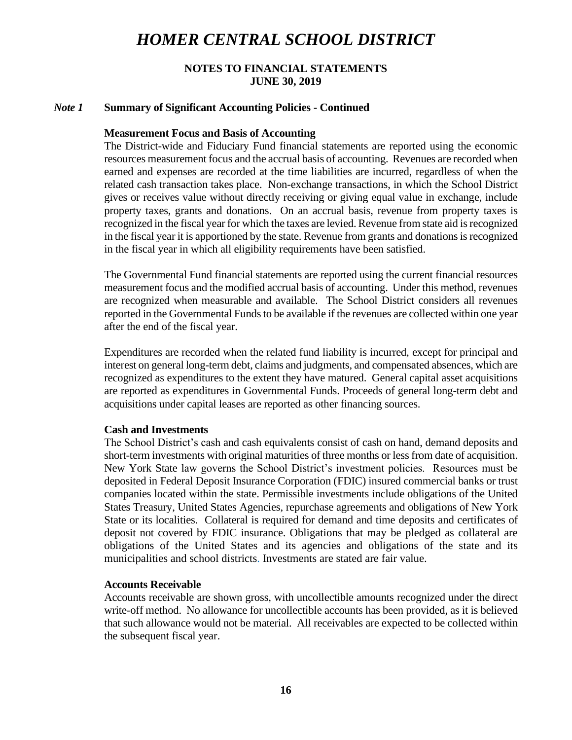### **NOTES TO FINANCIAL STATEMENTS JUNE 30, 2019**

#### *Note 1* **Summary of Significant Accounting Policies - Continued**

#### **Measurement Focus and Basis of Accounting**

The District-wide and Fiduciary Fund financial statements are reported using the economic resources measurement focus and the accrual basis of accounting. Revenues are recorded when earned and expenses are recorded at the time liabilities are incurred, regardless of when the related cash transaction takes place. Non-exchange transactions, in which the School District gives or receives value without directly receiving or giving equal value in exchange, include property taxes, grants and donations. On an accrual basis, revenue from property taxes is recognized in the fiscal year for which the taxes are levied. Revenue from state aid is recognized in the fiscal year it is apportioned by the state. Revenue from grants and donations is recognized in the fiscal year in which all eligibility requirements have been satisfied.

The Governmental Fund financial statements are reported using the current financial resources measurement focus and the modified accrual basis of accounting. Under this method, revenues are recognized when measurable and available. The School District considers all revenues reported in the Governmental Funds to be available if the revenues are collected within one year after the end of the fiscal year.

Expenditures are recorded when the related fund liability is incurred, except for principal and interest on general long-term debt, claims and judgments, and compensated absences, which are recognized as expenditures to the extent they have matured. General capital asset acquisitions are reported as expenditures in Governmental Funds. Proceeds of general long-term debt and acquisitions under capital leases are reported as other financing sources.

#### **Cash and Investments**

The School District's cash and cash equivalents consist of cash on hand, demand deposits and short-term investments with original maturities of three months or less from date of acquisition. New York State law governs the School District's investment policies. Resources must be deposited in Federal Deposit Insurance Corporation (FDIC) insured commercial banks or trust companies located within the state. Permissible investments include obligations of the United States Treasury, United States Agencies, repurchase agreements and obligations of New York State or its localities. Collateral is required for demand and time deposits and certificates of deposit not covered by FDIC insurance. Obligations that may be pledged as collateral are obligations of the United States and its agencies and obligations of the state and its municipalities and school districts. Investments are stated are fair value.

#### **Accounts Receivable**

Accounts receivable are shown gross, with uncollectible amounts recognized under the direct write-off method. No allowance for uncollectible accounts has been provided, as it is believed that such allowance would not be material. All receivables are expected to be collected within the subsequent fiscal year.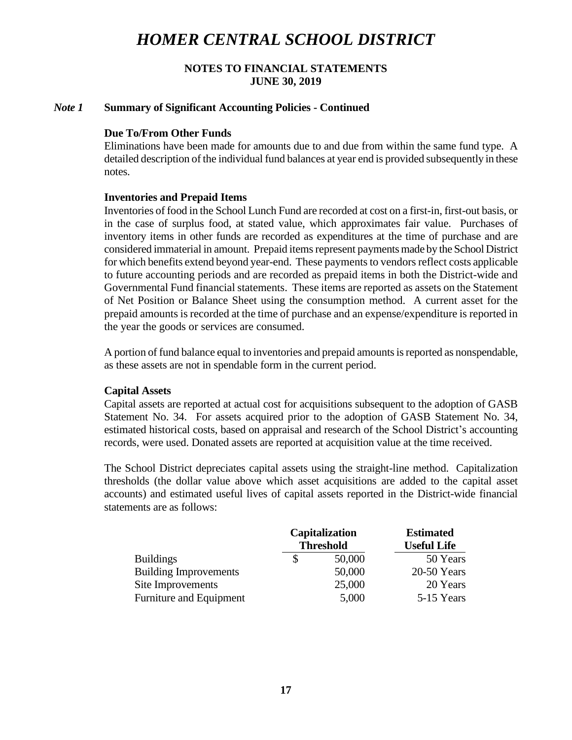### **NOTES TO FINANCIAL STATEMENTS JUNE 30, 2019**

#### *Note 1* **Summary of Significant Accounting Policies - Continued**

#### **Due To/From Other Funds**

Eliminations have been made for amounts due to and due from within the same fund type. A detailed description of the individual fund balances at year end is provided subsequently in these notes.

#### **Inventories and Prepaid Items**

Inventories of food in the School Lunch Fund are recorded at cost on a first-in, first-out basis, or in the case of surplus food, at stated value, which approximates fair value. Purchases of inventory items in other funds are recorded as expenditures at the time of purchase and are considered immaterial in amount. Prepaid items represent paymentsmade by the School District for which benefits extend beyond year-end. These payments to vendors reflect costs applicable to future accounting periods and are recorded as prepaid items in both the District-wide and Governmental Fund financial statements. These items are reported as assets on the Statement of Net Position or Balance Sheet using the consumption method. A current asset for the prepaid amounts is recorded at the time of purchase and an expense/expenditure is reported in the year the goods or services are consumed.

A portion of fund balance equal to inventories and prepaid amounts is reported as nonspendable, as these assets are not in spendable form in the current period.

### **Capital Assets**

Capital assets are reported at actual cost for acquisitions subsequent to the adoption of GASB Statement No. 34. For assets acquired prior to the adoption of GASB Statement No. 34, estimated historical costs, based on appraisal and research of the School District's accounting records, were used. Donated assets are reported at acquisition value at the time received.

The School District depreciates capital assets using the straight-line method. Capitalization thresholds (the dollar value above which asset acquisitions are added to the capital asset accounts) and estimated useful lives of capital assets reported in the District-wide financial statements are as follows:

|                              | <b>Capitalization</b><br><b>Threshold</b> |        | <b>Estimated</b>   |
|------------------------------|-------------------------------------------|--------|--------------------|
|                              |                                           |        | <b>Useful Life</b> |
| <b>Buildings</b>             |                                           | 50,000 | 50 Years           |
| <b>Building Improvements</b> |                                           | 50,000 | $20-50$ Years      |
| Site Improvements            |                                           | 25,000 | 20 Years           |
| Furniture and Equipment      |                                           | 5,000  | 5-15 Years         |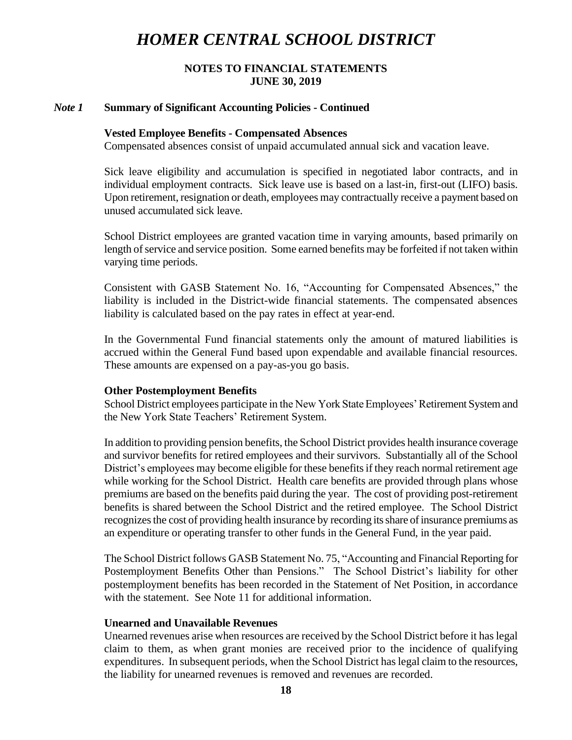### **NOTES TO FINANCIAL STATEMENTS JUNE 30, 2019**

#### *Note 1* **Summary of Significant Accounting Policies - Continued**

#### **Vested Employee Benefits - Compensated Absences**

Compensated absences consist of unpaid accumulated annual sick and vacation leave.

Sick leave eligibility and accumulation is specified in negotiated labor contracts, and in individual employment contracts. Sick leave use is based on a last-in, first-out (LIFO) basis. Upon retirement, resignation or death, employees may contractually receive a payment based on unused accumulated sick leave.

School District employees are granted vacation time in varying amounts, based primarily on length of service and service position. Some earned benefits may be forfeited if not taken within varying time periods.

Consistent with GASB Statement No. 16, "Accounting for Compensated Absences," the liability is included in the District-wide financial statements. The compensated absences liability is calculated based on the pay rates in effect at year-end.

In the Governmental Fund financial statements only the amount of matured liabilities is accrued within the General Fund based upon expendable and available financial resources. These amounts are expensed on a pay-as-you go basis.

#### **Other Postemployment Benefits**

School District employees participate in the New York State Employees' Retirement System and the New York State Teachers' Retirement System.

In addition to providing pension benefits, the School District provides health insurance coverage and survivor benefits for retired employees and their survivors. Substantially all of the School District's employees may become eligible for these benefits if they reach normal retirement age while working for the School District. Health care benefits are provided through plans whose premiums are based on the benefits paid during the year. The cost of providing post-retirement benefits is shared between the School District and the retired employee. The School District recognizes the cost of providing health insurance by recording its share ofinsurance premiums as an expenditure or operating transfer to other funds in the General Fund, in the year paid.

The School District follows GASB Statement No. 75, "Accounting and Financial Reporting for Postemployment Benefits Other than Pensions." The School District's liability for other postemployment benefits has been recorded in the Statement of Net Position, in accordance with the statement. See Note 11 for additional information.

#### **Unearned and Unavailable Revenues**

Unearned revenues arise when resources are received by the School District before it has legal claim to them, as when grant monies are received prior to the incidence of qualifying expenditures. In subsequent periods, when the School District has legal claim to the resources, the liability for unearned revenues is removed and revenues are recorded.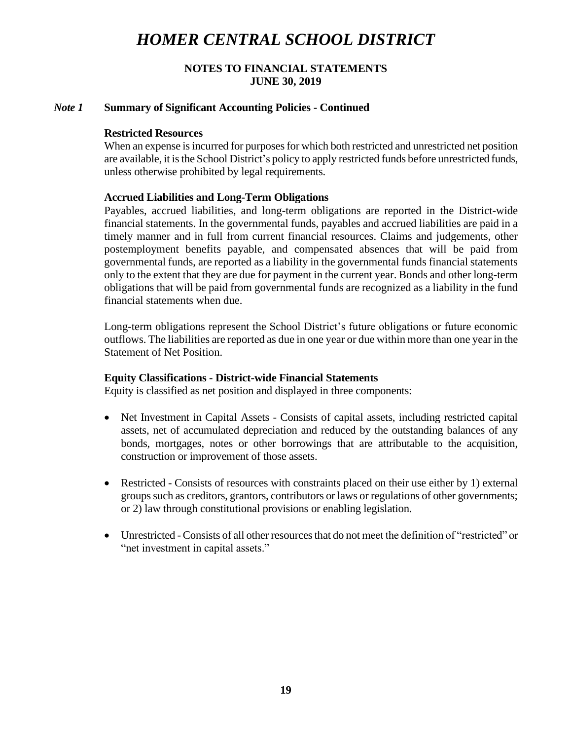## **NOTES TO FINANCIAL STATEMENTS JUNE 30, 2019**

### *Note 1* **Summary of Significant Accounting Policies - Continued**

### **Restricted Resources**

When an expense is incurred for purposes for which both restricted and unrestricted net position are available, it is the School District's policy to apply restricted funds before unrestricted funds, unless otherwise prohibited by legal requirements.

## **Accrued Liabilities and Long-Term Obligations**

Payables, accrued liabilities, and long-term obligations are reported in the District-wide financial statements. In the governmental funds, payables and accrued liabilities are paid in a timely manner and in full from current financial resources. Claims and judgements, other postemployment benefits payable, and compensated absences that will be paid from governmental funds, are reported as a liability in the governmental funds financial statements only to the extent that they are due for payment in the current year. Bonds and other long-term obligations that will be paid from governmental funds are recognized as a liability in the fund financial statements when due.

Long-term obligations represent the School District's future obligations or future economic outflows. The liabilities are reported as due in one year or due within more than one year in the Statement of Net Position.

#### **Equity Classifications - District-wide Financial Statements**

Equity is classified as net position and displayed in three components:

- Net Investment in Capital Assets Consists of capital assets, including restricted capital assets, net of accumulated depreciation and reduced by the outstanding balances of any bonds, mortgages, notes or other borrowings that are attributable to the acquisition, construction or improvement of those assets.
- Restricted Consists of resources with constraints placed on their use either by 1) external groups such as creditors, grantors, contributors or laws or regulations of other governments; or 2) law through constitutional provisions or enabling legislation.
- Unrestricted Consists of all other resources that do not meet the definition of "restricted" or "net investment in capital assets."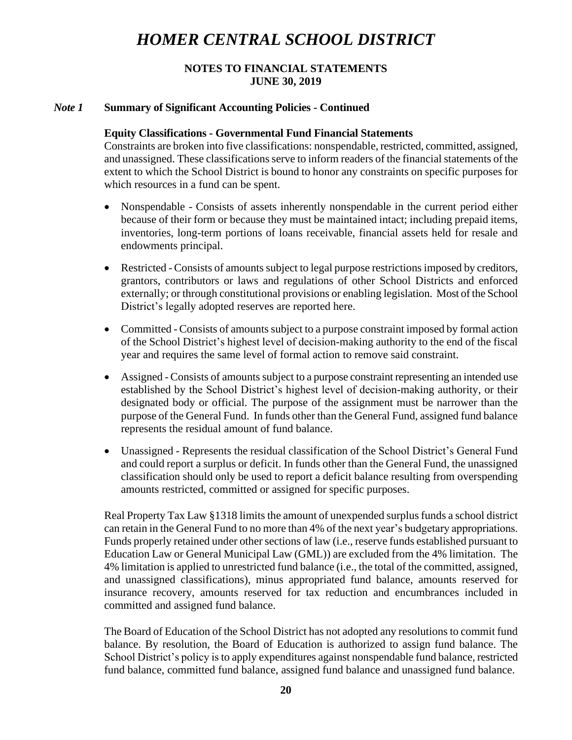## **NOTES TO FINANCIAL STATEMENTS JUNE 30, 2019**

## *Note 1* **Summary of Significant Accounting Policies - Continued**

### **Equity Classifications - Governmental Fund Financial Statements**

Constraints are broken into five classifications: nonspendable, restricted, committed, assigned, and unassigned. These classifications serve to inform readers of the financial statements of the extent to which the School District is bound to honor any constraints on specific purposes for which resources in a fund can be spent.

- Nonspendable Consists of assets inherently nonspendable in the current period either because of their form or because they must be maintained intact; including prepaid items, inventories, long-term portions of loans receivable, financial assets held for resale and endowments principal.
- Restricted Consists of amounts subject to legal purpose restrictions imposed by creditors, grantors, contributors or laws and regulations of other School Districts and enforced externally; or through constitutional provisions or enabling legislation. Most of the School District's legally adopted reserves are reported here.
- Committed Consists of amounts subject to a purpose constraint imposed by formal action of the School District's highest level of decision-making authority to the end of the fiscal year and requires the same level of formal action to remove said constraint.
- Assigned Consists of amounts subject to a purpose constraint representing an intended use established by the School District's highest level of decision-making authority, or their designated body or official. The purpose of the assignment must be narrower than the purpose of the General Fund. In funds other than the General Fund, assigned fund balance represents the residual amount of fund balance.
- Unassigned Represents the residual classification of the School District's General Fund and could report a surplus or deficit. In funds other than the General Fund, the unassigned classification should only be used to report a deficit balance resulting from overspending amounts restricted, committed or assigned for specific purposes.

Real Property Tax Law §1318 limits the amount of unexpended surplus funds a school district can retain in the General Fund to no more than 4% of the next year's budgetary appropriations. Funds properly retained under other sections of law (i.e., reserve funds established pursuant to Education Law or General Municipal Law (GML)) are excluded from the 4% limitation. The 4% limitation is applied to unrestricted fund balance (i.e., the total of the committed, assigned, and unassigned classifications), minus appropriated fund balance, amounts reserved for insurance recovery, amounts reserved for tax reduction and encumbrances included in committed and assigned fund balance.

The Board of Education of the School District has not adopted any resolutions to commit fund balance. By resolution, the Board of Education is authorized to assign fund balance. The School District's policy is to apply expenditures against nonspendable fund balance, restricted fund balance, committed fund balance, assigned fund balance and unassigned fund balance.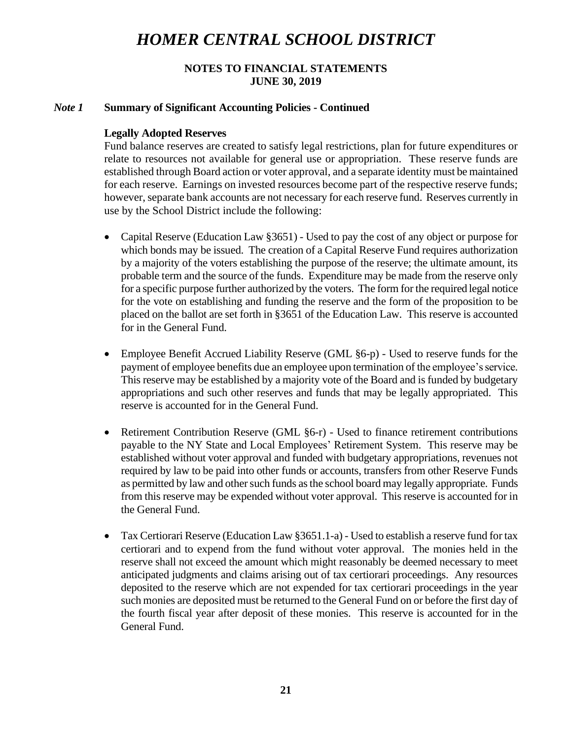## **NOTES TO FINANCIAL STATEMENTS JUNE 30, 2019**

## *Note 1* **Summary of Significant Accounting Policies - Continued**

## **Legally Adopted Reserves**

Fund balance reserves are created to satisfy legal restrictions, plan for future expenditures or relate to resources not available for general use or appropriation. These reserve funds are established through Board action or voter approval, and a separate identity must be maintained for each reserve. Earnings on invested resources become part of the respective reserve funds; however, separate bank accounts are not necessary for each reserve fund. Reserves currently in use by the School District include the following:

- Capital Reserve (Education Law §3651) Used to pay the cost of any object or purpose for which bonds may be issued. The creation of a Capital Reserve Fund requires authorization by a majority of the voters establishing the purpose of the reserve; the ultimate amount, its probable term and the source of the funds. Expenditure may be made from the reserve only for a specific purpose further authorized by the voters. The form for the required legal notice for the vote on establishing and funding the reserve and the form of the proposition to be placed on the ballot are set forth in §3651 of the Education Law. This reserve is accounted for in the General Fund.
- Employee Benefit Accrued Liability Reserve (GML §6-p) Used to reserve funds for the payment of employee benefits due an employee upon termination of the employee's service. This reserve may be established by a majority vote of the Board and is funded by budgetary appropriations and such other reserves and funds that may be legally appropriated. This reserve is accounted for in the General Fund.
- Retirement Contribution Reserve (GML §6-r) Used to finance retirement contributions payable to the NY State and Local Employees' Retirement System. This reserve may be established without voter approval and funded with budgetary appropriations, revenues not required by law to be paid into other funds or accounts, transfers from other Reserve Funds as permitted by law and other such funds as the school board may legally appropriate. Funds from this reserve may be expended without voter approval. This reserve is accounted for in the General Fund.
- Tax Certiorari Reserve (Education Law §3651.1-a) Used to establish a reserve fund for tax certiorari and to expend from the fund without voter approval. The monies held in the reserve shall not exceed the amount which might reasonably be deemed necessary to meet anticipated judgments and claims arising out of tax certiorari proceedings. Any resources deposited to the reserve which are not expended for tax certiorari proceedings in the year such monies are deposited must be returned to the General Fund on or before the first day of the fourth fiscal year after deposit of these monies. This reserve is accounted for in the General Fund.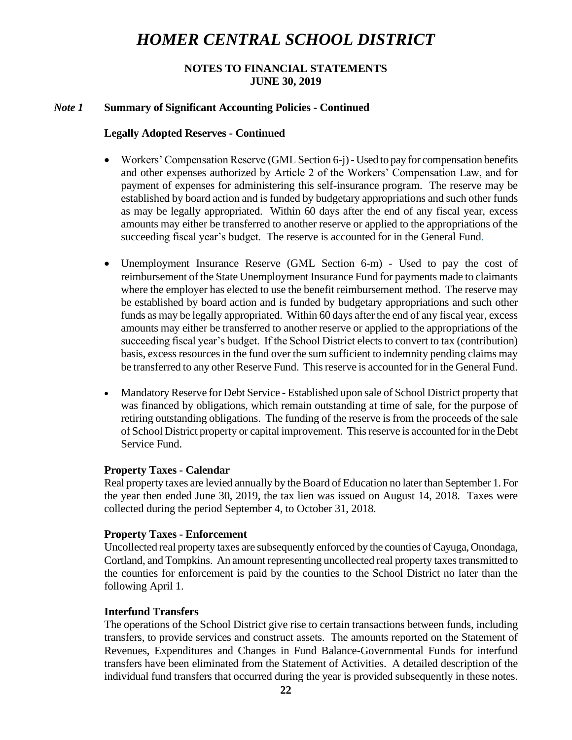## **NOTES TO FINANCIAL STATEMENTS JUNE 30, 2019**

### *Note 1* **Summary of Significant Accounting Policies - Continued**

#### **Legally Adopted Reserves - Continued**

- Workers' Compensation Reserve (GML Section 6-j) Used to pay for compensation benefits and other expenses authorized by Article 2 of the Workers' Compensation Law, and for payment of expenses for administering this self-insurance program. The reserve may be established by board action and is funded by budgetary appropriations and such other funds as may be legally appropriated. Within 60 days after the end of any fiscal year, excess amounts may either be transferred to another reserve or applied to the appropriations of the succeeding fiscal year's budget. The reserve is accounted for in the General Fund.
- Unemployment Insurance Reserve (GML Section 6-m) Used to pay the cost of reimbursement of the State Unemployment Insurance Fund for payments made to claimants where the employer has elected to use the benefit reimbursement method. The reserve may be established by board action and is funded by budgetary appropriations and such other funds as may be legally appropriated. Within 60 days after the end of any fiscal year, excess amounts may either be transferred to another reserve or applied to the appropriations of the succeeding fiscal year's budget. If the School District elects to convert to tax (contribution) basis, excess resources in the fund over the sum sufficient to indemnity pending claims may be transferred to any other Reserve Fund. This reserve is accounted for in the General Fund.
- Mandatory Reserve for Debt Service Established upon sale of School District property that was financed by obligations, which remain outstanding at time of sale, for the purpose of retiring outstanding obligations. The funding of the reserve is from the proceeds of the sale of School District property or capital improvement. This reserve is accounted for in the Debt Service Fund.

#### **Property Taxes - Calendar**

Real property taxes are levied annually by the Board of Education no later than September 1. For the year then ended June 30, 2019, the tax lien was issued on August 14, 2018. Taxes were collected during the period September 4, to October 31, 2018.

#### **Property Taxes - Enforcement**

Uncollected real property taxes are subsequently enforced by the counties of Cayuga, Onondaga, Cortland, and Tompkins. An amount representing uncollected real property taxes transmitted to the counties for enforcement is paid by the counties to the School District no later than the following April 1.

## **Interfund Transfers**

The operations of the School District give rise to certain transactions between funds, including transfers, to provide services and construct assets. The amounts reported on the Statement of Revenues, Expenditures and Changes in Fund Balance-Governmental Funds for interfund transfers have been eliminated from the Statement of Activities. A detailed description of the individual fund transfers that occurred during the year is provided subsequently in these notes.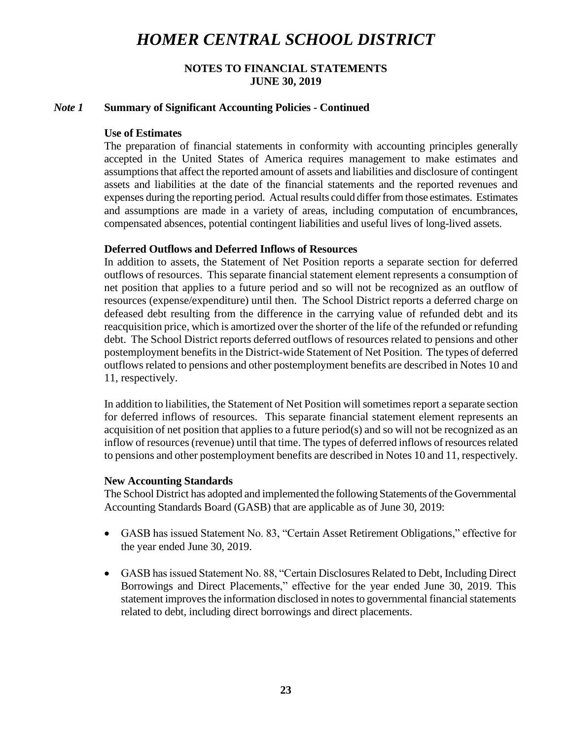## **NOTES TO FINANCIAL STATEMENTS JUNE 30, 2019**

### *Note 1* **Summary of Significant Accounting Policies - Continued**

#### **Use of Estimates**

The preparation of financial statements in conformity with accounting principles generally accepted in the United States of America requires management to make estimates and assumptions that affect the reported amount of assets and liabilities and disclosure of contingent assets and liabilities at the date of the financial statements and the reported revenues and expenses during the reporting period. Actual results could differ from those estimates. Estimates and assumptions are made in a variety of areas, including computation of encumbrances, compensated absences, potential contingent liabilities and useful lives of long-lived assets.

## **Deferred Outflows and Deferred Inflows of Resources**

In addition to assets, the Statement of Net Position reports a separate section for deferred outflows of resources. This separate financial statement element represents a consumption of net position that applies to a future period and so will not be recognized as an outflow of resources (expense/expenditure) until then. The School District reports a deferred charge on defeased debt resulting from the difference in the carrying value of refunded debt and its reacquisition price, which is amortized over the shorter of the life of the refunded or refunding debt. The School District reports deferred outflows of resources related to pensions and other postemployment benefits in the District-wide Statement of Net Position. The types of deferred outflows related to pensions and other postemployment benefits are described in Notes 10 and 11, respectively.

In addition to liabilities, the Statement of Net Position will sometimes report a separate section for deferred inflows of resources. This separate financial statement element represents an acquisition of net position that applies to a future period(s) and so will not be recognized as an inflow of resources (revenue) until that time. The types of deferred inflows of resources related to pensions and other postemployment benefits are described in Notes 10 and 11, respectively.

#### **New Accounting Standards**

The School District has adopted and implemented the following Statements of the Governmental Accounting Standards Board (GASB) that are applicable as of June 30, 2019:

- GASB has issued Statement No. 83, "Certain Asset Retirement Obligations," effective for the year ended June 30, 2019.
- GASB has issued Statement No. 88, "Certain Disclosures Related to Debt, Including Direct Borrowings and Direct Placements," effective for the year ended June 30, 2019. This statement improves the information disclosed in notes to governmental financial statements related to debt, including direct borrowings and direct placements.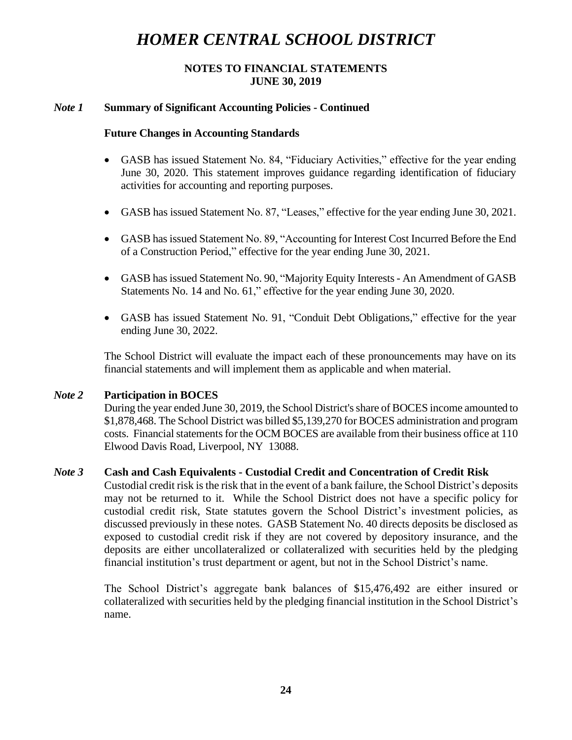## **NOTES TO FINANCIAL STATEMENTS JUNE 30, 2019**

## *Note 1* **Summary of Significant Accounting Policies - Continued**

### **Future Changes in Accounting Standards**

- GASB has issued Statement No. 84, "Fiduciary Activities," effective for the year ending June 30, 2020. This statement improves guidance regarding identification of fiduciary activities for accounting and reporting purposes.
- GASB has issued Statement No. 87, "Leases," effective for the year ending June 30, 2021.
- GASB has issued Statement No. 89, "Accounting for Interest Cost Incurred Before the End of a Construction Period," effective for the year ending June 30, 2021.
- GASB has issued Statement No. 90, "Majority Equity Interests- An Amendment of GASB Statements No. 14 and No. 61," effective for the year ending June 30, 2020.
- GASB has issued Statement No. 91, "Conduit Debt Obligations," effective for the year ending June 30, 2022.

The School District will evaluate the impact each of these pronouncements may have on its financial statements and will implement them as applicable and when material.

## *Note 2* **Participation in BOCES**

During the year ended June 30, 2019, the School District's share of BOCES income amounted to \$1,878,468. The School District was billed \$5,139,270 for BOCES administration and program costs. Financial statements for the OCM BOCES are available from their business office at 110 Elwood Davis Road, Liverpool, NY 13088.

## *Note 3* **Cash and Cash Equivalents - Custodial Credit and Concentration of Credit Risk**

Custodial credit risk is the risk that in the event of a bank failure, the School District's deposits may not be returned to it. While the School District does not have a specific policy for custodial credit risk, State statutes govern the School District's investment policies, as discussed previously in these notes. GASB Statement No. 40 directs deposits be disclosed as exposed to custodial credit risk if they are not covered by depository insurance, and the deposits are either uncollateralized or collateralized with securities held by the pledging financial institution's trust department or agent, but not in the School District's name.

The School District's aggregate bank balances of \$15,476,492 are either insured or collateralized with securities held by the pledging financial institution in the School District's name.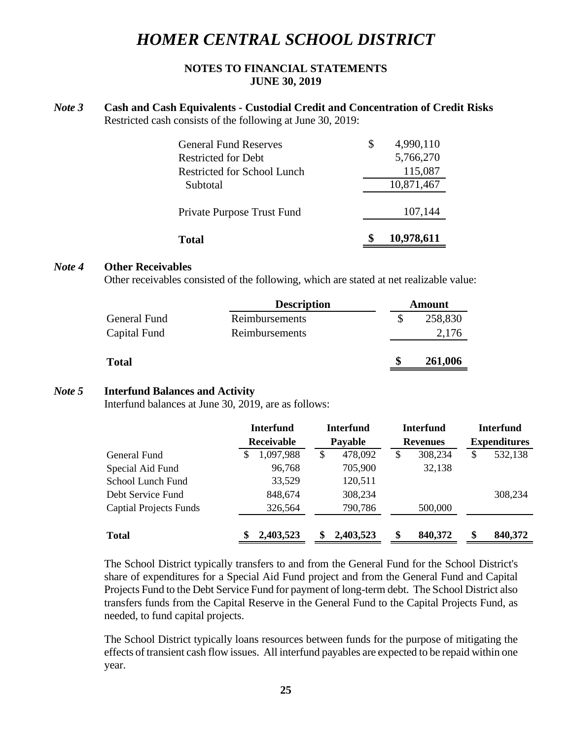## **NOTES TO FINANCIAL STATEMENTS JUNE 30, 2019**

### *Note 3* **Cash and Cash Equivalents - Custodial Credit and Concentration of Credit Risks** Restricted cash consists of the following at June 30, 2019:

| <b>Total</b>                 | 10,978,611      |
|------------------------------|-----------------|
| Private Purpose Trust Fund   | 107,144         |
| Subtotal                     | 10,871,467      |
| Restricted for School Lunch  | 115,087         |
| Restricted for Debt          | 5,766,270       |
| <b>General Fund Reserves</b> | \$<br>4,990,110 |

#### *Note 4* **Other Receivables**

Other receivables consisted of the following, which are stated at net realizable value:

|              | <b>Description</b> | <b>Amount</b> |
|--------------|--------------------|---------------|
| General Fund | Reimbursements     | 258,830       |
| Capital Fund | Reimbursements     | 2,176         |
| <b>Total</b> |                    | \$<br>261,006 |

## *Note 5* **Interfund Balances and Activity**

Interfund balances at June 30, 2019, are as follows:

|                               | <b>Interfund</b> | <b>Interfund</b> | <b>Interfund</b> | <b>Interfund</b><br><b>Expenditures</b> |  |
|-------------------------------|------------------|------------------|------------------|-----------------------------------------|--|
|                               | Receivable       | Payable          | <b>Revenues</b>  |                                         |  |
| General Fund                  | 1,097,988<br>S   | 478,092<br>\$    | 308,234<br>S     | 532,138<br>S                            |  |
| Special Aid Fund              | 96,768           | 705,900          | 32,138           |                                         |  |
| School Lunch Fund             | 33,529           | 120,511          |                  |                                         |  |
| Debt Service Fund             | 848,674          | 308,234          |                  | 308,234                                 |  |
| <b>Captial Projects Funds</b> | 326,564          | 790,786          | 500,000          |                                         |  |
| <b>Total</b>                  | 2,403,523        | 2,403,523<br>\$  | 840,372<br>S     | \$<br>840,372                           |  |

The School District typically transfers to and from the General Fund for the School District's share of expenditures for a Special Aid Fund project and from the General Fund and Capital Projects Fund to the Debt Service Fund for payment of long-term debt. The School District also transfers funds from the Capital Reserve in the General Fund to the Capital Projects Fund, as needed, to fund capital projects.

The School District typically loans resources between funds for the purpose of mitigating the effects of transient cash flow issues. All interfund payables are expected to be repaid within one year.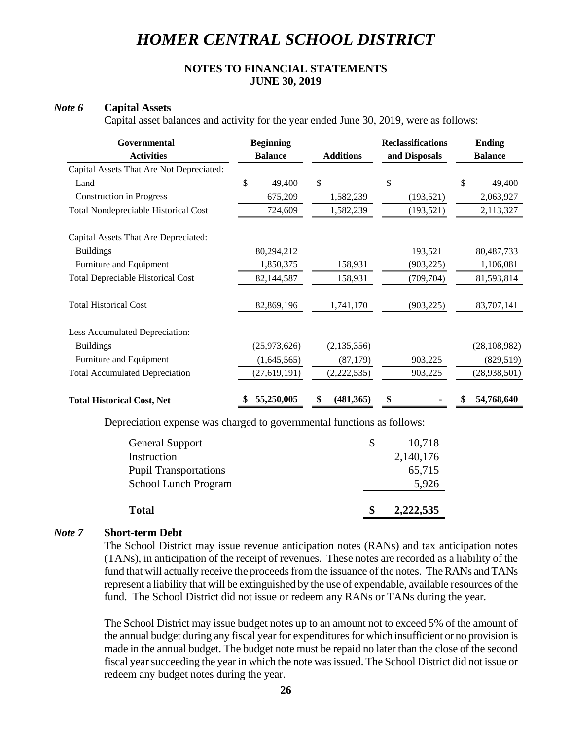## **NOTES TO FINANCIAL STATEMENTS JUNE 30, 2019**

#### *Note 6* **Capital Assets**

Capital asset balances and activity for the year ended June 30, 2019, were as follows:

| Governmental                                | <b>Beginning</b> |                  | <b>Reclassifications</b> | <b>Ending</b>    |  |
|---------------------------------------------|------------------|------------------|--------------------------|------------------|--|
| <b>Activities</b>                           | <b>Balance</b>   | <b>Additions</b> | and Disposals            | <b>Balance</b>   |  |
| Capital Assets That Are Not Depreciated:    |                  |                  |                          |                  |  |
| Land                                        | \$<br>49,400     | \$               | \$                       | \$<br>49,400     |  |
| <b>Construction in Progress</b>             | 675,209          | 1,582,239        | (193, 521)               | 2,063,927        |  |
| <b>Total Nondepreciable Historical Cost</b> | 724,609          | 1,582,239        | (193, 521)               | 2,113,327        |  |
| Capital Assets That Are Depreciated:        |                  |                  |                          |                  |  |
| <b>Buildings</b>                            | 80,294,212       |                  | 193,521                  | 80,487,733       |  |
| Furniture and Equipment                     | 1,850,375        | 158,931          | (903, 225)               | 1,106,081        |  |
| <b>Total Depreciable Historical Cost</b>    | 82,144,587       | 158,931          | (709, 704)               | 81,593,814       |  |
| <b>Total Historical Cost</b>                | 82,869,196       | 1,741,170        | (903, 225)               | 83,707,141       |  |
| Less Accumulated Depreciation:              |                  |                  |                          |                  |  |
| <b>Buildings</b>                            | (25,973,626)     | (2, 135, 356)    |                          | (28, 108, 982)   |  |
| Furniture and Equipment                     | (1,645,565)      | (87, 179)        | 903,225                  | (829, 519)       |  |
| <b>Total Accumulated Depreciation</b>       | (27, 619, 191)   | (2,222,535)      | 903,225                  | (28, 938, 501)   |  |
| <b>Total Historical Cost, Net</b>           | 55,250,005<br>\$ | (481, 365)<br>\$ | \$                       | 54,768,640<br>\$ |  |

Depreciation expense was charged to governmental functions as follows:

|   | 5,926     |
|---|-----------|
|   |           |
|   | 65,715    |
|   | 2,140,176 |
| S | 10,718    |
|   |           |

#### *Note 7* **Short-term Debt**

The School District may issue revenue anticipation notes (RANs) and tax anticipation notes (TANs), in anticipation of the receipt of revenues. These notes are recorded as a liability of the fund that will actually receive the proceeds from the issuance of the notes. The RANs and TANs represent a liability that will be extinguished by the use of expendable, available resources of the fund. The School District did not issue or redeem any RANs or TANs during the year.

The School District may issue budget notes up to an amount not to exceed 5% of the amount of the annual budget during any fiscal year for expenditures for which insufficient or no provision is made in the annual budget. The budget note must be repaid no later than the close of the second fiscal year succeeding the year in which the note was issued. The School District did not issue or redeem any budget notes during the year.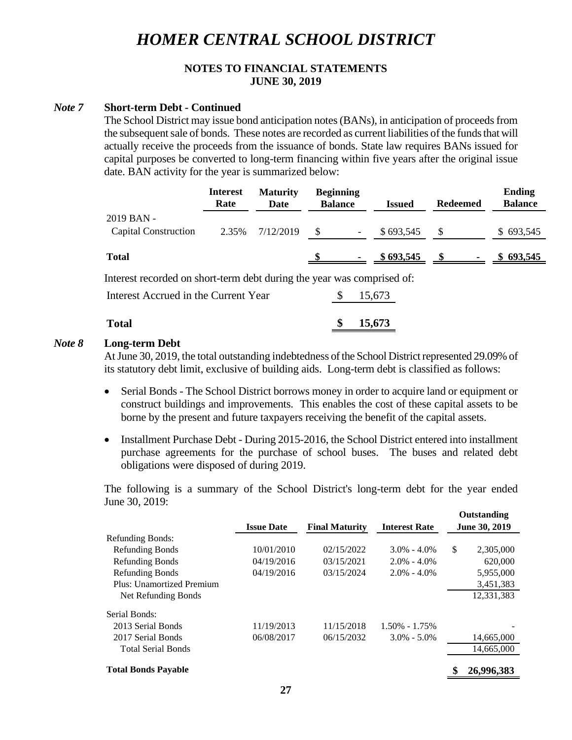## **NOTES TO FINANCIAL STATEMENTS JUNE 30, 2019**

#### *Note 7* **Short-term Debt - Continued**

The School District may issue bond anticipation notes (BANs), in anticipation of proceeds from the subsequent sale of bonds. These notes are recorded as current liabilities of the funds that will actually receive the proceeds from the issuance of bonds. State law requires BANs issued for capital purposes be converted to long-term financing within five years after the original issue date. BAN activity for the year is summarized below:

|                                                                        | <b>Interest</b><br>Rate | <b>Maturity</b><br>Date | <b>Beginning</b><br><b>Balance</b> |                          | <b>Issued</b> | <b>Redeemed</b> | <b>Ending</b><br><b>Balance</b> |
|------------------------------------------------------------------------|-------------------------|-------------------------|------------------------------------|--------------------------|---------------|-----------------|---------------------------------|
| 2019 BAN -<br><b>Capital Construction</b>                              | 2.35%                   | 7/12/2019               | <sup>\$</sup>                      | $\overline{\phantom{a}}$ | \$693,545     | S               | \$693,545                       |
| <b>Total</b>                                                           |                         |                         |                                    |                          | \$693,545     |                 | \$693,545                       |
| Interest recorded on short-term debt during the year was comprised of: |                         |                         |                                    |                          |               |                 |                                 |
| Interest Accrued in the Current Year                                   |                         |                         |                                    |                          | 15,673        |                 |                                 |

| <b>Total</b> |  | \$15,673 |
|--------------|--|----------|
|              |  |          |

#### *Note 8* **Long-term Debt**

At June 30, 2019, the total outstanding indebtedness of the School District represented 29.09% of its statutory debt limit, exclusive of building aids. Long-term debt is classified as follows:

- Serial Bonds The School District borrows money in order to acquire land or equipment or construct buildings and improvements. This enables the cost of these capital assets to be borne by the present and future taxpayers receiving the benefit of the capital assets.
- Installment Purchase Debt During 2015-2016, the School District entered into installment purchase agreements for the purchase of school buses. The buses and related debt obligations were disposed of during 2019.

The following is a summary of the School District's long-term debt for the year ended June 30, 2019:

**Outstanding**

|                            |                   |                       |                      | <b>Outstanding</b> |
|----------------------------|-------------------|-----------------------|----------------------|--------------------|
|                            | <b>Issue Date</b> | <b>Final Maturity</b> | <b>Interest Rate</b> | June 30, 2019      |
| <b>Refunding Bonds:</b>    |                   |                       |                      |                    |
| <b>Refunding Bonds</b>     | 10/01/2010        | 02/15/2022            | $3.0\% - 4.0\%$      | \$<br>2,305,000    |
| <b>Refunding Bonds</b>     | 04/19/2016        | 03/15/2021            | $2.0\% - 4.0\%$      | 620,000            |
| <b>Refunding Bonds</b>     | 04/19/2016        | 03/15/2024            | $2.0\% - 4.0\%$      | 5,955,000          |
| Plus: Unamortized Premium  |                   |                       |                      | 3,451,383          |
| Net Refunding Bonds        |                   |                       |                      | 12.331.383         |
| Serial Bonds:              |                   |                       |                      |                    |
| 2013 Serial Bonds          | 11/19/2013        | 11/15/2018            | $1.50\% - 1.75\%$    |                    |
| 2017 Serial Bonds          | 06/08/2017        | 06/15/2032            | $3.0\% - 5.0\%$      | 14,665,000         |
| <b>Total Serial Bonds</b>  |                   |                       |                      | 14,665,000         |
| <b>Total Bonds Payable</b> |                   |                       |                      | 26,996,383         |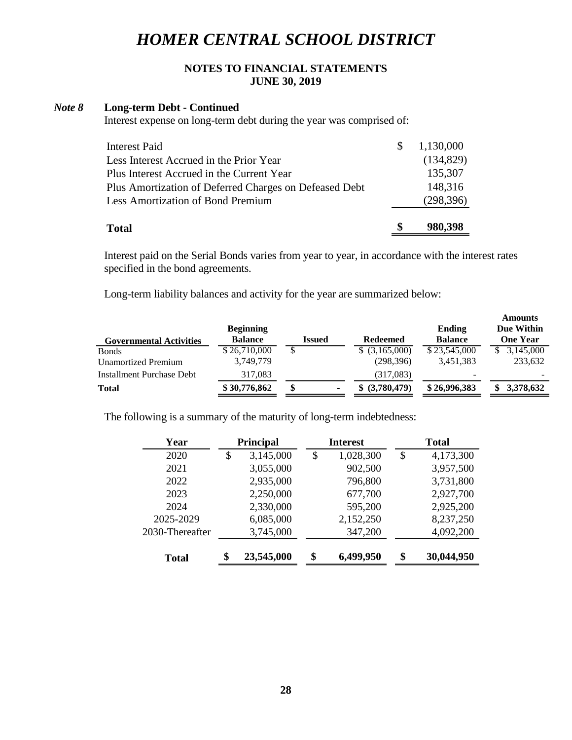## **NOTES TO FINANCIAL STATEMENTS JUNE 30, 2019**

#### *Note 8* **Long-term Debt - Continued**

Interest expense on long-term debt during the year was comprised of:

| <b>Total</b>                                           | S            | 980,398    |
|--------------------------------------------------------|--------------|------------|
| <b>Less Amortization of Bond Premium</b>               |              | (298, 396) |
| Plus Amortization of Deferred Charges on Defeased Debt |              | 148,316    |
| Plus Interest Accrued in the Current Year              |              | 135,307    |
| Less Interest Accrued in the Prior Year                |              | (134,829)  |
| <b>Interest Paid</b>                                   | <sup>8</sup> | 1,130,000  |
|                                                        |              |            |

Interest paid on the Serial Bonds varies from year to year, in accordance with the interest rates specified in the bond agreements.

Long-term liability balances and activity for the year are summarized below:

| <b>Governmental Activities</b> | <b>Beginning</b><br><b>Balance</b> | Issued |   | <b>Redeemed</b>   | Ending<br><b>Balance</b> | Amounts<br>Due Within<br><b>One Year</b> |
|--------------------------------|------------------------------------|--------|---|-------------------|--------------------------|------------------------------------------|
| <b>B</b> onds                  | \$26,710,000                       |        |   | $$$ $(3,165,000)$ | \$23,545,000             | 3,145,000                                |
| <b>Unamortized Premium</b>     | 3,749,779                          |        |   | (298, 396)        | 3,451,383                | 233,632                                  |
| Installment Purchase Debt      | 317,083                            |        |   | (317,083)         | -                        |                                          |
| <b>Total</b>                   | \$30,776,862                       | \$     | ۰ | (3,780,479)       | \$26,996,383             | 3,378,632                                |
|                                |                                    |        |   |                   |                          |                                          |

**Amounts**

The following is a summary of the maturity of long-term indebtedness:

| Year            | <b>Principal</b> |            | <b>Interest</b> |           | <b>Total</b>     |
|-----------------|------------------|------------|-----------------|-----------|------------------|
| 2020            | \$               | 3,145,000  | \$              | 1,028,300 | \$<br>4,173,300  |
| 2021            |                  | 3,055,000  |                 | 902,500   | 3,957,500        |
| 2022            |                  | 2,935,000  |                 | 796,800   | 3,731,800        |
| 2023            |                  | 2,250,000  |                 | 677,700   | 2,927,700        |
| 2024            |                  | 2,330,000  |                 | 595,200   | 2,925,200        |
| 2025-2029       |                  | 6,085,000  |                 | 2,152,250 | 8,237,250        |
| 2030-Thereafter |                  | 3,745,000  |                 | 347,200   | 4,092,200        |
| Total           | \$               | 23,545,000 | \$              | 6,499,950 | \$<br>30,044,950 |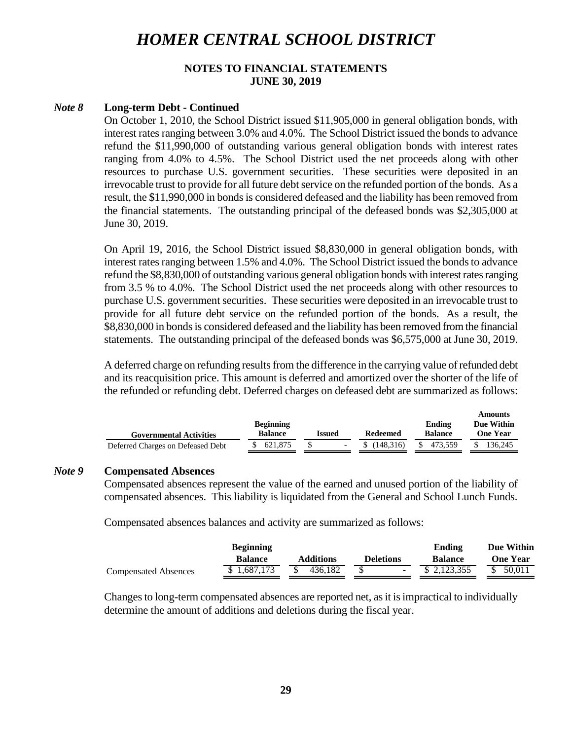## **NOTES TO FINANCIAL STATEMENTS JUNE 30, 2019**

### *Note 8* **Long-term Debt - Continued**

On October 1, 2010, the School District issued \$11,905,000 in general obligation bonds, with interest rates ranging between 3.0% and 4.0%. The School District issued the bonds to advance refund the \$11,990,000 of outstanding various general obligation bonds with interest rates ranging from 4.0% to 4.5%. The School District used the net proceeds along with other resources to purchase U.S. government securities. These securities were deposited in an irrevocable trust to provide for all future debt service on the refunded portion of the bonds. As a result, the \$11,990,000 in bonds is considered defeased and the liability has been removed from the financial statements. The outstanding principal of the defeased bonds was \$2,305,000 at June 30, 2019.

On April 19, 2016, the School District issued \$8,830,000 in general obligation bonds, with interest rates ranging between 1.5% and 4.0%. The School District issued the bonds to advance refund the \$8,830,000 of outstanding various general obligation bonds with interest rates ranging from 3.5 % to 4.0%. The School District used the net proceeds along with other resources to purchase U.S. government securities. These securities were deposited in an irrevocable trust to provide for all future debt service on the refunded portion of the bonds. As a result, the \$8,830,000 in bonds is considered defeased and the liability has been removed from the financial statements. The outstanding principal of the defeased bonds was \$6,575,000 at June 30, 2019.

A deferred charge on refunding results from the difference in the carrying value of refunded debt and its reacquisition price. This amount is deferred and amortized over the shorter of the life of the refunded or refunding debt. Deferred charges on defeased debt are summarized as follows:

|                                   |                          |            |                                   |           | Ашошку   |
|-----------------------------------|--------------------------|------------|-----------------------------------|-----------|----------|
|                                   | Ending                   | Due Within |                                   |           |          |
| <b>Governmental Activities</b>    | <b>Balance</b><br>Issued |            | <b>Balance</b><br><b>Redeemed</b> |           | One Year |
| Deferred Charges on Defeased Debt | \$ 621,875               |            | \$(148.316)                       | \$473.559 | 136.245  |

**Amounts**

#### *Note 9* **Compensated Absences**

Compensated absences represent the value of the earned and unused portion of the liability of compensated absences. This liability is liquidated from the General and School Lunch Funds.

Compensated absences balances and activity are summarized as follows:

|                             | <b>Beginning</b> |                  |                  | Ending         | Due Within      |
|-----------------------------|------------------|------------------|------------------|----------------|-----------------|
|                             | <b>Balance</b>   | <b>Additions</b> | <b>Deletions</b> | <b>Balance</b> | <b>One Year</b> |
| <b>Compensated Absences</b> | \$1.687.173      | 436.182          |                  | \$ 2,123,355   | 50.011          |

Changes to long-term compensated absences are reported net, as it is impractical to individually determine the amount of additions and deletions during the fiscal year.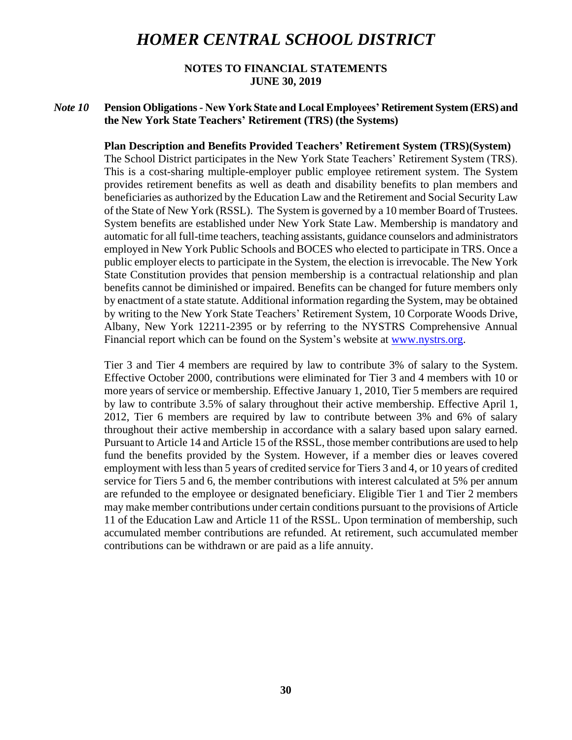### **NOTES TO FINANCIAL STATEMENTS JUNE 30, 2019**

## *Note 10* **Pension Obligations - New York State and Local Employees' Retirement System (ERS) and the New York State Teachers' Retirement (TRS) (the Systems)**

#### **Plan Description and Benefits Provided Teachers' Retirement System (TRS)(System)**

The School District participates in the New York State Teachers' Retirement System (TRS). This is a cost-sharing multiple-employer public employee retirement system. The System provides retirement benefits as well as death and disability benefits to plan members and beneficiaries as authorized by the Education Law and the Retirement and Social Security Law of the State of New York (RSSL). The System is governed by a 10 member Board of Trustees. System benefits are established under New York State Law. Membership is mandatory and automatic for all full-time teachers, teaching assistants, guidance counselors and administrators employed in New York Public Schools and BOCES who elected to participate in TRS. Once a public employer elects to participate in the System, the election is irrevocable. The New York State Constitution provides that pension membership is a contractual relationship and plan benefits cannot be diminished or impaired. Benefits can be changed for future members only by enactment of a state statute. Additional information regarding the System, may be obtained by writing to the New York State Teachers' Retirement System, 10 Corporate Woods Drive, Albany, New York 12211-2395 or by referring to the NYSTRS Comprehensive Annual Financial report which can be found on the System's website at [www.nystrs.org.](http://www.nystrs.org/)

Tier 3 and Tier 4 members are required by law to contribute 3% of salary to the System. Effective October 2000, contributions were eliminated for Tier 3 and 4 members with 10 or more years of service or membership. Effective January 1, 2010, Tier 5 members are required by law to contribute 3.5% of salary throughout their active membership. Effective April 1, 2012, Tier 6 members are required by law to contribute between 3% and 6% of salary throughout their active membership in accordance with a salary based upon salary earned. Pursuant to Article 14 and Article 15 of the RSSL, those member contributions are used to help fund the benefits provided by the System. However, if a member dies or leaves covered employment with less than 5 years of credited service for Tiers 3 and 4, or 10 years of credited service for Tiers 5 and 6, the member contributions with interest calculated at 5% per annum are refunded to the employee or designated beneficiary. Eligible Tier 1 and Tier 2 members may make member contributions under certain conditions pursuant to the provisions of Article 11 of the Education Law and Article 11 of the RSSL. Upon termination of membership, such accumulated member contributions are refunded. At retirement, such accumulated member contributions can be withdrawn or are paid as a life annuity.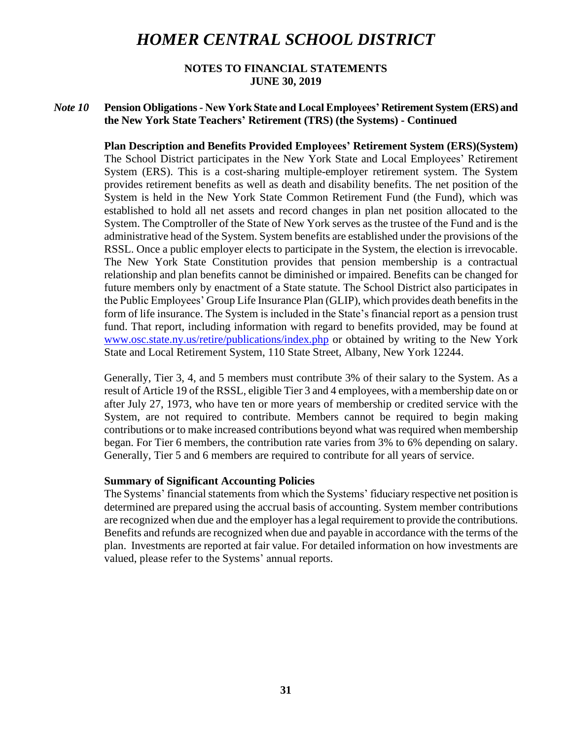### **NOTES TO FINANCIAL STATEMENTS JUNE 30, 2019**

## *Note 10* **Pension Obligations - New York State and Local Employees' Retirement System (ERS) and the New York State Teachers' Retirement (TRS) (the Systems) - Continued**

**Plan Description and Benefits Provided Employees' Retirement System (ERS)(System)** The School District participates in the New York State and Local Employees' Retirement System (ERS). This is a cost-sharing multiple-employer retirement system. The System provides retirement benefits as well as death and disability benefits. The net position of the System is held in the New York State Common Retirement Fund (the Fund), which was established to hold all net assets and record changes in plan net position allocated to the System. The Comptroller of the State of New York serves as the trustee of the Fund and is the administrative head of the System. System benefits are established under the provisions of the RSSL. Once a public employer elects to participate in the System, the election is irrevocable. The New York State Constitution provides that pension membership is a contractual relationship and plan benefits cannot be diminished or impaired. Benefits can be changed for future members only by enactment of a State statute. The School District also participates in the Public Employees' Group Life Insurance Plan (GLIP), which provides death benefits in the form of life insurance. The System is included in the State's financial report as a pension trust fund. That report, including information with regard to benefits provided, may be found at www.osc.state.ny.us/retire/publications/index.php or obtained by writing to the New York State and Local Retirement System, 110 State Street, Albany, New York 12244.

Generally, Tier 3, 4, and 5 members must contribute 3% of their salary to the System. As a result of Article 19 of the RSSL, eligible Tier 3 and 4 employees, with a membership date on or after July 27, 1973, who have ten or more years of membership or credited service with the System, are not required to contribute. Members cannot be required to begin making contributions or to make increased contributions beyond what was required when membership began. For Tier 6 members, the contribution rate varies from 3% to 6% depending on salary. Generally, Tier 5 and 6 members are required to contribute for all years of service.

#### **Summary of Significant Accounting Policies**

The Systems' financial statements from which the Systems' fiduciary respective net position is determined are prepared using the accrual basis of accounting. System member contributions are recognized when due and the employer has a legal requirement to provide the contributions. Benefits and refunds are recognized when due and payable in accordance with the terms of the plan. Investments are reported at fair value. For detailed information on how investments are valued, please refer to the Systems' annual reports.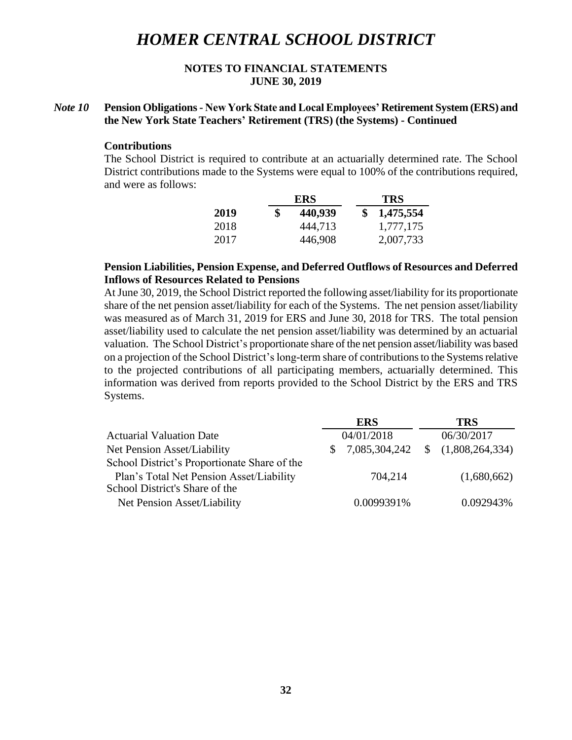## **NOTES TO FINANCIAL STATEMENTS JUNE 30, 2019**

## *Note 10* **Pension Obligations - New York State and Local Employees' Retirement System (ERS) and the New York State Teachers' Retirement (TRS) (the Systems) - Continued**

#### **Contributions**

The School District is required to contribute at an actuarially determined rate. The School District contributions made to the Systems were equal to 100% of the contributions required, and were as follows:

|      | ERS           | <b>TRS</b> |
|------|---------------|------------|
| 2019 | \$<br>440,939 | 1,475,554  |
| 2018 | 444,713       | 1,777,175  |
| 2017 | 446,908       | 2,007,733  |

### **Pension Liabilities, Pension Expense, and Deferred Outflows of Resources and Deferred Inflows of Resources Related to Pensions**

At June 30, 2019, the School District reported the following asset/liability for its proportionate share of the net pension asset/liability for each of the Systems. The net pension asset/liability was measured as of March 31, 2019 for ERS and June 30, 2018 for TRS. The total pension asset/liability used to calculate the net pension asset/liability was determined by an actuarial valuation. The School District's proportionate share of the net pension asset/liability was based on a projection of the School District's long-term share of contributions to the Systems relative to the projected contributions of all participating members, actuarially determined. This information was derived from reports provided to the School District by the ERS and TRS Systems.

|                                              |    | <b>ERS</b>       | <b>TRS</b>      |
|----------------------------------------------|----|------------------|-----------------|
| <b>Actuarial Valuation Date</b>              |    | 04/01/2018       | 06/30/2017      |
| Net Pension Asset/Liability                  | S. | 7,085,304,242 \$ | (1,808,264,334) |
| School District's Proportionate Share of the |    |                  |                 |
| Plan's Total Net Pension Asset/Liability     |    | 704,214          | (1,680,662)     |
| School District's Share of the               |    |                  |                 |
| Net Pension Asset/Liability                  |    | 0.0099391%       | 0.092943%       |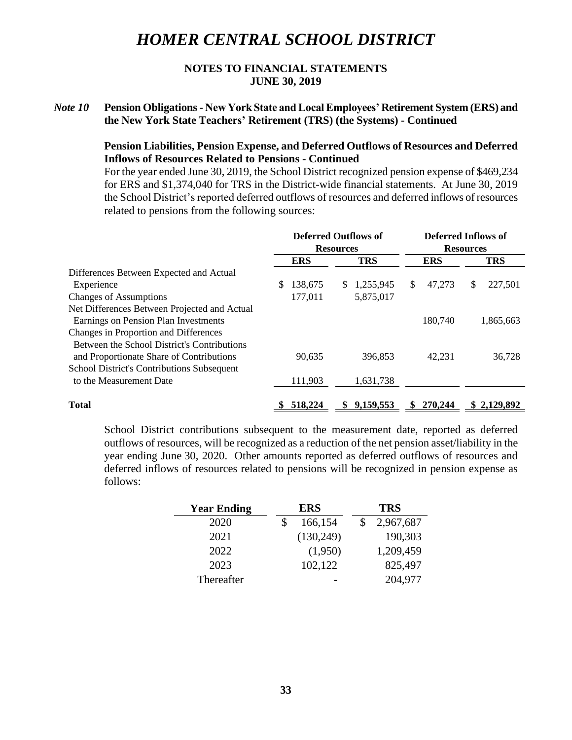## **NOTES TO FINANCIAL STATEMENTS JUNE 30, 2019**

## *Note 10* **Pension Obligations - New York State and Local Employees' Retirement System (ERS) and the New York State Teachers' Retirement (TRS) (the Systems) - Continued**

### **Pension Liabilities, Pension Expense, and Deferred Outflows of Resources and Deferred Inflows of Resources Related to Pensions - Continued**

For the year ended June 30, 2019, the School District recognized pension expense of \$469,234 for ERS and \$1,374,040 for TRS in the District-wide financial statements. At June 30, 2019 the School District's reported deferred outflows of resources and deferred inflows of resources related to pensions from the following sources:

|                                              | <b>Deferred Outflows of</b> |            | <b>Deferred Inflows of</b> |             |                  |            |    |             |
|----------------------------------------------|-----------------------------|------------|----------------------------|-------------|------------------|------------|----|-------------|
|                                              |                             |            | <b>Resources</b>           |             | <b>Resources</b> |            |    |             |
|                                              |                             | <b>ERS</b> |                            | <b>TRS</b>  |                  | <b>ERS</b> |    | <b>TRS</b>  |
| Differences Between Expected and Actual      |                             |            |                            |             |                  |            |    |             |
| Experience                                   | S.                          | 138,675    | \$                         | 1,255,945   | <sup>\$</sup>    | 47,273     | \$ | 227,501     |
| <b>Changes of Assumptions</b>                |                             | 177,011    |                            | 5,875,017   |                  |            |    |             |
| Net Differences Between Projected and Actual |                             |            |                            |             |                  |            |    |             |
| Earnings on Pension Plan Investments         |                             |            |                            |             |                  | 180,740    |    | 1,865,663   |
| Changes in Proportion and Differences        |                             |            |                            |             |                  |            |    |             |
| Between the School District's Contributions  |                             |            |                            |             |                  |            |    |             |
| and Proportionate Share of Contributions     |                             | 90.635     |                            | 396.853     |                  | 42.231     |    | 36,728      |
| School District's Contributions Subsequent   |                             |            |                            |             |                  |            |    |             |
| to the Measurement Date                      |                             | 111,903    |                            | 1,631,738   |                  |            |    |             |
| <b>Total</b>                                 |                             | 518,224    |                            | \$9,159,553 | S                | 270,244    |    | \$2,129,892 |

School District contributions subsequent to the measurement date, reported as deferred outflows of resources, will be recognized as a reduction of the net pension asset/liability in the year ending June 30, 2020. Other amounts reported as deferred outflows of resources and deferred inflows of resources related to pensions will be recognized in pension expense as follows:

| <b>Year Ending</b> | <b>ERS</b> | <b>TRS</b> |
|--------------------|------------|------------|
| 2020               | 166,154    | 2,967,687  |
| 2021               | (130, 249) | 190,303    |
| 2022               | (1,950)    | 1,209,459  |
| 2023               | 102,122    | 825,497    |
| Thereafter         |            | 204,977    |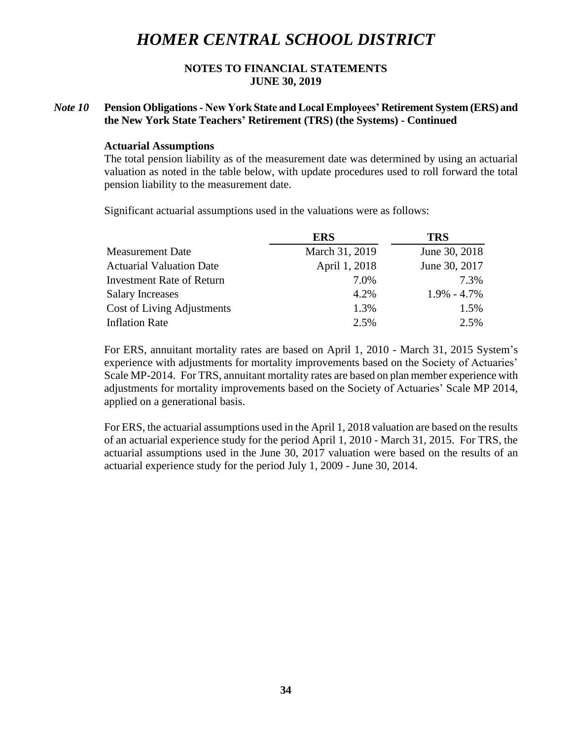### **NOTES TO FINANCIAL STATEMENTS JUNE 30, 2019**

## *Note 10* **Pension Obligations - New York State and Local Employees' Retirement System (ERS) and the New York State Teachers' Retirement (TRS) (the Systems) - Continued**

#### **Actuarial Assumptions**

The total pension liability as of the measurement date was determined by using an actuarial valuation as noted in the table below, with update procedures used to roll forward the total pension liability to the measurement date.

Significant actuarial assumptions used in the valuations were as follows:

|                                  | <b>ERS</b>     | <b>TRS</b>      |
|----------------------------------|----------------|-----------------|
| <b>Measurement Date</b>          | March 31, 2019 | June 30, 2018   |
| <b>Actuarial Valuation Date</b>  | April 1, 2018  | June 30, 2017   |
| <b>Investment Rate of Return</b> | 7.0%           | 7.3%            |
| <b>Salary Increases</b>          | 4.2%           | $1.9\% - 4.7\%$ |
| Cost of Living Adjustments       | 1.3%           | 1.5%            |
| <b>Inflation Rate</b>            | 2.5%           | 2.5%            |

For ERS, annuitant mortality rates are based on April 1, 2010 - March 31, 2015 System's experience with adjustments for mortality improvements based on the Society of Actuaries' Scale MP-2014. For TRS, annuitant mortality rates are based on plan member experience with adjustments for mortality improvements based on the Society of Actuaries' Scale MP 2014, applied on a generational basis.

For ERS, the actuarial assumptions used in the April 1, 2018 valuation are based on the results of an actuarial experience study for the period April 1, 2010 - March 31, 2015. For TRS, the actuarial assumptions used in the June 30, 2017 valuation were based on the results of an actuarial experience study for the period July 1, 2009 - June 30, 2014.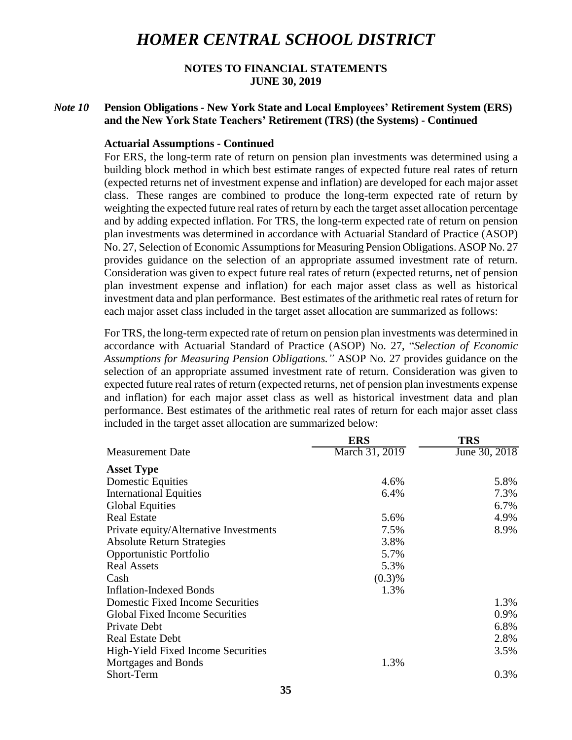### **NOTES TO FINANCIAL STATEMENTS JUNE 30, 2019**

## *Note 10* **Pension Obligations - New York State and Local Employees' Retirement System (ERS) and the New York State Teachers' Retirement (TRS) (the Systems) - Continued**

#### **Actuarial Assumptions - Continued**

For ERS, the long-term rate of return on pension plan investments was determined using a building block method in which best estimate ranges of expected future real rates of return (expected returns net of investment expense and inflation) are developed for each major asset class. These ranges are combined to produce the long-term expected rate of return by weighting the expected future real rates of return by each the target asset allocation percentage and by adding expected inflation. For TRS, the long-term expected rate of return on pension plan investments was determined in accordance with Actuarial Standard of Practice (ASOP) No. 27, Selection of Economic Assumptions for Measuring Pension Obligations. ASOP No. 27 provides guidance on the selection of an appropriate assumed investment rate of return. Consideration was given to expect future real rates of return (expected returns, net of pension plan investment expense and inflation) for each major asset class as well as historical investment data and plan performance. Best estimates of the arithmetic real rates of return for each major asset class included in the target asset allocation are summarized as follows:

For TRS, the long-term expected rate of return on pension plan investments was determined in accordance with Actuarial Standard of Practice (ASOP) No. 27, "*Selection of Economic Assumptions for Measuring Pension Obligations."* ASOP No. 27 provides guidance on the selection of an appropriate assumed investment rate of return. Consideration was given to expected future real rates of return (expected returns, net of pension plan investments expense and inflation) for each major asset class as well as historical investment data and plan performance. Best estimates of the arithmetic real rates of return for each major asset class included in the target asset allocation are summarized below:

|                                         | <b>ERS</b>     | <b>TRS</b>    |
|-----------------------------------------|----------------|---------------|
| <b>Measurement Date</b>                 | March 31, 2019 | June 30, 2018 |
| <b>Asset Type</b>                       |                |               |
| <b>Domestic Equities</b>                | 4.6%           | 5.8%          |
| <b>International Equities</b>           | 6.4%           | 7.3%          |
| <b>Global Equities</b>                  |                | 6.7%          |
| <b>Real Estate</b>                      | 5.6%           | 4.9%          |
| Private equity/Alternative Investments  | 7.5%           | 8.9%          |
| <b>Absolute Return Strategies</b>       | 3.8%           |               |
| Opportunistic Portfolio                 | 5.7%           |               |
| <b>Real Assets</b>                      | 5.3%           |               |
| Cash                                    | (0.3)%         |               |
| <b>Inflation-Indexed Bonds</b>          | 1.3%           |               |
| <b>Domestic Fixed Income Securities</b> |                | 1.3%          |
| <b>Global Fixed Income Securities</b>   |                | 0.9%          |
| Private Debt                            |                | 6.8%          |
| <b>Real Estate Debt</b>                 |                | 2.8%          |
| High-Yield Fixed Income Securities      |                | 3.5%          |
| Mortgages and Bonds                     | 1.3%           |               |
| Short-Term                              |                | 0.3%          |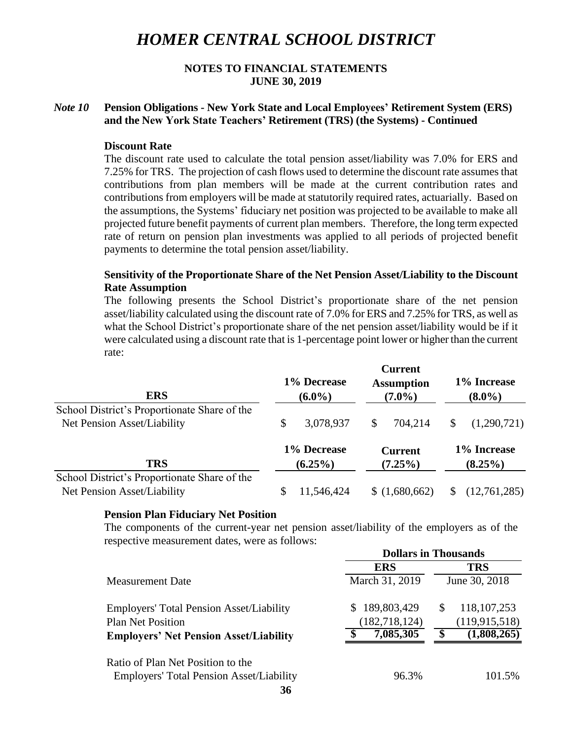## **NOTES TO FINANCIAL STATEMENTS JUNE 30, 2019**

## *Note 10* **Pension Obligations - New York State and Local Employees' Retirement System (ERS) and the New York State Teachers' Retirement (TRS) (the Systems) - Continued**

#### **Discount Rate**

The discount rate used to calculate the total pension asset/liability was 7.0% for ERS and 7.25% for TRS. The projection of cash flows used to determine the discount rate assumes that contributions from plan members will be made at the current contribution rates and contributions from employers will be made at statutorily required rates, actuarially. Based on the assumptions, the Systems' fiduciary net position was projected to be available to make all projected future benefit payments of current plan members. Therefore, the long term expected rate of return on pension plan investments was applied to all periods of projected benefit payments to determine the total pension asset/liability.

### **Sensitivity of the Proportionate Share of the Net Pension Asset/Liability to the Discount Rate Assumption**

The following presents the School District's proportionate share of the net pension asset/liability calculated using the discount rate of 7.0% for ERS and 7.25% for TRS, as well as what the School District's proportionate share of the net pension asset/liability would be if it were calculated using a discount rate that is 1-percentage point lower or higher than the current rate:

 $C_{\text{source}}$ 

| <b>ERS</b>                                                                  | 1% Decrease<br>$(6.0\%)$ | Current<br><b>Assumption</b><br>$(7.0\%)$ | 1% Increase<br>$(8.0\%)$ |
|-----------------------------------------------------------------------------|--------------------------|-------------------------------------------|--------------------------|
| School District's Proportionate Share of the                                | 3,078,937                | \$                                        | (1,290,721)              |
| Net Pension Asset/Liability                                                 | \$                       | 704,214                                   | \$                       |
| <b>TRS</b>                                                                  | 1% Decrease              | <b>Current</b>                            | 1% Increase              |
|                                                                             | $(6.25\%)$               | $(7.25\%)$                                | $(8.25\%)$               |
| School District's Proportionate Share of the<br>Net Pension Asset/Liability | 11,546,424<br>S          | \$(1,680,662)                             | (12,761,285)             |

#### **Pension Plan Fiduciary Net Position**

The components of the current-year net pension asset/liability of the employers as of the respective measurement dates, were as follows: **Dollars in Thousands**

|                                                 | Dollars in Thousands |                     |  |  |  |  |
|-------------------------------------------------|----------------------|---------------------|--|--|--|--|
|                                                 | <b>ERS</b>           | <b>TRS</b>          |  |  |  |  |
| <b>Measurement Date</b>                         | March 31, 2019       | June 30, 2018       |  |  |  |  |
| <b>Employers' Total Pension Asset/Liability</b> | 189,803,429<br>S.    | 118, 107, 253<br>\$ |  |  |  |  |
| <b>Plan Net Position</b>                        | (182, 718, 124)      | (119, 915, 518)     |  |  |  |  |
| <b>Employers' Net Pension Asset/Liability</b>   | 7,085,305            | (1,808,265)<br>S    |  |  |  |  |
| Ratio of Plan Net Position to the               |                      |                     |  |  |  |  |
| <b>Employers' Total Pension Asset/Liability</b> | 96.3%                | 101.5%              |  |  |  |  |
| 36                                              |                      |                     |  |  |  |  |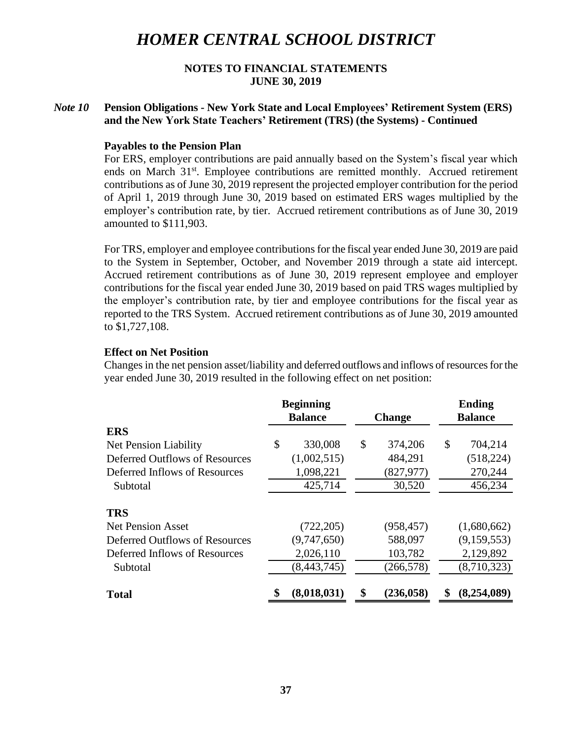### **NOTES TO FINANCIAL STATEMENTS JUNE 30, 2019**

## *Note 10* **Pension Obligations - New York State and Local Employees' Retirement System (ERS) and the New York State Teachers' Retirement (TRS) (the Systems) - Continued**

### **Payables to the Pension Plan**

For ERS, employer contributions are paid annually based on the System's fiscal year which ends on March 31<sup>st</sup>. Employee contributions are remitted monthly. Accrued retirement contributions as of June 30, 2019 represent the projected employer contribution for the period of April 1, 2019 through June 30, 2019 based on estimated ERS wages multiplied by the employer's contribution rate, by tier. Accrued retirement contributions as of June 30, 2019 amounted to \$111,903.

For TRS, employer and employee contributions for the fiscal year ended June 30, 2019 are paid to the System in September, October, and November 2019 through a state aid intercept. Accrued retirement contributions as of June 30, 2019 represent employee and employer contributions for the fiscal year ended June 30, 2019 based on paid TRS wages multiplied by the employer's contribution rate, by tier and employee contributions for the fiscal year as reported to the TRS System. Accrued retirement contributions as of June 30, 2019 amounted to \$1,727,108.

### **Effect on Net Position**

Changes in the net pension asset/liability and deferred outflows and inflows of resources for the year ended June 30, 2019 resulted in the following effect on net position:

|                                | <b>Beginning</b>  |                  |    | <b>Ending</b>  |
|--------------------------------|-------------------|------------------|----|----------------|
|                                | <b>Balance</b>    | <b>Change</b>    |    | <b>Balance</b> |
| <b>ERS</b>                     |                   |                  |    |                |
| Net Pension Liability          | \$<br>330,008     | \$<br>374,206    | \$ | 704,214        |
| Deferred Outflows of Resources | (1,002,515)       | 484,291          |    | (518, 224)     |
| Deferred Inflows of Resources  | 1,098,221         | (827, 977)       |    | 270,244        |
| Subtotal                       | 425,714           | 30,520           |    | 456,234        |
| <b>TRS</b>                     |                   |                  |    |                |
| <b>Net Pension Asset</b>       | (722, 205)        | (958, 457)       |    | (1,680,662)    |
| Deferred Outflows of Resources | (9,747,650)       | 588,097          |    | (9,159,553)    |
| Deferred Inflows of Resources  | 2,026,110         | 103,782          |    | 2,129,892      |
| Subtotal                       | (8, 443, 745)     | (266, 578)       |    | (8,710,323)    |
| <b>Total</b>                   | \$<br>(8,018,031) | \$<br>(236, 058) | S  | (8,254,089)    |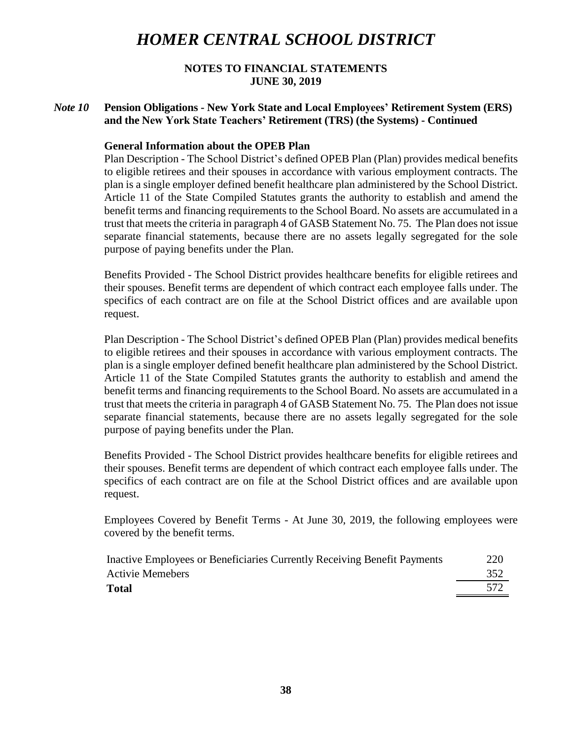## **NOTES TO FINANCIAL STATEMENTS JUNE 30, 2019**

## *Note 10* **Pension Obligations - New York State and Local Employees' Retirement System (ERS) and the New York State Teachers' Retirement (TRS) (the Systems) - Continued**

## **General Information about the OPEB Plan**

Plan Description - The School District's defined OPEB Plan (Plan) provides medical benefits to eligible retirees and their spouses in accordance with various employment contracts. The plan is a single employer defined benefit healthcare plan administered by the School District. Article 11 of the State Compiled Statutes grants the authority to establish and amend the benefit terms and financing requirements to the School Board. No assets are accumulated in a trust that meets the criteria in paragraph 4 of GASB Statement No. 75. The Plan does not issue separate financial statements, because there are no assets legally segregated for the sole purpose of paying benefits under the Plan.

Benefits Provided - The School District provides healthcare benefits for eligible retirees and their spouses. Benefit terms are dependent of which contract each employee falls under. The specifics of each contract are on file at the School District offices and are available upon request.

Plan Description - The School District's defined OPEB Plan (Plan) provides medical benefits to eligible retirees and their spouses in accordance with various employment contracts. The plan is a single employer defined benefit healthcare plan administered by the School District. Article 11 of the State Compiled Statutes grants the authority to establish and amend the benefit terms and financing requirements to the School Board. No assets are accumulated in a trust that meets the criteria in paragraph 4 of GASB Statement No. 75. The Plan does not issue separate financial statements, because there are no assets legally segregated for the sole purpose of paying benefits under the Plan.

Benefits Provided - The School District provides healthcare benefits for eligible retirees and their spouses. Benefit terms are dependent of which contract each employee falls under. The specifics of each contract are on file at the School District offices and are available upon request.

Employees Covered by Benefit Terms - At June 30, 2019, the following employees were covered by the benefit terms.

| Inactive Employees or Beneficiaries Currently Receiving Benefit Payments | 220 |
|--------------------------------------------------------------------------|-----|
| <b>Activie Memebers</b>                                                  | 352 |
| <b>Total</b>                                                             |     |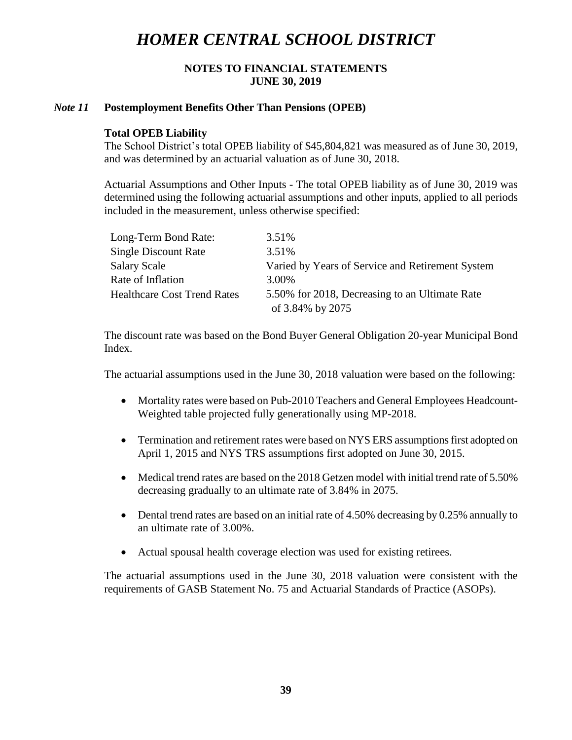## **NOTES TO FINANCIAL STATEMENTS JUNE 30, 2019**

### *Note 11* **Postemployment Benefits Other Than Pensions (OPEB)**

### **Total OPEB Liability**

The School District's total OPEB liability of \$45,804,821 was measured as of June 30, 2019, and was determined by an actuarial valuation as of June 30, 2018.

Actuarial Assumptions and Other Inputs - The total OPEB liability as of June 30, 2019 was determined using the following actuarial assumptions and other inputs, applied to all periods included in the measurement, unless otherwise specified:

| Long-Term Bond Rate:               | 3.51%                                            |
|------------------------------------|--------------------------------------------------|
| <b>Single Discount Rate</b>        | 3.51%                                            |
| <b>Salary Scale</b>                | Varied by Years of Service and Retirement System |
| Rate of Inflation                  | 3.00%                                            |
| <b>Healthcare Cost Trend Rates</b> | 5.50% for 2018, Decreasing to an Ultimate Rate   |
|                                    | of 3.84% by 2075                                 |

The discount rate was based on the Bond Buyer General Obligation 20-year Municipal Bond Index.

The actuarial assumptions used in the June 30, 2018 valuation were based on the following:

- Mortality rates were based on Pub-2010 Teachers and General Employees Headcount-Weighted table projected fully generationally using MP-2018.
- Termination and retirement rates were based on NYS ERS assumptions first adopted on April 1, 2015 and NYS TRS assumptions first adopted on June 30, 2015.
- Medical trend rates are based on the 2018 Getzen model with initial trend rate of 5.50% decreasing gradually to an ultimate rate of 3.84% in 2075.
- Dental trend rates are based on an initial rate of 4.50% decreasing by 0.25% annually to an ultimate rate of 3.00%.
- Actual spousal health coverage election was used for existing retirees.

The actuarial assumptions used in the June 30, 2018 valuation were consistent with the requirements of GASB Statement No. 75 and Actuarial Standards of Practice (ASOPs).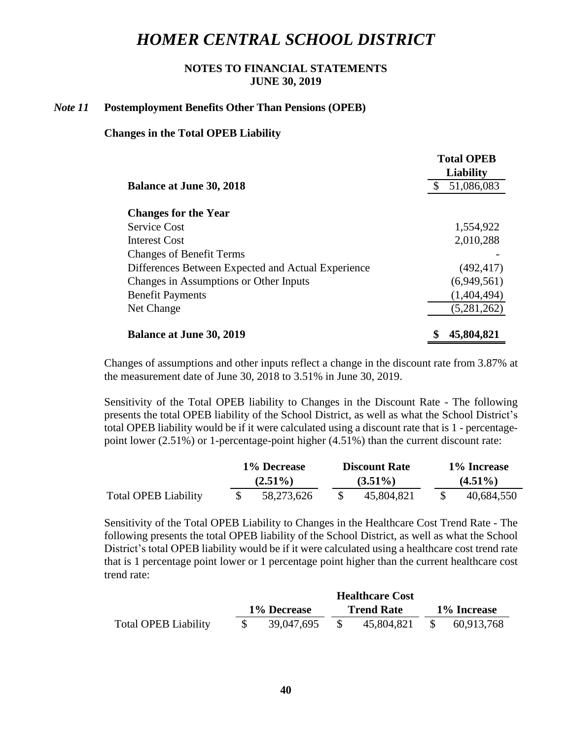## **NOTES TO FINANCIAL STATEMENTS JUNE 30, 2019**

#### *Note 11* **Postemployment Benefits Other Than Pensions (OPEB)**

### **Changes in the Total OPEB Liability**

|                                                    | <b>Total OPEB</b><br>Liability |  |  |  |
|----------------------------------------------------|--------------------------------|--|--|--|
| <b>Balance at June 30, 2018</b>                    | 51,086,083                     |  |  |  |
| <b>Changes for the Year</b>                        |                                |  |  |  |
| <b>Service Cost</b>                                | 1,554,922                      |  |  |  |
| Interest Cost                                      | 2,010,288                      |  |  |  |
| <b>Changes of Benefit Terms</b>                    |                                |  |  |  |
| Differences Between Expected and Actual Experience | (492, 417)                     |  |  |  |
| Changes in Assumptions or Other Inputs             | (6,949,561)                    |  |  |  |
| <b>Benefit Payments</b>                            | (1,404,494)                    |  |  |  |
| Net Change                                         | (5,281,262)                    |  |  |  |
| <b>Balance at June 30, 2019</b>                    | 45,804,821                     |  |  |  |

Changes of assumptions and other inputs reflect a change in the discount rate from 3.87% at the measurement date of June 30, 2018 to 3.51% in June 30, 2019.

Sensitivity of the Total OPEB liability to Changes in the Discount Rate - The following presents the total OPEB liability of the School District, as well as what the School District's total OPEB liability would be if it were calculated using a discount rate that is 1 - percentagepoint lower (2.51%) or 1-percentage-point higher (4.51%) than the current discount rate:

|                             | 1% Decrease |  | <b>Discount Rate</b> |  | 1% Increase |  |  |  |
|-----------------------------|-------------|--|----------------------|--|-------------|--|--|--|
|                             | $(2.51\%)$  |  | $(3.51\%)$           |  | $(4.51\%)$  |  |  |  |
| <b>Total OPEB Liability</b> | 58,273,626  |  | 45,804,821           |  | 40,684,550  |  |  |  |

Sensitivity of the Total OPEB Liability to Changes in the Healthcare Cost Trend Rate - The following presents the total OPEB liability of the School District, as well as what the School District's total OPEB liability would be if it were calculated using a healthcare cost trend rate that is 1 percentage point lower or 1 percentage point higher than the current healthcare cost trend rate:

|                             |             | <b>Healthcare Cost</b> |  |                   |             |            |  |  |
|-----------------------------|-------------|------------------------|--|-------------------|-------------|------------|--|--|
|                             | 1% Decrease |                        |  | <b>Trend Rate</b> | 1% Increase |            |  |  |
| <b>Total OPEB Liability</b> |             | 39,047,695             |  | 45,804,821        |             | 60,913,768 |  |  |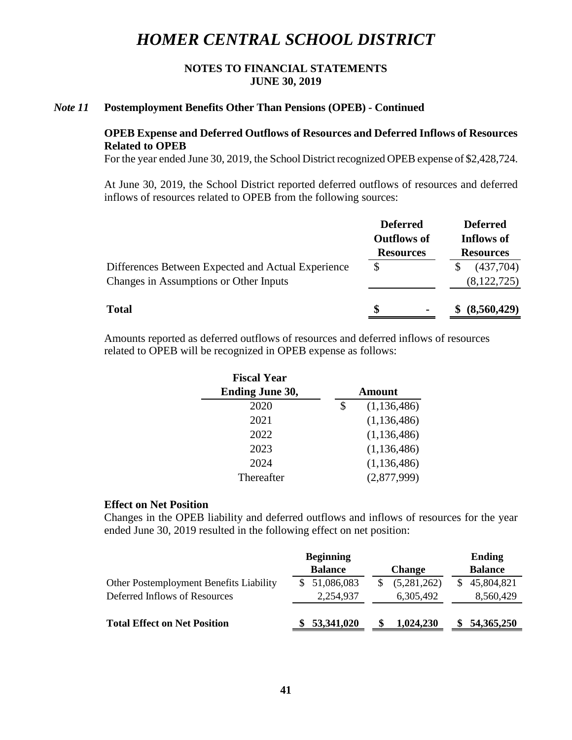## **NOTES TO FINANCIAL STATEMENTS JUNE 30, 2019**

#### *Note 11* **Postemployment Benefits Other Than Pensions (OPEB) - Continued**

### **OPEB Expense and Deferred Outflows of Resources and Deferred Inflows of Resources Related to OPEB**

For the year ended June 30, 2019, the School District recognized OPEB expense of \$2,428,724.

At June 30, 2019, the School District reported deferred outflows of resources and deferred inflows of resources related to OPEB from the following sources:

|                                                                                              | <b>Deferred</b><br><b>Outflows of</b> | <b>Deferred</b><br>Inflows of |  |  |  |
|----------------------------------------------------------------------------------------------|---------------------------------------|-------------------------------|--|--|--|
|                                                                                              | <b>Resources</b>                      | <b>Resources</b>              |  |  |  |
| Differences Between Expected and Actual Experience<br>Changes in Assumptions or Other Inputs |                                       | (437,704)<br>(8, 122, 725)    |  |  |  |
| <b>Total</b>                                                                                 | S                                     | (8,560,429)                   |  |  |  |

Amounts reported as deferred outflows of resources and deferred inflows of resources related to OPEB will be recognized in OPEB expense as follows:

| <b>Fiscal Year</b>     |                     |  |  |  |
|------------------------|---------------------|--|--|--|
| <b>Ending June 30,</b> | <b>Amount</b>       |  |  |  |
| 2020                   | \$<br>(1, 136, 486) |  |  |  |
| 2021                   | (1, 136, 486)       |  |  |  |
| 2022                   | (1, 136, 486)       |  |  |  |
| 2023                   | (1, 136, 486)       |  |  |  |
| 2024                   | (1, 136, 486)       |  |  |  |
| Thereafter             | (2,877,999)         |  |  |  |
|                        |                     |  |  |  |

### **Effect on Net Position**

Changes in the OPEB liability and deferred outflows and inflows of resources for the year ended June 30, 2019 resulted in the following effect on net position:

|                                         | <b>Beginning</b> | <b>Ending</b> |                |
|-----------------------------------------|------------------|---------------|----------------|
|                                         | <b>Balance</b>   | <b>Change</b> | <b>Balance</b> |
| Other Postemployment Benefits Liability | 51,086,083       | (5,281,262)   | 45,804,821     |
| Deferred Inflows of Resources           | 2,254,937        | 6,305,492     | 8,560,429      |
| <b>Total Effect on Net Position</b>     | 53,341,020       | 1,024,230     | 54,365,250     |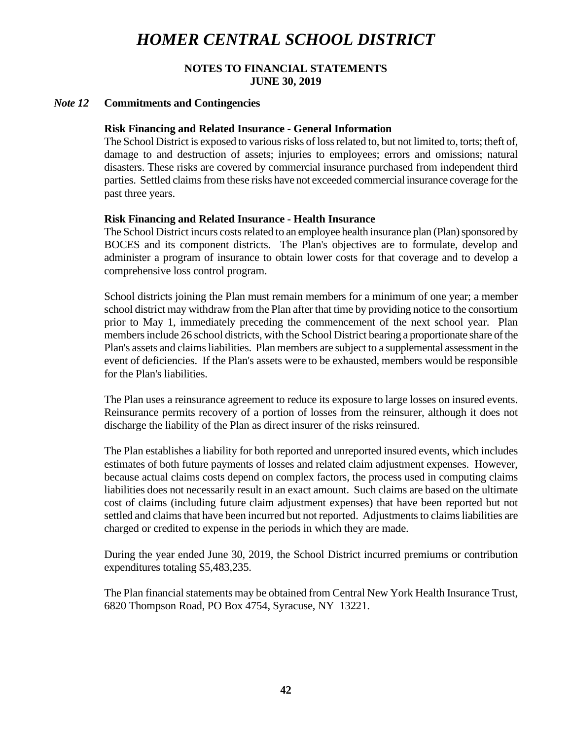## **NOTES TO FINANCIAL STATEMENTS JUNE 30, 2019**

### *Note 12* **Commitments and Contingencies**

### **Risk Financing and Related Insurance - General Information**

The School District is exposed to various risks of loss related to, but not limited to, torts; theft of, damage to and destruction of assets; injuries to employees; errors and omissions; natural disasters. These risks are covered by commercial insurance purchased from independent third parties. Settled claims from these risks have not exceeded commercial insurance coverage for the past three years.

### **Risk Financing and Related Insurance - Health Insurance**

The School District incurs costs related to an employee health insurance plan (Plan) sponsored by BOCES and its component districts. The Plan's objectives are to formulate, develop and administer a program of insurance to obtain lower costs for that coverage and to develop a comprehensive loss control program.

School districts joining the Plan must remain members for a minimum of one year; a member school district may withdraw from the Plan after that time by providing notice to the consortium prior to May 1, immediately preceding the commencement of the next school year. Plan members include 26 school districts, with the School District bearing a proportionate share of the Plan's assets and claimsliabilities. Plan members are subject to a supplemental assessment in the event of deficiencies. If the Plan's assets were to be exhausted, members would be responsible for the Plan's liabilities.

The Plan uses a reinsurance agreement to reduce its exposure to large losses on insured events. Reinsurance permits recovery of a portion of losses from the reinsurer, although it does not discharge the liability of the Plan as direct insurer of the risks reinsured.

The Plan establishes a liability for both reported and unreported insured events, which includes estimates of both future payments of losses and related claim adjustment expenses. However, because actual claims costs depend on complex factors, the process used in computing claims liabilities does not necessarily result in an exact amount. Such claims are based on the ultimate cost of claims (including future claim adjustment expenses) that have been reported but not settled and claims that have been incurred but not reported. Adjustments to claims liabilities are charged or credited to expense in the periods in which they are made.

During the year ended June 30, 2019, the School District incurred premiums or contribution expenditures totaling \$5,483,235.

The Plan financial statements may be obtained from Central New York Health Insurance Trust, 6820 Thompson Road, PO Box 4754, Syracuse, NY 13221.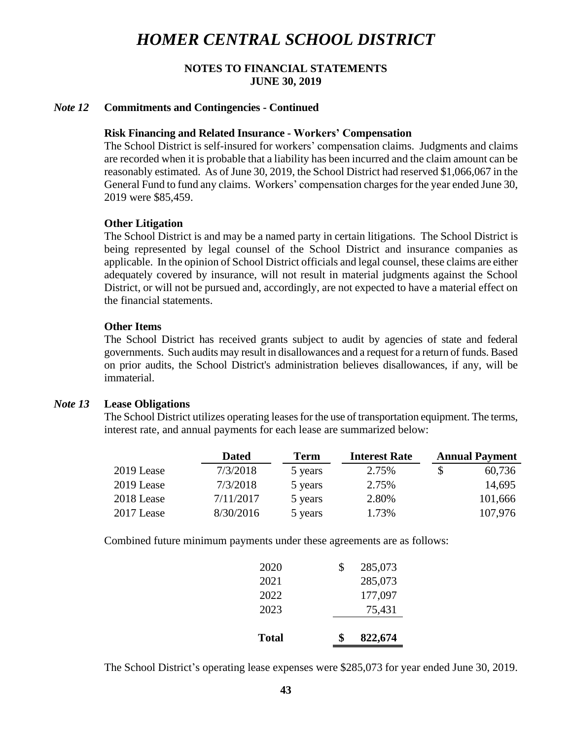## **NOTES TO FINANCIAL STATEMENTS JUNE 30, 2019**

#### *Note 12* **Commitments and Contingencies - Continued**

#### **Risk Financing and Related Insurance - Workers' Compensation**

The School District is self-insured for workers' compensation claims. Judgments and claims are recorded when it is probable that a liability has been incurred and the claim amount can be reasonably estimated. As of June 30, 2019, the School District had reserved \$1,066,067 in the General Fund to fund any claims. Workers' compensation charges for the year ended June 30, 2019 were \$85,459.

#### **Other Litigation**

The School District is and may be a named party in certain litigations. The School District is being represented by legal counsel of the School District and insurance companies as applicable. In the opinion of School District officials and legal counsel, these claims are either adequately covered by insurance, will not result in material judgments against the School District, or will not be pursued and, accordingly, are not expected to have a material effect on the financial statements.

#### **Other Items**

The School District has received grants subject to audit by agencies of state and federal governments. Such audits may result in disallowances and a request for a return of funds. Based on prior audits, the School District's administration believes disallowances, if any, will be immaterial.

#### *Note 13* **Lease Obligations**

The School District utilizes operating leases for the use of transportation equipment. The terms, interest rate, and annual payments for each lease are summarized below:

|            | <b>Dated</b> | <b>Term</b> | <b>Interest Rate</b> | <b>Annual Payment</b> |
|------------|--------------|-------------|----------------------|-----------------------|
| 2019 Lease | 7/3/2018     | 5 years     | 2.75%                | \$<br>60,736          |
| 2019 Lease | 7/3/2018     | 5 years     | 2.75%                | 14,695                |
| 2018 Lease | 7/11/2017    | 5 years     | 2.80%                | 101,666               |
| 2017 Lease | 8/30/2016    | 5 years     | 1.73%                | 107,976               |

Combined future minimum payments under these agreements are as follows:

| <b>Total</b> | ፍ  | 822,674 |
|--------------|----|---------|
| 2023         |    | 75,431  |
| 2022         |    | 177,097 |
| 2021         |    | 285,073 |
| 2020         | \$ | 285,073 |

The School District's operating lease expenses were \$285,073 for year ended June 30, 2019.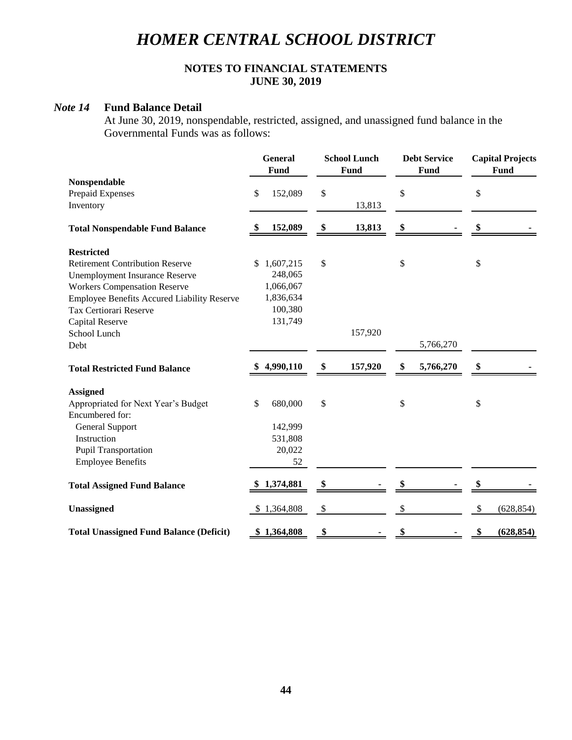## **NOTES TO FINANCIAL STATEMENTS JUNE 30, 2019**

## *Note 14* **Fund Balance Detail**

At June 30, 2019, nonspendable, restricted, assigned, and unassigned fund balance in the Governmental Funds was as follows:

|                                                    |      | <b>General</b><br>Fund | <b>School Lunch</b><br><b>Fund</b> | <b>Debt Service</b><br>Fund | <b>Capital Projects</b><br>Fund |
|----------------------------------------------------|------|------------------------|------------------------------------|-----------------------------|---------------------------------|
| Nonspendable                                       |      |                        |                                    |                             |                                 |
| Prepaid Expenses                                   | \$   | 152,089                | \$                                 | \$                          | \$                              |
| Inventory                                          |      |                        | 13,813                             |                             |                                 |
| <b>Total Nonspendable Fund Balance</b>             | - \$ | 152,089                | \$<br>13,813                       | \$                          | \$                              |
| <b>Restricted</b>                                  |      |                        |                                    |                             |                                 |
| <b>Retirement Contribution Reserve</b>             | \$   | 1,607,215              | \$                                 | \$                          | \$                              |
| <b>Unemployment Insurance Reserve</b>              |      | 248,065                |                                    |                             |                                 |
| <b>Workers Compensation Reserve</b>                |      | 1,066,067              |                                    |                             |                                 |
| <b>Employee Benefits Accured Liability Reserve</b> |      | 1,836,634              |                                    |                             |                                 |
| Tax Certiorari Reserve                             |      | 100,380                |                                    |                             |                                 |
| <b>Capital Reserve</b>                             |      | 131,749                |                                    |                             |                                 |
| School Lunch                                       |      |                        | 157,920                            |                             |                                 |
| Debt                                               |      |                        |                                    | 5,766,270                   |                                 |
| <b>Total Restricted Fund Balance</b>               |      | 4,990,110              | \$<br>157,920                      | \$<br>5,766,270             | \$                              |
| <b>Assigned</b>                                    |      |                        |                                    |                             |                                 |
| Appropriated for Next Year's Budget                | \$   | 680,000                | \$                                 | \$                          | \$                              |
| Encumbered for:                                    |      |                        |                                    |                             |                                 |
| General Support                                    |      | 142,999                |                                    |                             |                                 |
| Instruction                                        |      | 531,808                |                                    |                             |                                 |
| <b>Pupil Transportation</b>                        |      | 20,022                 |                                    |                             |                                 |
| <b>Employee Benefits</b>                           |      | 52                     |                                    |                             |                                 |
| <b>Total Assigned Fund Balance</b>                 |      | 1,374,881              | \$                                 |                             | \$                              |
| Unassigned                                         |      | \$1,364,808            | \$                                 | \$                          | \$<br>(628, 854)                |
| <b>Total Unassigned Fund Balance (Deficit)</b>     |      | \$1,364,808            | \$                                 |                             | (628, 854)                      |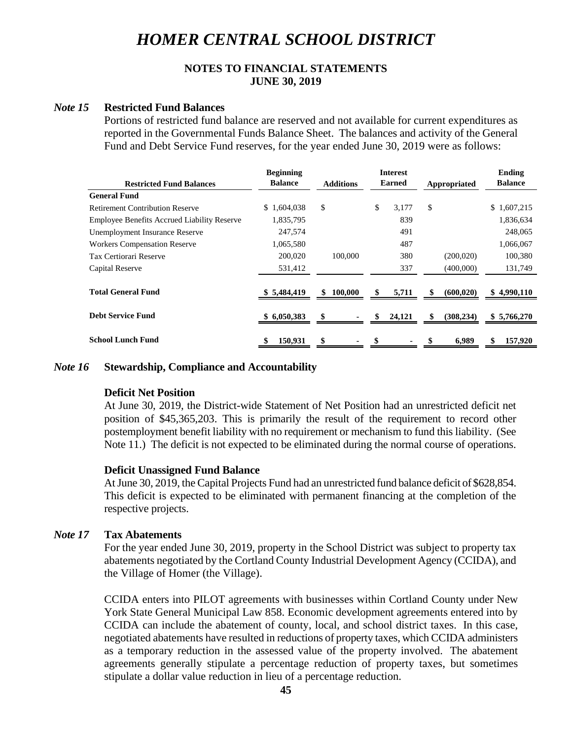## **NOTES TO FINANCIAL STATEMENTS JUNE 30, 2019**

### *Note 15* **Restricted Fund Balances**

Portions of restricted fund balance are reserved and not available for current expenditures as reported in the Governmental Funds Balance Sheet. The balances and activity of the General Fund and Debt Service Fund reserves, for the year ended June 30, 2019 were as follows:

|                                                    | <b>Beginning</b> |                  | <b>Interest</b> |                  | Ending         |
|----------------------------------------------------|------------------|------------------|-----------------|------------------|----------------|
| <b>Restricted Fund Balances</b>                    | <b>Balance</b>   | <b>Additions</b> | <b>Earned</b>   | Appropriated     | <b>Balance</b> |
| <b>General Fund</b>                                |                  |                  |                 |                  |                |
| <b>Retirement Contribution Reserve</b>             | 1,604,038<br>\$. | \$               | \$<br>3,177     | \$               | \$1,607,215    |
| <b>Employee Benefits Accrued Liability Reserve</b> | 1,835,795        |                  | 839             |                  | 1,836,634      |
| Unemployment Insurance Reserve                     | 247,574          |                  | 491             |                  | 248,065        |
| <b>Workers Compensation Reserve</b>                | 1,065,580        |                  | 487             |                  | 1,066,067      |
| Tax Certiorari Reserve                             | 200,020          | 100,000          | 380             | (200, 020)       | 100,380        |
| Capital Reserve                                    | 531,412          |                  | 337             | (400,000)        | 131,749        |
| <b>Total General Fund</b>                          | \$5,484,419      | \$<br>100,000    | 5,711           | \$<br>(600, 020) | \$4,990,110    |
| <b>Debt Service Fund</b>                           | \$6,050,383      | S                | 24,121          | (308, 234)<br>S  | \$5,766,270    |
| <b>School Lunch Fund</b>                           | 150,931          | S                |                 | 6,989            | 157,920<br>\$  |

### *Note 16* **Stewardship, Compliance and Accountability**

## **Deficit Net Position**

At June 30, 2019, the District-wide Statement of Net Position had an unrestricted deficit net position of \$45,365,203. This is primarily the result of the requirement to record other postemployment benefit liability with no requirement or mechanism to fund this liability. (See Note 11.) The deficit is not expected to be eliminated during the normal course of operations.

## **Deficit Unassigned Fund Balance**

At June 30, 2019, the Capital Projects Fund had an unrestricted fund balance deficit of \$628,854. This deficit is expected to be eliminated with permanent financing at the completion of the respective projects.

## *Note 17* **Tax Abatements**

For the year ended June 30, 2019, property in the School District was subject to property tax abatements negotiated by the Cortland County Industrial Development Agency (CCIDA), and the Village of Homer (the Village).

CCIDA enters into PILOT agreements with businesses within Cortland County under New York State General Municipal Law 858. Economic development agreements entered into by CCIDA can include the abatement of county, local, and school district taxes. In this case, negotiated abatements have resulted in reductions of property taxes, which CCIDA administers as a temporary reduction in the assessed value of the property involved. The abatement agreements generally stipulate a percentage reduction of property taxes, but sometimes stipulate a dollar value reduction in lieu of a percentage reduction.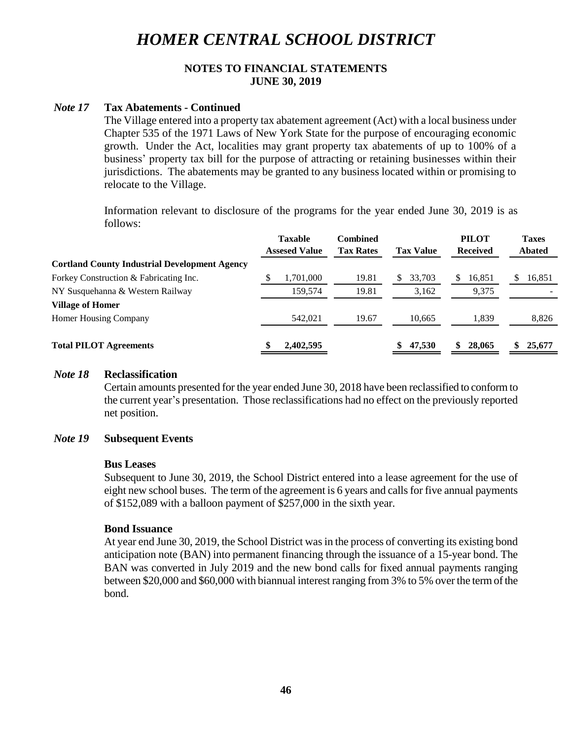## **NOTES TO FINANCIAL STATEMENTS JUNE 30, 2019**

#### *Note 17* **Tax Abatements - Continued**

The Village entered into a property tax abatement agreement (Act) with a local business under Chapter 535 of the 1971 Laws of New York State for the purpose of encouraging economic growth. Under the Act, localities may grant property tax abatements of up to 100% of a business' property tax bill for the purpose of attracting or retaining businesses within their jurisdictions. The abatements may be granted to any business located within or promising to relocate to the Village.

Information relevant to disclosure of the programs for the year ended June 30, 2019 is as follows:

|                                                      | <b>Taxable</b><br><b>Assesed Value</b> | Combined<br><b>Tax Rates</b> | <b>Tax Value</b> |    | <b>PILOT</b><br><b>Received</b> |   | <b>Taxes</b><br><b>Abated</b> |
|------------------------------------------------------|----------------------------------------|------------------------------|------------------|----|---------------------------------|---|-------------------------------|
| <b>Cortland County Industrial Development Agency</b> |                                        |                              |                  |    |                                 |   |                               |
| Forkey Construction & Fabricating Inc.               | 1,701,000                              | 19.81                        | 33.703           | S. | 16,851                          | S | 16,851                        |
| NY Susquehanna & Western Railway                     | 159.574                                | 19.81                        | 3,162            |    | 9,375                           |   |                               |
| <b>Village of Homer</b>                              |                                        |                              |                  |    |                                 |   |                               |
| Homer Housing Company                                | 542,021                                | 19.67                        | 10.665           |    | 1,839                           |   | 8,826                         |
| <b>Total PILOT Agreements</b>                        | 2,402,595                              |                              | \$<br>47,530     |    | 28,065                          |   | 25,677                        |

#### *Note 18* **Reclassification**

Certain amounts presented for the year ended June 30, 2018 have been reclassified to conform to the current year's presentation. Those reclassifications had no effect on the previously reported net position.

### *Note 19* **Subsequent Events**

#### **Bus Leases**

Subsequent to June 30, 2019, the School District entered into a lease agreement for the use of eight new school buses. The term of the agreement is 6 years and calls for five annual payments of \$152,089 with a balloon payment of \$257,000 in the sixth year.

#### **Bond Issuance**

At year end June 30, 2019, the School District was in the process of converting its existing bond anticipation note (BAN) into permanent financing through the issuance of a 15-year bond. The BAN was converted in July 2019 and the new bond calls for fixed annual payments ranging between \$20,000 and \$60,000 with biannual interest ranging from 3% to 5% over the term of the bond.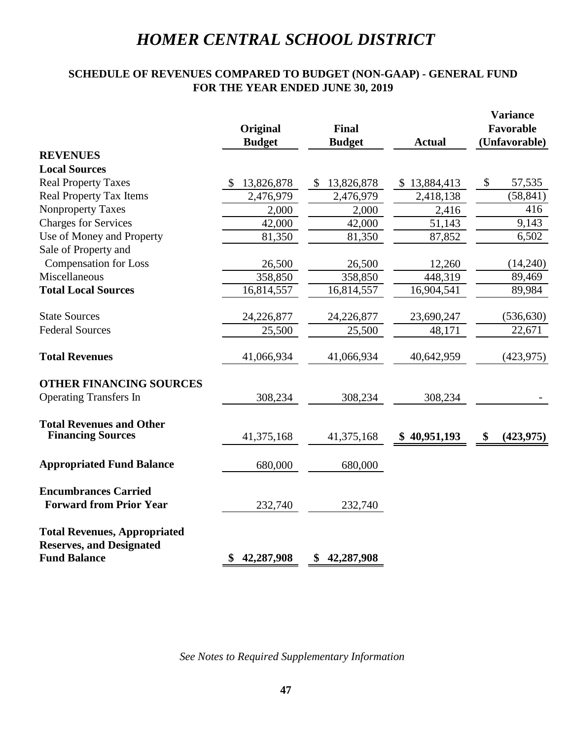## **SCHEDULE OF REVENUES COMPARED TO BUDGET (NON-GAAP) - GENERAL FUND FOR THE YEAR ENDED JUNE 30, 2019**

|                                                                        | Original<br><b>Budget</b> | <b>Final</b><br><b>Budget</b><br><b>Actual</b> |              |                  |
|------------------------------------------------------------------------|---------------------------|------------------------------------------------|--------------|------------------|
| <b>REVENUES</b>                                                        |                           |                                                |              |                  |
| <b>Local Sources</b>                                                   |                           |                                                |              |                  |
| <b>Real Property Taxes</b>                                             | 13,826,878                | 13,826,878<br>\$                               | \$13,884,413 | \$<br>57,535     |
| <b>Real Property Tax Items</b>                                         | 2,476,979                 | 2,476,979                                      | 2,418,138    | (58, 841)        |
| <b>Nonproperty Taxes</b>                                               | 2,000                     | 2,000                                          | 2,416        | 416              |
| <b>Charges for Services</b>                                            | 42,000                    | 42,000                                         | 51,143       | 9,143            |
| Use of Money and Property                                              | 81,350                    | 81,350                                         | 87,852       | 6,502            |
| Sale of Property and                                                   |                           |                                                |              |                  |
| <b>Compensation for Loss</b>                                           | 26,500                    | 26,500                                         | 12,260       | (14,240)         |
| Miscellaneous                                                          | 358,850                   | 358,850                                        | 448,319      | 89,469           |
| <b>Total Local Sources</b>                                             | 16,814,557                | 16,814,557                                     | 16,904,541   | 89,984           |
| <b>State Sources</b>                                                   | 24,226,877                | 24,226,877                                     | 23,690,247   | (536, 630)       |
| <b>Federal Sources</b>                                                 | 25,500                    | 25,500                                         | 48,171       | 22,671           |
| <b>Total Revenues</b>                                                  | 41,066,934                | 41,066,934                                     | 40,642,959   | (423, 975)       |
| <b>OTHER FINANCING SOURCES</b>                                         |                           |                                                |              |                  |
| <b>Operating Transfers In</b>                                          | 308,234                   | 308,234                                        | 308,234      |                  |
| <b>Total Revenues and Other</b><br><b>Financing Sources</b>            | 41,375,168                | 41,375,168                                     | \$40,951,193 | \$<br>(423, 975) |
|                                                                        |                           |                                                |              |                  |
| <b>Appropriated Fund Balance</b>                                       | 680,000                   | 680,000                                        |              |                  |
| <b>Encumbrances Carried</b>                                            |                           |                                                |              |                  |
| <b>Forward from Prior Year</b>                                         | 232,740                   | 232,740                                        |              |                  |
| <b>Total Revenues, Appropriated</b><br><b>Reserves, and Designated</b> |                           |                                                |              |                  |
| <b>Fund Balance</b>                                                    | 42,287,908<br>\$          | \$<br>42,287,908                               |              |                  |

*See Notes to Required Supplementary Information*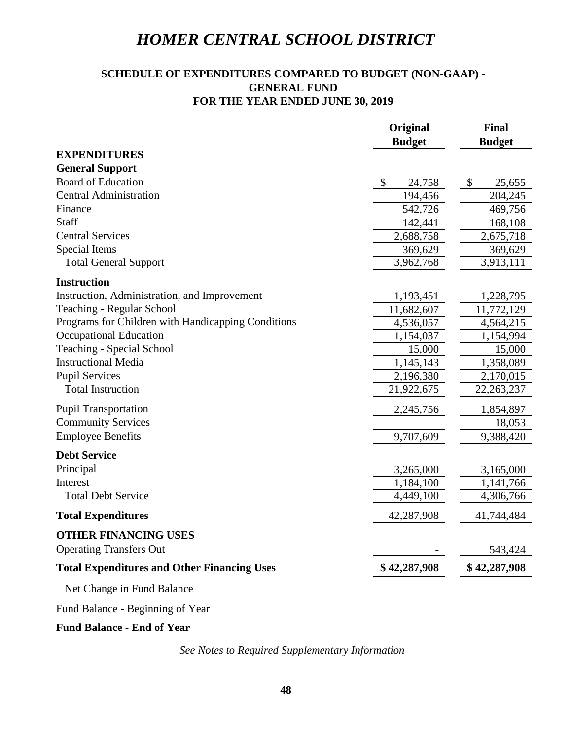## **SCHEDULE OF EXPENDITURES COMPARED TO BUDGET (NON-GAAP) - FOR THE YEAR ENDED JUNE 30, 2019 GENERAL FUND**

|                                                                                                                       | Original                            | <b>Final</b>              |  |  |
|-----------------------------------------------------------------------------------------------------------------------|-------------------------------------|---------------------------|--|--|
| <b>EXPENDITURES</b>                                                                                                   | <b>Budget</b>                       | <b>Budget</b>             |  |  |
| <b>General Support</b>                                                                                                |                                     |                           |  |  |
| <b>Board of Education</b>                                                                                             | $\boldsymbol{\mathsf{S}}$<br>24,758 | $\boldsymbol{\mathsf{S}}$ |  |  |
| <b>Central Administration</b>                                                                                         | 194,456                             | 25,655                    |  |  |
| Finance                                                                                                               | 542,726                             | 204,245<br>469,756        |  |  |
| Staff                                                                                                                 | 142,441                             | 168,108                   |  |  |
| <b>Central Services</b>                                                                                               | 2,688,758                           | 2,675,718                 |  |  |
| Special Items                                                                                                         | 369,629                             | 369,629                   |  |  |
| <b>Total General Support</b>                                                                                          | 3,962,768                           | 3,913,111                 |  |  |
|                                                                                                                       |                                     |                           |  |  |
| <b>Instruction</b>                                                                                                    |                                     |                           |  |  |
| Instruction, Administration, and Improvement                                                                          | 1,193,451                           | 1,228,795                 |  |  |
| Teaching - Regular School                                                                                             | 11,682,607                          | 11,772,129                |  |  |
| Programs for Children with Handicapping Conditions                                                                    | 4,536,057                           | 4,564,215                 |  |  |
| <b>Occupational Education</b>                                                                                         | 1,154,037                           | 1,154,994                 |  |  |
| <b>Teaching - Special School</b>                                                                                      | 15,000                              | 15,000                    |  |  |
| <b>Instructional Media</b>                                                                                            | 1,145,143                           | 1,358,089                 |  |  |
| <b>Pupil Services</b>                                                                                                 | 2,196,380                           | 2,170,015                 |  |  |
| <b>Total Instruction</b>                                                                                              | 21,922,675                          | 22, 263, 237              |  |  |
| <b>Pupil Transportation</b>                                                                                           | 2,245,756                           | 1,854,897                 |  |  |
| <b>Community Services</b>                                                                                             |                                     | 18,053                    |  |  |
| <b>Employee Benefits</b>                                                                                              | 9,707,609                           | 9,388,420                 |  |  |
| <b>Debt Service</b>                                                                                                   |                                     |                           |  |  |
| Principal                                                                                                             | 3,265,000                           | 3,165,000                 |  |  |
| Interest                                                                                                              | 1,184,100                           | 1,141,766                 |  |  |
| <b>Total Debt Service</b>                                                                                             | 4,449,100                           | 4,306,766                 |  |  |
| <b>Total Expenditures</b>                                                                                             | 42,287,908                          | 41,744,484                |  |  |
| <b>OTHER FINANCING USES</b>                                                                                           |                                     |                           |  |  |
| <b>Operating Transfers Out</b>                                                                                        |                                     | 543,424                   |  |  |
| <b>Total Expenditures and Other Financing Uses</b>                                                                    | \$42,287,908                        | \$42,287,908              |  |  |
| Net Change in Fund Balance                                                                                            |                                     |                           |  |  |
| $\mathbf{1} \mathbf{D} \mathbf{1}$ $\mathbf{D} \mathbf{1}$ $\mathbf{I} \mathbf{D} \mathbf{1}$ $\mathbf{I} \mathbf{I}$ |                                     |                           |  |  |

Fund Balance - Beginning of Year

## **Fund Balance - End of Year**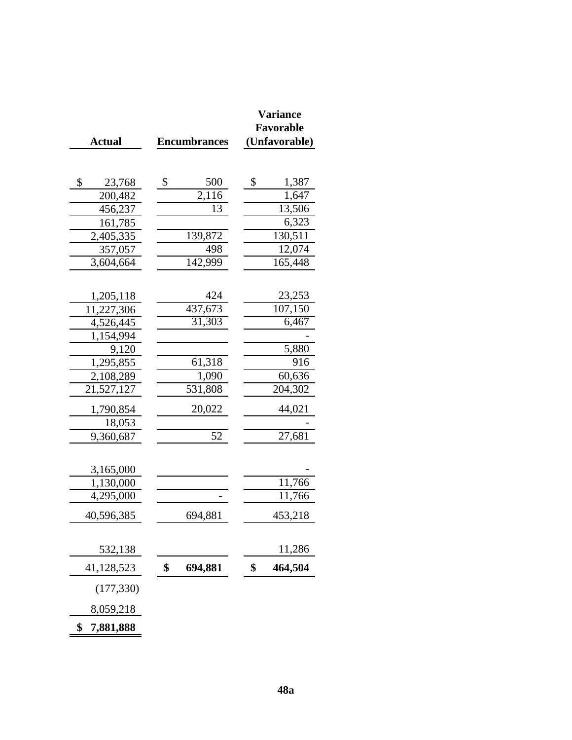|                 |                                  | <b>Variance</b>  |
|-----------------|----------------------------------|------------------|
| <b>Actual</b>   | <b>Encumbrances</b>              | <b>Favorable</b> |
|                 |                                  | (Unfavorable)    |
|                 |                                  |                  |
| \$<br>23,768    | $\boldsymbol{\mathsf{S}}$<br>500 | \$<br>1,387      |
| 200,482         | 2,116                            | 1,647            |
| 456,237         | 13                               | 13,506           |
| 161,785         |                                  | 6,323            |
| 2,405,335       | 139,872                          | 130,511          |
| 357,057         | 498                              | 12,074           |
| 3,604,664       | $\overline{14}2,999$             | 165,448          |
|                 |                                  |                  |
| 1,205,118       | 424                              | 23,253           |
| 11,227,306      | 437,673                          | 107,150          |
| 4,526,445       | 31,303                           | 6,467            |
| 1,154,994       |                                  |                  |
| 9,120           |                                  | 5,880            |
| 1,295,855       | 61,318                           | 916              |
| 2,108,289       | 1,090                            | 60,636           |
| 21,527,127      | 531,808                          | 204,302          |
| 1,790,854       | 20,022                           | 44,021           |
| 18,053          |                                  |                  |
| 9,360,687       | 52                               | 27,681           |
|                 |                                  |                  |
| 3,165,000       |                                  |                  |
| 1,130,000       |                                  | 11,766           |
| 4,295,000       |                                  | 11,766           |
| 40,596,385      | 694,881                          | 453,218          |
|                 |                                  |                  |
| 532,138         |                                  | 11,286           |
| 41,128,523      | \$<br>694,881                    | \$<br>464,504    |
| (177, 330)      |                                  |                  |
| 8,059,218       |                                  |                  |
| \$<br>7,881,888 |                                  |                  |

Ē.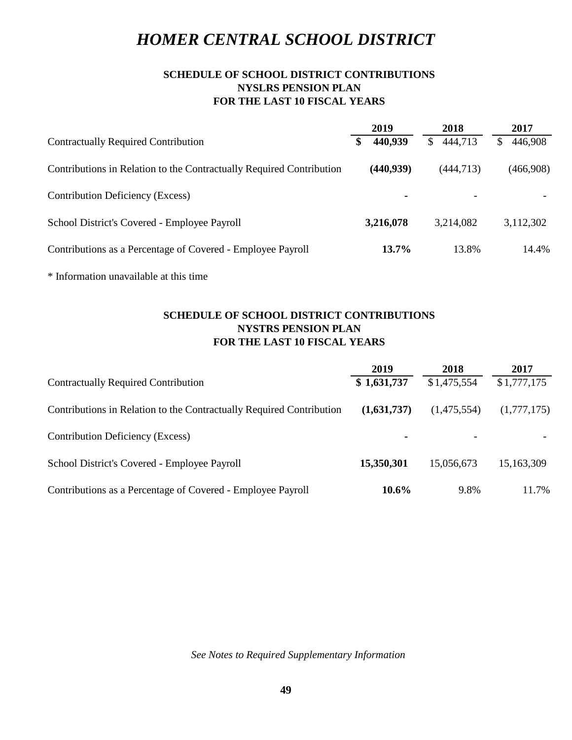## **SCHEDULE OF SCHOOL DISTRICT CONTRIBUTIONS NYSLRS PENSION PLAN FOR THE LAST 10 FISCAL YEARS**

|                                                                      | 2019          | 2018          | 2017          |
|----------------------------------------------------------------------|---------------|---------------|---------------|
| <b>Contractually Required Contribution</b>                           | 440,939<br>\$ | 444,713<br>\$ | 446,908<br>\$ |
| Contributions in Relation to the Contractually Required Contribution | (440, 939)    | (444, 713)    | (466,908)     |
| Contribution Deficiency (Excess)                                     |               |               |               |
| School District's Covered - Employee Payroll                         | 3,216,078     | 3,214,082     | 3,112,302     |
| Contributions as a Percentage of Covered - Employee Payroll          | 13.7%         | 13.8%         | 14.4%         |
| * Information unavailable at this time                               |               |               |               |

## **FOR THE LAST 10 FISCAL YEARS SCHEDULE OF SCHOOL DISTRICT CONTRIBUTIONS NYSTRS PENSION PLAN**

|                                                                      | 2019        | 2018                     | 2017        |
|----------------------------------------------------------------------|-------------|--------------------------|-------------|
| <b>Contractually Required Contribution</b>                           | \$1,631,737 | \$1,475,554              | \$1,777,175 |
| Contributions in Relation to the Contractually Required Contribution | (1,631,737) | (1,475,554)              | (1,777,175) |
| Contribution Deficiency (Excess)                                     | ۰           | $\overline{\phantom{a}}$ |             |
| School District's Covered - Employee Payroll                         | 15,350,301  | 15,056,673               | 15,163,309  |
| Contributions as a Percentage of Covered - Employee Payroll          | $10.6\%$    | 9.8%                     | 11.7%       |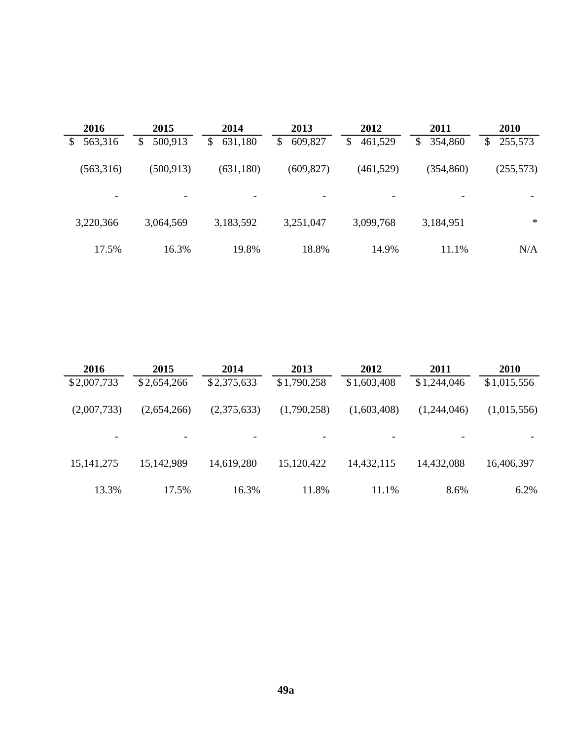| 2016                     | 2015                     | 2014          | 2013                     | 2012          | 2011          | 2010                     |
|--------------------------|--------------------------|---------------|--------------------------|---------------|---------------|--------------------------|
| 563,316<br>\$            | 500,913<br>\$            | 631,180<br>\$ | 609,827<br>\$            | 461,529<br>\$ | 354,860<br>\$ | 255,573<br>\$            |
| (563,316)                | (500, 913)               | (631, 180)    | (609, 827)               | (461,529)     | (354, 860)    | (255,573)                |
| $\overline{\phantom{a}}$ | $\overline{\phantom{a}}$ | -             | $\overline{\phantom{0}}$ |               |               | $\overline{\phantom{0}}$ |
| 3,220,366                | 3,064,569                | 3,183,592     | 3,251,047                | 3,099,768     | 3,184,951     | $\ast$                   |
| 17.5%                    | 16.3%                    | 19.8%         | 18.8%                    | 14.9%         | 11.1%         | N/A                      |

| 2016         | 2015        | 2014        | 2013        | 2012        | 2011        | 2010        |
|--------------|-------------|-------------|-------------|-------------|-------------|-------------|
| \$2,007,733  | \$2,654,266 | \$2,375,633 | \$1,790,258 | \$1,603,408 | \$1,244,046 | \$1,015,556 |
| (2,007,733)  | (2,654,266) | (2,375,633) | (1,790,258) | (1,603,408) | (1,244,046) | (1,015,556) |
|              |             |             |             |             |             |             |
| 15, 141, 275 | 15,142,989  | 14,619,280  | 15,120,422  | 14,432,115  | 14,432,088  | 16,406,397  |
| 13.3%        | 17.5%       | 16.3%       | 11.8%       | 11.1%       | 8.6%        | 6.2%        |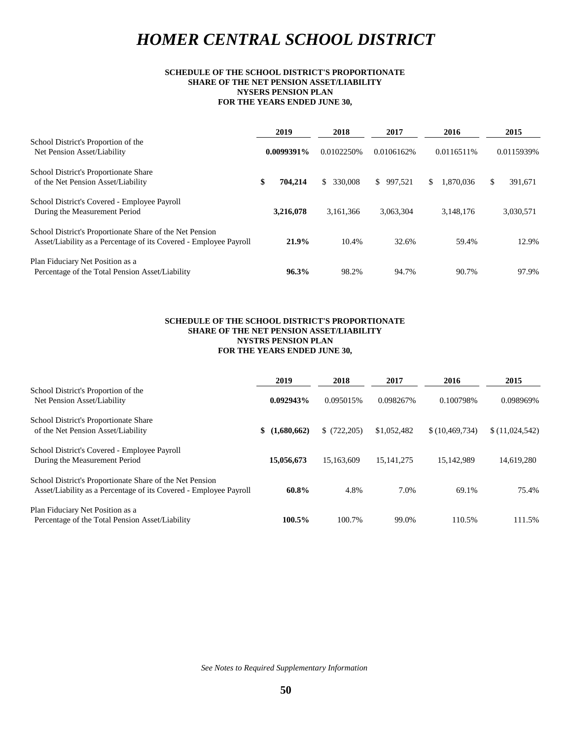#### **FOR THE YEARS ENDED JUNE 30, NYSERS PENSION PLAN SCHEDULE OF THE SCHOOL DISTRICT'S PROPORTIONATE SHARE OF THE NET PENSION ASSET/LIABILITY**

| School District's Proportion of the<br>Net Pension Asset/Liability                                                            |    | 2019       | 2018           | 2017       | 2016             | 2015 |            |
|-------------------------------------------------------------------------------------------------------------------------------|----|------------|----------------|------------|------------------|------|------------|
|                                                                                                                               |    | 0.0099391% | 0.0102250%     | 0.0106162% | 0.0116511%       |      | 0.0115939% |
| School District's Proportionate Share<br>of the Net Pension Asset/Liability                                                   | \$ | 704.214    | 330,008<br>\$. | \$997.521  | 1,870,036<br>\$. | S    | 391,671    |
| School District's Covered - Employee Payroll<br>During the Measurement Period                                                 |    | 3,216,078  | 3,161,366      | 3.063.304  | 3,148,176        |      | 3,030,571  |
| School District's Proportionate Share of the Net Pension<br>Asset/Liability as a Percentage of its Covered - Employee Payroll |    | 21.9%      | 10.4%          | 32.6%      | 59.4%            |      | 12.9%      |
| Plan Fiduciary Net Position as a<br>Percentage of the Total Pension Asset/Liability                                           |    | 96.3%      | 98.2%          | 94.7%      | 90.7%            |      | 97.9%      |

#### **SCHEDULE OF THE SCHOOL DISTRICT'S PROPORTIONATE SHARE OF THE NET PENSION ASSET/LIABILITY NYSTRS PENSION PLAN FOR THE YEARS ENDED JUNE 30,**

|                                                                                                                               | 2019               | 2018        | 2017        | 2016             | 2015           |
|-------------------------------------------------------------------------------------------------------------------------------|--------------------|-------------|-------------|------------------|----------------|
| School District's Proportion of the<br>Net Pension Asset/Liability                                                            | 0.092943%          | 0.095015%   | 0.098267%   | 0.100798%        | 0.098969%      |
| School District's Proportionate Share<br>of the Net Pension Asset/Liability                                                   | (1,680,662)<br>SS. | \$(722.205) | \$1,052,482 | \$(10, 469, 734) | \$(11,024,542) |
| School District's Covered - Employee Payroll<br>During the Measurement Period                                                 | 15,056,673         | 15.163.609  | 15.141.275  | 15.142.989       | 14,619,280     |
| School District's Proportionate Share of the Net Pension<br>Asset/Liability as a Percentage of its Covered - Employee Payroll | 60.8%              | 4.8%        | 7.0%        | 69.1%            | 75.4%          |
| Plan Fiduciary Net Position as a<br>Percentage of the Total Pension Asset/Liability                                           | 100.5%             | 100.7%      | 99.0%       | 110.5%           | 111.5%         |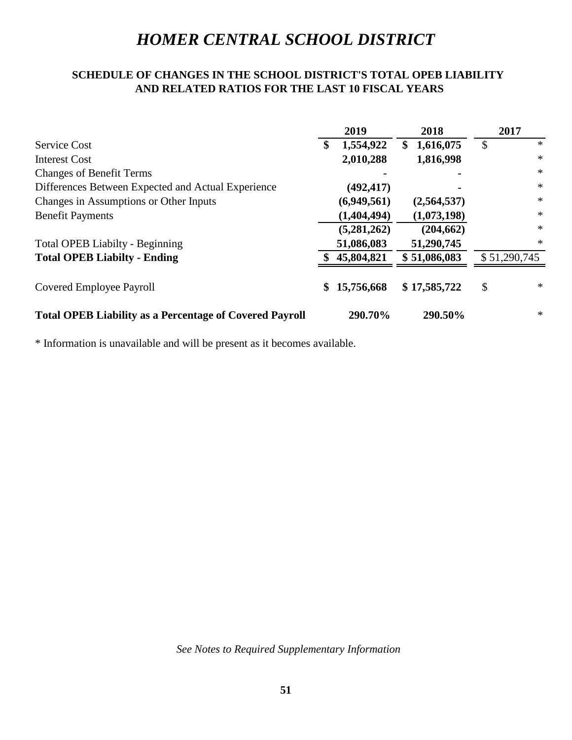## **SCHEDULE OF CHANGES IN THE SCHOOL DISTRICT'S TOTAL OPEB LIABILITY AND RELATED RATIOS FOR THE LAST 10 FISCAL YEARS**

|                                                                | 2019            | 2018            | 2017         |
|----------------------------------------------------------------|-----------------|-----------------|--------------|
| Service Cost                                                   | 1,554,922<br>\$ | 1,616,075<br>\$ | $\ast$<br>\$ |
| <b>Interest Cost</b>                                           | 2,010,288       | 1,816,998       | $\ast$       |
| <b>Changes of Benefit Terms</b>                                |                 |                 | $\ast$       |
| Differences Between Expected and Actual Experience             | (492, 417)      |                 | $\ast$       |
| Changes in Assumptions or Other Inputs                         | (6,949,561)     | (2,564,537)     | $\ast$       |
| <b>Benefit Payments</b>                                        | (1,404,494)     | (1,073,198)     | $\ast$       |
|                                                                | (5,281,262)     | (204, 662)      | $\ast$       |
| <b>Total OPEB Liabilty - Beginning</b>                         | 51,086,083      | 51,290,745      | $\ast$       |
| <b>Total OPEB Liabilty - Ending</b>                            | 45,804,821      | \$51,086,083    | \$51,290,745 |
| Covered Employee Payroll                                       | 15,756,668<br>S | \$17,585,722    | $\ast$<br>\$ |
| <b>Total OPEB Liability as a Percentage of Covered Payroll</b> | 290.70%         | 290.50%         | $\ast$       |

\* Information is unavailable and will be present as it becomes available.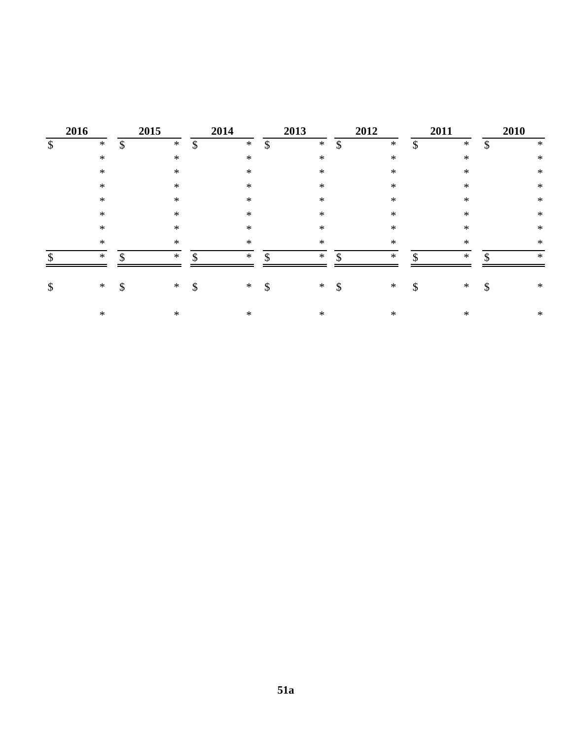|                           | 2016   | 2015         |               | 2014   |               | 2013   |    | 2012   | 2011          |        |         | 2010   |
|---------------------------|--------|--------------|---------------|--------|---------------|--------|----|--------|---------------|--------|---------|--------|
| $\boldsymbol{\mathsf{S}}$ | $\ast$ | \$<br>$\ast$ | $\mathcal{S}$ | $\ast$ | $\mathcal{S}$ | $\ast$ | \$ | $\ast$ | $\mathcal{S}$ | $\ast$ | ¢<br>Ъ. | $\ast$ |
|                           | $\ast$ | $\ast$       |               | $\ast$ |               | $\ast$ |    | $\ast$ |               | $\ast$ |         | $\ast$ |
|                           | $\ast$ | $\ast$       |               | $\ast$ |               | $\ast$ |    | *      |               | $\ast$ |         | $\ast$ |
|                           | $\ast$ | $\ast$       |               | $\ast$ |               | $\ast$ |    | *      |               | $\ast$ |         | $\ast$ |
|                           | $\ast$ | $\ast$       |               | $\ast$ |               | $\ast$ |    | *      |               | $\ast$ |         | $\ast$ |
|                           | $\ast$ | $\ast$       |               | $\ast$ |               | $\ast$ |    | *      |               | $\ast$ |         | $\ast$ |
|                           | $\ast$ | $\ast$       |               | $\ast$ |               | $\ast$ |    | *      |               | $\ast$ |         | $\ast$ |
|                           | $\ast$ | $\ast$       |               | $\ast$ |               | $\ast$ |    | $\ast$ |               | $\ast$ |         | $\ast$ |
| $\mathcal{S}$             | $\ast$ | \$<br>$\ast$ | ¢             | $\ast$ | \$            | $\ast$ | ¢  | $\ast$ | \$            | $\ast$ |         | $\ast$ |
| $\boldsymbol{\mathsf{S}}$ | $*$    | \$<br>$\ast$ | \$            | $*$    | \$            | $\ast$ | \$ | $\ast$ | \$            | $*$    | \$      | $\ast$ |
|                           | $\ast$ | $\ast$       |               | $\ast$ |               | $\ast$ |    | $\ast$ |               | $\ast$ |         | $\ast$ |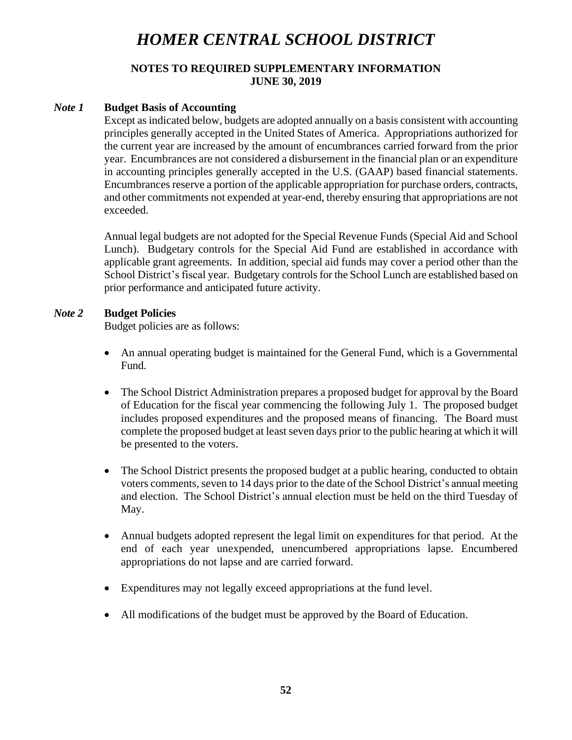# **NOTES TO REQUIRED SUPPLEMENTARY INFORMATION JUNE 30, 2019**

## *Note 1* **Budget Basis of Accounting**

Except asindicated below, budgets are adopted annually on a basis consistent with accounting principles generally accepted in the United States of America. Appropriations authorized for the current year are increased by the amount of encumbrances carried forward from the prior year. Encumbrances are not considered a disbursement in the financial plan or an expenditure in accounting principles generally accepted in the U.S. (GAAP) based financial statements. Encumbrances reserve a portion of the applicable appropriation for purchase orders, contracts, and other commitments not expended at year-end, thereby ensuring that appropriations are not exceeded.

Annual legal budgets are not adopted for the Special Revenue Funds (Special Aid and School Lunch). Budgetary controls for the Special Aid Fund are established in accordance with applicable grant agreements. In addition, special aid funds may cover a period other than the School District's fiscal year. Budgetary controls for the School Lunch are established based on prior performance and anticipated future activity.

# *Note 2* **Budget Policies**

Budget policies are as follows:

- An annual operating budget is maintained for the General Fund, which is a Governmental Fund.
- The School District Administration prepares a proposed budget for approval by the Board of Education for the fiscal year commencing the following July 1. The proposed budget includes proposed expenditures and the proposed means of financing. The Board must complete the proposed budget at least seven days prior to the public hearing at which it will be presented to the voters.
- The School District presents the proposed budget at a public hearing, conducted to obtain voters comments, seven to 14 days prior to the date of the School District's annual meeting and election. The School District's annual election must be held on the third Tuesday of May.
- Annual budgets adopted represent the legal limit on expenditures for that period. At the end of each year unexpended, unencumbered appropriations lapse. Encumbered appropriations do not lapse and are carried forward.
- Expenditures may not legally exceed appropriations at the fund level.
- All modifications of the budget must be approved by the Board of Education.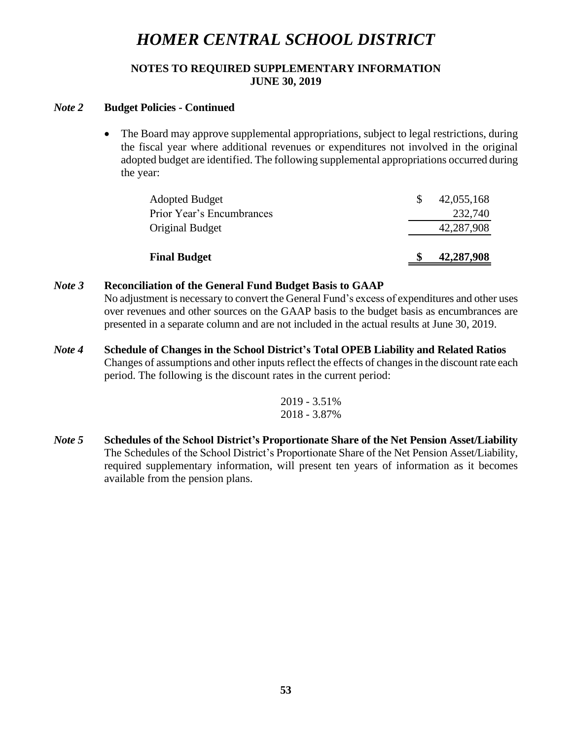## **NOTES TO REQUIRED SUPPLEMENTARY INFORMATION JUNE 30, 2019**

### *Note 2* **Budget Policies - Continued**

• The Board may approve supplemental appropriations, subject to legal restrictions, during the fiscal year where additional revenues or expenditures not involved in the original adopted budget are identified. The following supplemental appropriations occurred during the year:

| <b>Final Budget</b>       | 42,287,908 |
|---------------------------|------------|
| Original Budget           | 42,287,908 |
| Prior Year's Encumbrances | 232,740    |
| <b>Adopted Budget</b>     | 42,055,168 |

### *Note 3* **Reconciliation of the General Fund Budget Basis to GAAP**

No adjustment is necessary to convert the General Fund's excess of expenditures and other uses over revenues and other sources on the GAAP basis to the budget basis as encumbrances are presented in a separate column and are not included in the actual results at June 30, 2019.

*Note 4* **Schedule of Changes in the School District's Total OPEB Liability and Related Ratios** Changes of assumptions and other inputs reflect the effects of changes in the discount rate each period. The following is the discount rates in the current period:

$$
\frac{2019 - 3.51\%}{2018 - 3.87\%}
$$

*Note 5* **Schedules of the School District's Proportionate Share of the Net Pension Asset/Liability**  The Schedules of the School District's Proportionate Share of the Net Pension Asset/Liability, required supplementary information, will present ten years of information as it becomes available from the pension plans.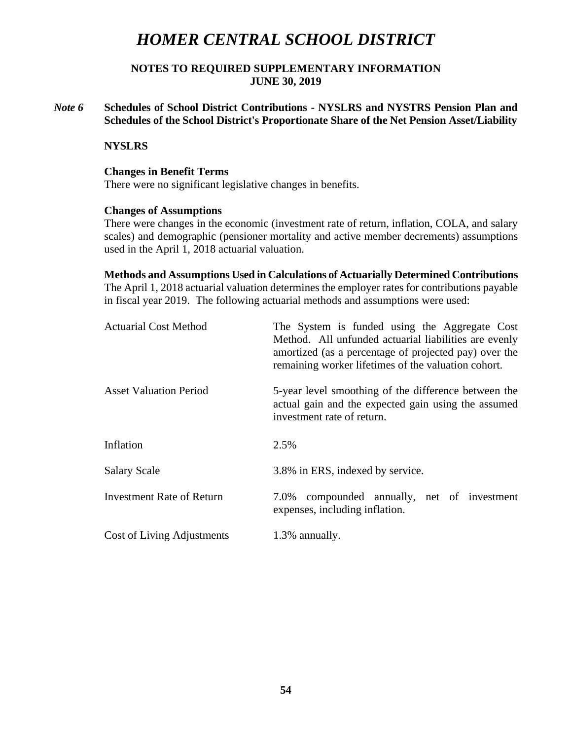## **NOTES TO REQUIRED SUPPLEMENTARY INFORMATION JUNE 30, 2019**

*Note 6* **Schedules of School District Contributions - NYSLRS and NYSTRS Pension Plan and Schedules of the School District's Proportionate Share of the Net Pension Asset/Liability** 

### **NYSLRS**

#### **Changes in Benefit Terms**

There were no significant legislative changes in benefits.

#### **Changes of Assumptions**

There were changes in the economic (investment rate of return, inflation, COLA, and salary scales) and demographic (pensioner mortality and active member decrements) assumptions used in the April 1, 2018 actuarial valuation.

**Methods and Assumptions Used in Calculations of Actuarially Determined Contributions** The April 1, 2018 actuarial valuation determines the employer rates for contributions payable in fiscal year 2019. The following actuarial methods and assumptions were used:

| <b>Actuarial Cost Method</b>     | The System is funded using the Aggregate Cost<br>Method. All unfunded actuarial liabilities are evenly<br>amortized (as a percentage of projected pay) over the<br>remaining worker lifetimes of the valuation cohort. |  |  |  |
|----------------------------------|------------------------------------------------------------------------------------------------------------------------------------------------------------------------------------------------------------------------|--|--|--|
| <b>Asset Valuation Period</b>    | 5-year level smoothing of the difference between the<br>actual gain and the expected gain using the assumed<br>investment rate of return.                                                                              |  |  |  |
| Inflation                        | 2.5%                                                                                                                                                                                                                   |  |  |  |
| <b>Salary Scale</b>              | 3.8% in ERS, indexed by service.                                                                                                                                                                                       |  |  |  |
| <b>Investment Rate of Return</b> | compounded annually, net of investment<br>7.0%<br>expenses, including inflation.                                                                                                                                       |  |  |  |
| Cost of Living Adjustments       | 1.3% annually.                                                                                                                                                                                                         |  |  |  |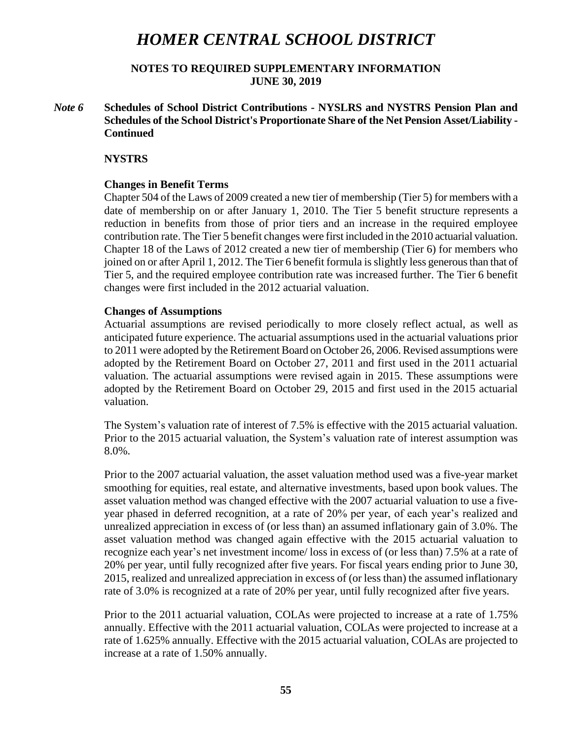**NOTES TO REQUIRED SUPPLEMENTARY INFORMATION JUNE 30, 2019**

*Note 6* **Schedules of School District Contributions - NYSLRS and NYSTRS Pension Plan and Schedules of the School District's Proportionate Share of the Net Pension Asset/Liability - Continued**

#### **NYSTRS**

#### **Changes in Benefit Terms**

Chapter 504 of the Laws of 2009 created a new tier of membership (Tier 5) for members with a date of membership on or after January 1, 2010. The Tier 5 benefit structure represents a reduction in benefits from those of prior tiers and an increase in the required employee contribution rate. The Tier 5 benefit changes were first included in the 2010 actuarial valuation. Chapter 18 of the Laws of 2012 created a new tier of membership (Tier 6) for members who joined on or after April 1, 2012. The Tier 6 benefit formula is slightly less generous than that of Tier 5, and the required employee contribution rate was increased further. The Tier 6 benefit changes were first included in the 2012 actuarial valuation.

#### **Changes of Assumptions**

Actuarial assumptions are revised periodically to more closely reflect actual, as well as anticipated future experience. The actuarial assumptions used in the actuarial valuations prior to 2011 were adopted by the Retirement Board on October 26, 2006. Revised assumptions were adopted by the Retirement Board on October 27, 2011 and first used in the 2011 actuarial valuation. The actuarial assumptions were revised again in 2015. These assumptions were adopted by the Retirement Board on October 29, 2015 and first used in the 2015 actuarial valuation.

The System's valuation rate of interest of 7.5% is effective with the 2015 actuarial valuation. Prior to the 2015 actuarial valuation, the System's valuation rate of interest assumption was 8.0%.

Prior to the 2007 actuarial valuation, the asset valuation method used was a five-year market smoothing for equities, real estate, and alternative investments, based upon book values. The asset valuation method was changed effective with the 2007 actuarial valuation to use a fiveyear phased in deferred recognition, at a rate of 20% per year, of each year's realized and unrealized appreciation in excess of (or less than) an assumed inflationary gain of 3.0%. The asset valuation method was changed again effective with the 2015 actuarial valuation to recognize each year's net investment income/ loss in excess of (or less than) 7.5% at a rate of 20% per year, until fully recognized after five years. For fiscal years ending prior to June 30, 2015, realized and unrealized appreciation in excess of (or less than) the assumed inflationary rate of 3.0% is recognized at a rate of 20% per year, until fully recognized after five years.

Prior to the 2011 actuarial valuation, COLAs were projected to increase at a rate of 1.75% annually. Effective with the 2011 actuarial valuation, COLAs were projected to increase at a rate of 1.625% annually. Effective with the 2015 actuarial valuation, COLAs are projected to increase at a rate of 1.50% annually.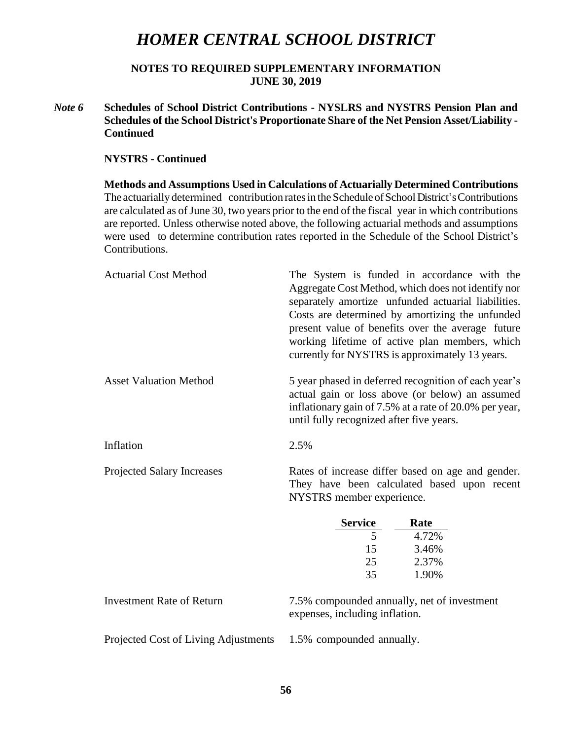**NOTES TO REQUIRED SUPPLEMENTARY INFORMATION JUNE 30, 2019**

*Note 6* **Schedules of School District Contributions - NYSLRS and NYSTRS Pension Plan and Schedules of the School District's Proportionate Share of the Net Pension Asset/Liability - Continued**

#### **NYSTRS - Continued**

**Methods and Assumptions Used in Calculations of Actuarially Determined Contributions** The actuarially determined contribution rates in the Schedule of School District's Contributions are calculated as of June 30, two years prior to the end of the fiscal year in which contributions are reported. Unless otherwise noted above, the following actuarial methods and assumptions were used to determine contribution rates reported in the Schedule of the School District's Contributions.

| <b>Actuarial Cost Method</b>      | The System is funded in accordance with the<br>Aggregate Cost Method, which does not identify nor<br>separately amortize unfunded actuarial liabilities.<br>Costs are determined by amortizing the unfunded<br>present value of benefits over the average future<br>working lifetime of active plan members, which<br>currently for NYSTRS is approximately 13 years. |  |  |
|-----------------------------------|-----------------------------------------------------------------------------------------------------------------------------------------------------------------------------------------------------------------------------------------------------------------------------------------------------------------------------------------------------------------------|--|--|
| <b>Asset Valuation Method</b>     | 5 year phased in deferred recognition of each year's<br>actual gain or loss above (or below) an assumed<br>inflationary gain of 7.5% at a rate of 20.0% per year,<br>until fully recognized after five years.                                                                                                                                                         |  |  |
| Inflation                         | 2.5%                                                                                                                                                                                                                                                                                                                                                                  |  |  |
| <b>Projected Salary Increases</b> | Rates of increase differ based on age and gender.<br>They have been calculated based upon recent<br>NYSTRS member experience.                                                                                                                                                                                                                                         |  |  |
|                                   | <b>Service</b><br>Rate                                                                                                                                                                                                                                                                                                                                                |  |  |
|                                   | $\overline{5}$<br>4.72%                                                                                                                                                                                                                                                                                                                                               |  |  |
|                                   | 3.46%<br>15                                                                                                                                                                                                                                                                                                                                                           |  |  |
|                                   | 25<br>2.37%<br>35<br>1.90%                                                                                                                                                                                                                                                                                                                                            |  |  |
|                                   |                                                                                                                                                                                                                                                                                                                                                                       |  |  |
|                                   |                                                                                                                                                                                                                                                                                                                                                                       |  |  |
| <b>Investment Rate of Return</b>  | 7.5% compounded annually, net of investment<br>expenses, including inflation.                                                                                                                                                                                                                                                                                         |  |  |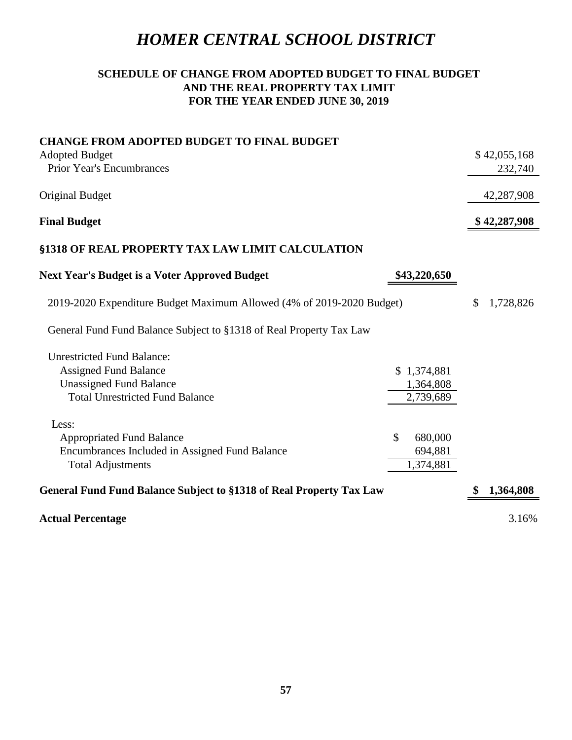# **SCHEDULE OF CHANGE FROM ADOPTED BUDGET TO FINAL BUDGET AND THE REAL PROPERTY TAX LIMIT FOR THE YEAR ENDED JUNE 30, 2019**

| <b>CHANGE FROM ADOPTED BUDGET TO FINAL BUDGET</b>                     |               |                 |
|-----------------------------------------------------------------------|---------------|-----------------|
| <b>Adopted Budget</b>                                                 |               | \$42,055,168    |
| <b>Prior Year's Encumbrances</b>                                      |               | 232,740         |
| Original Budget                                                       |               | 42,287,908      |
| <b>Final Budget</b>                                                   |               | \$42,287,908    |
| <b>§1318 OF REAL PROPERTY TAX LAW LIMIT CALCULATION</b>               |               |                 |
| <b>Next Year's Budget is a Voter Approved Budget</b>                  | \$43,220,650  |                 |
| 2019-2020 Expenditure Budget Maximum Allowed (4% of 2019-2020 Budget) |               | \$<br>1,728,826 |
| General Fund Fund Balance Subject to §1318 of Real Property Tax Law   |               |                 |
| <b>Unrestricted Fund Balance:</b>                                     |               |                 |
| <b>Assigned Fund Balance</b>                                          | \$1,374,881   |                 |
| <b>Unassigned Fund Balance</b>                                        | 1,364,808     |                 |
| <b>Total Unrestricted Fund Balance</b>                                | 2,739,689     |                 |
| Less:                                                                 |               |                 |
| <b>Appropriated Fund Balance</b>                                      | \$<br>680,000 |                 |
| Encumbrances Included in Assigned Fund Balance                        | 694,881       |                 |
| <b>Total Adjustments</b>                                              | 1,374,881     |                 |
| General Fund Fund Balance Subject to §1318 of Real Property Tax Law   |               | 1,364,808       |
| <b>Actual Percentage</b>                                              |               | 3.16%           |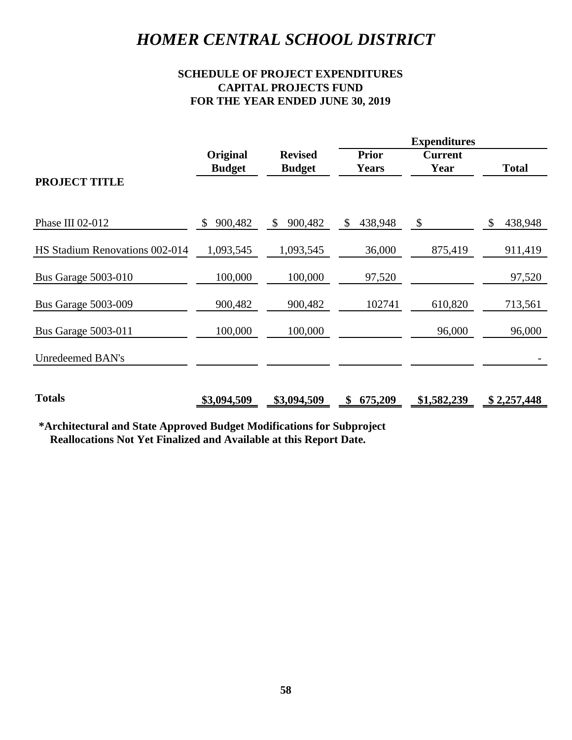# **SCHEDULE OF PROJECT EXPENDITURES CAPITAL PROJECTS FUND FOR THE YEAR ENDED JUNE 30, 2019**

|                                                                       | Original           | <b>Revised</b> | <b>Prior</b>  | <b>Current</b>            |               |
|-----------------------------------------------------------------------|--------------------|----------------|---------------|---------------------------|---------------|
| <b>PROJECT TITLE</b>                                                  | <b>Budget</b>      | <b>Budget</b>  | <b>Years</b>  | Year                      | <b>Total</b>  |
|                                                                       |                    |                |               |                           |               |
| Phase III 02-012                                                      | 900,482<br>\$      | \$900,482      | 438,948<br>\$ | $\boldsymbol{\mathsf{S}}$ | \$<br>438,948 |
| HS Stadium Renovations 002-014                                        | 1,093,545          | 1,093,545      | 36,000        | 875,419                   | 911,419       |
| <b>Bus Garage 5003-010</b>                                            | 100,000            | 100,000        | 97,520        |                           | 97,520        |
| <b>Bus Garage 5003-009</b>                                            | 900,482            | 900,482        | 102741        | 610,820                   | 713,561       |
| <b>Bus Garage 5003-011</b>                                            | 100,000            | 100,000        |               | 96,000                    | 96,000        |
| <b>Unredeemed BAN's</b>                                               |                    |                |               |                           |               |
| <b>Totals</b>                                                         | <u>\$3,094,509</u> | \$3,094,509    | 675,209<br>\$ | \$1,582,239               | \$2,257,448   |
| *Architectural and State Approved Budget Modifications for Subproject |                    |                |               |                           |               |
| Reallocations Not Yet Finalized and Available at this Report Date.    |                    |                |               |                           |               |
|                                                                       |                    |                |               |                           |               |
|                                                                       |                    |                |               |                           |               |
|                                                                       |                    |                |               |                           |               |
|                                                                       |                    |                |               |                           |               |
|                                                                       |                    |                |               |                           |               |
|                                                                       |                    |                |               |                           |               |
|                                                                       |                    |                |               |                           |               |
|                                                                       |                    |                |               |                           |               |
|                                                                       |                    |                |               |                           |               |
|                                                                       |                    |                |               |                           |               |
|                                                                       |                    | 58             |               |                           |               |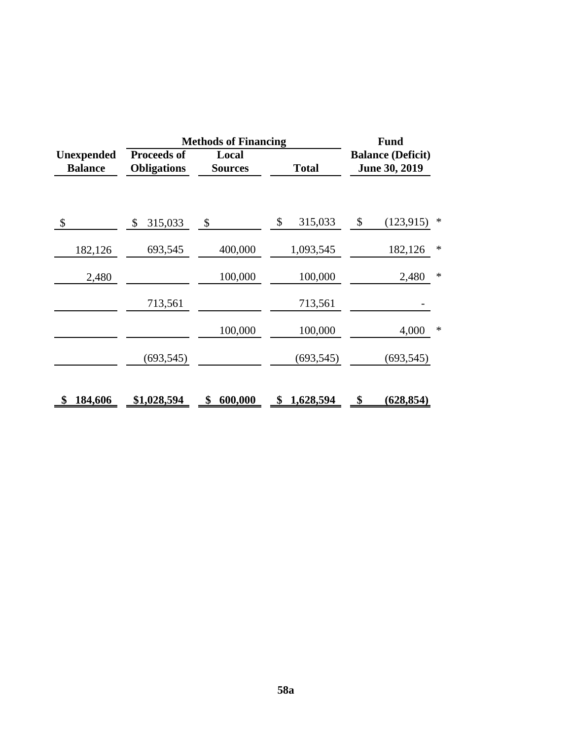|                                     | <b>Methods of Financing</b>              | <b>Fund</b>             |                                                           |                   |  |  |
|-------------------------------------|------------------------------------------|-------------------------|-----------------------------------------------------------|-------------------|--|--|
| <b>Unexpended</b><br><b>Balance</b> | <b>Proceeds of</b><br><b>Obligations</b> | Local<br><b>Sources</b> | <b>Balance (Deficit)</b><br>June 30, 2019<br><b>Total</b> |                   |  |  |
| \$                                  | 315,033<br>\$                            | \$                      | \$<br>315,033                                             | \$<br>(123, 915)  |  |  |
| 182,126                             | 693,545                                  | 400,000                 | 1,093,545                                                 | 182,126<br>$\ast$ |  |  |
| 2,480                               |                                          | 100,000                 | 100,000                                                   | $\ast$<br>2,480   |  |  |
|                                     | 713,561                                  |                         | 713,561                                                   |                   |  |  |
|                                     |                                          | 100,000                 | 100,000                                                   | 4,000<br>∗        |  |  |
|                                     | (693, 545)                               |                         | (693, 545)                                                | (693, 545)        |  |  |
| 184,606                             | \$1,028,594                              | 600,000                 | 1,628,594                                                 | (628, 854)        |  |  |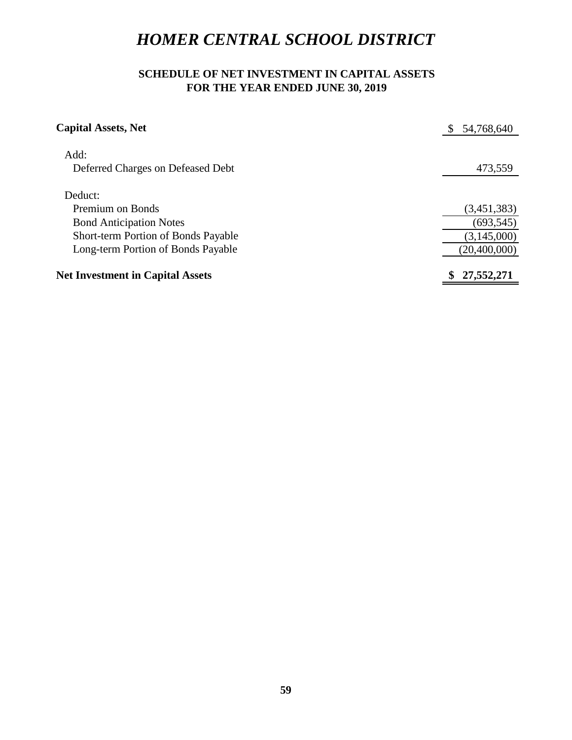# **SCHEDULE OF NET INVESTMENT IN CAPITAL ASSETS FOR THE YEAR ENDED JUNE 30, 2019**

| <b>Capital Assets, Net</b>                                                | \$ 54,768,640 |
|---------------------------------------------------------------------------|---------------|
| Add:<br>Deferred Charges on Defeased Debt                                 | 473,559       |
|                                                                           |               |
| Deduct:                                                                   |               |
| Premium on Bonds                                                          | (3,451,383)   |
| <b>Bond Anticipation Notes</b>                                            | (693, 545)    |
| Short-term Portion of Bonds Payable<br>Long-term Portion of Bonds Payable | (3,145,000)   |
|                                                                           | (20,400,000)  |
| <b>Net Investment in Capital Assets</b>                                   | \$27,552,271  |
|                                                                           |               |
|                                                                           |               |
|                                                                           |               |
|                                                                           |               |
|                                                                           |               |
|                                                                           |               |
|                                                                           |               |
|                                                                           |               |
|                                                                           |               |
|                                                                           |               |
|                                                                           |               |
|                                                                           |               |
|                                                                           |               |
|                                                                           |               |
|                                                                           |               |
|                                                                           |               |
|                                                                           |               |
|                                                                           |               |
|                                                                           |               |
|                                                                           |               |
|                                                                           |               |
|                                                                           |               |
| 59                                                                        |               |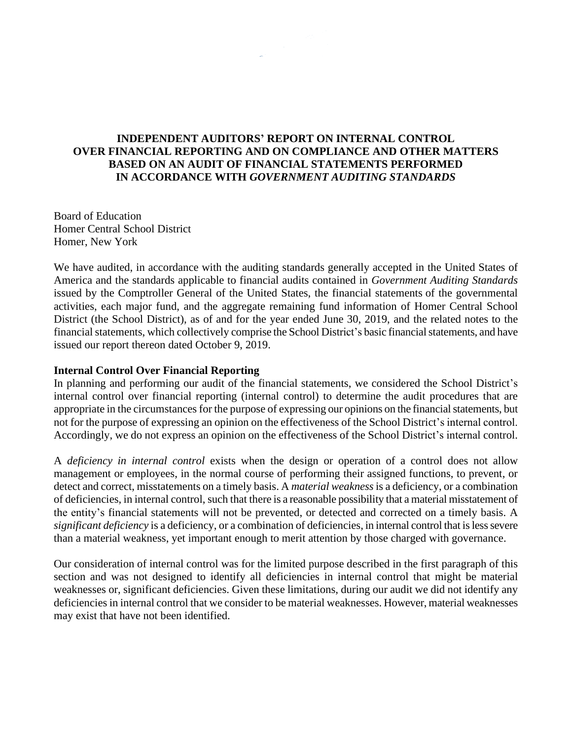# **INDEPENDENT AUDITORS' REPORT ON INTERNAL CONTROL OVER FINANCIAL REPORTING AND ON COMPLIANCE AND OTHER MATTERS BASED ON AN AUDIT OF FINANCIAL STATEMENTS PERFORMED IN ACCORDANCE WITH** *GOVERNMENT AUDITING STANDARDS*

Board of Education Homer Central School District Homer, New York

We have audited, in accordance with the auditing standards generally accepted in the United States of America and the standards applicable to financial audits contained in *Government Auditing Standards*  issued by the Comptroller General of the United States, the financial statements of the governmental activities, each major fund, and the aggregate remaining fund information of Homer Central School District (the School District), as of and for the year ended June 30, 2019, and the related notes to the financial statements, which collectively comprise the School District's basic financialstatements, and have issued our report thereon dated October 9, 2019.

#### **Internal Control Over Financial Reporting**

In planning and performing our audit of the financial statements, we considered the School District's internal control over financial reporting (internal control) to determine the audit procedures that are appropriate in the circumstances for the purpose of expressing our opinions on the financial statements, but not for the purpose of expressing an opinion on the effectiveness of the School District's internal control. Accordingly, we do not express an opinion on the effectiveness of the School District's internal control.

A *deficiency in internal control* exists when the design or operation of a control does not allow management or employees, in the normal course of performing their assigned functions, to prevent, or detect and correct, misstatements on a timely basis. A *material weakness*is a deficiency, or a combination of deficiencies, in internal control, such that there is a reasonable possibility that a material misstatement of the entity's financial statements will not be prevented, or detected and corrected on a timely basis. A *significant deficiency* is a deficiency, or a combination of deficiencies, in internal control that is less severe than a material weakness, yet important enough to merit attention by those charged with governance.

Our consideration of internal control was for the limited purpose described in the first paragraph of this section and was not designed to identify all deficiencies in internal control that might be material weaknesses or, significant deficiencies. Given these limitations, during our audit we did not identify any deficiencies in internal control that we consider to be material weaknesses. However, material weaknesses may exist that have not been identified.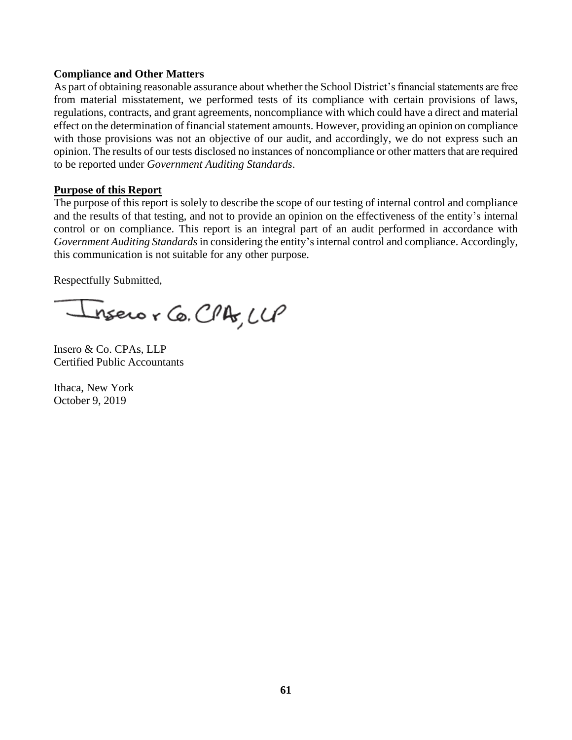## **Compliance and Other Matters**

As part of obtaining reasonable assurance about whether the School District's financial statements are free from material misstatement, we performed tests of its compliance with certain provisions of laws, regulations, contracts, and grant agreements, noncompliance with which could have a direct and material effect on the determination of financial statement amounts. However, providing an opinion on compliance with those provisions was not an objective of our audit, and accordingly, we do not express such an opinion. The results of our tests disclosed no instances of noncompliance or other matters that are required to be reported under *Government Auditing Standards*.

### **Purpose of this Report**

The purpose of this report is solely to describe the scope of our testing of internal control and compliance and the results of that testing, and not to provide an opinion on the effectiveness of the entity's internal control or on compliance. This report is an integral part of an audit performed in accordance with *Government Auditing Standards*in considering the entity's internal control and compliance. Accordingly, this communication is not suitable for any other purpose.

Respectfully Submitted,

nsero r Co. CPA, LLP

Insero & Co. CPAs, LLP Certified Public Accountants

Ithaca, New York October 9, 2019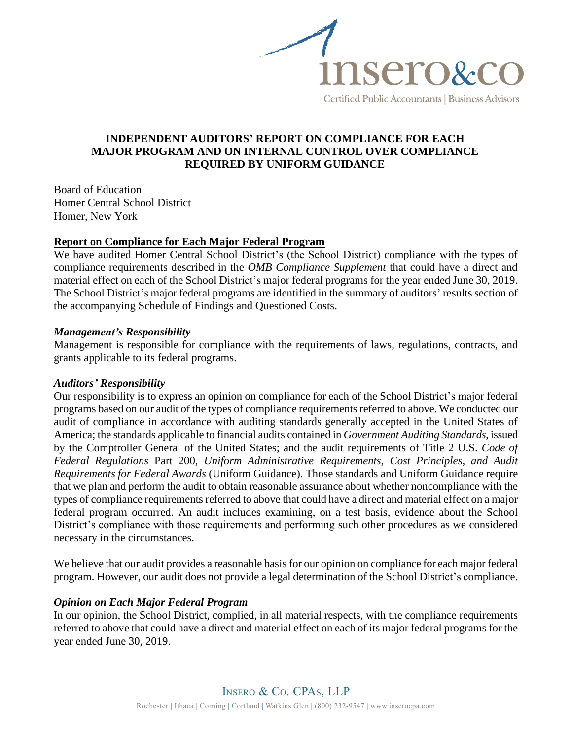

# **INDEPENDENT AUDITORS' REPORT ON COMPLIANCE FOR EACH MAJOR PROGRAM AND ON INTERNAL CONTROL OVER COMPLIANCE REQUIRED BY UNIFORM GUIDANCE**

Board of Education Homer Central School District Homer, New York

# **Report on Compliance for Each Major Federal Program**

We have audited Homer Central School District's (the School District) compliance with the types of compliance requirements described in the *OMB Compliance Supplement* that could have a direct and material effect on each of the School District's major federal programs for the year ended June 30, 2019. The School District's major federal programs are identified in the summary of auditors' results section of the accompanying Schedule of Findings and Questioned Costs.

# *Management's Responsibility*

Management is responsible for compliance with the requirements of laws, regulations, contracts, and grants applicable to its federal programs.

### *Auditors' Responsibility*

Our responsibility is to express an opinion on compliance for each of the School District's major federal programs based on our audit of the types of compliance requirements referred to above. We conducted our audit of compliance in accordance with auditing standards generally accepted in the United States of America; the standards applicable to financial audits contained in *Government Auditing Standards*, issued by the Comptroller General of the United States; and the audit requirements of Title 2 U.S. *Code of Federal Regulations* Part 200, *Uniform Administrative Requirements, Cost Principles, and Audit Requirements for Federal Awards* (Uniform Guidance). Those standards and Uniform Guidance require that we plan and perform the audit to obtain reasonable assurance about whether noncompliance with the types of compliance requirements referred to above that could have a direct and material effect on a major federal program occurred. An audit includes examining, on a test basis, evidence about the School District's compliance with those requirements and performing such other procedures as we considered necessary in the circumstances.

We believe that our audit provides a reasonable basis for our opinion on compliance for each major federal program. However, our audit does not provide a legal determination of the School District's compliance.

# *Opinion on Each Major Federal Program*

In our opinion, the School District, complied, in all material respects, with the compliance requirements referred to above that could have a direct and material effect on each of its major federal programs for the year ended June 30, 2019.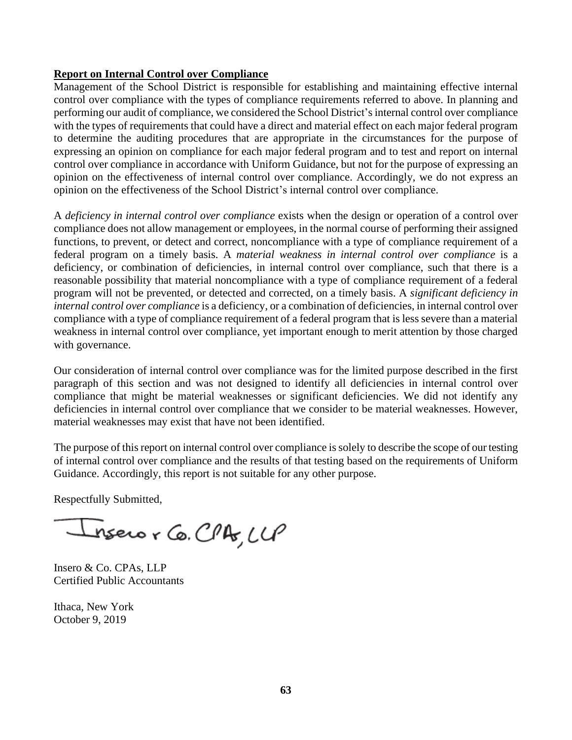# **Report on Internal Control over Compliance**

Management of the School District is responsible for establishing and maintaining effective internal control over compliance with the types of compliance requirements referred to above. In planning and performing our audit of compliance, we considered the School District's internal control over compliance with the types of requirements that could have a direct and material effect on each major federal program to determine the auditing procedures that are appropriate in the circumstances for the purpose of expressing an opinion on compliance for each major federal program and to test and report on internal control over compliance in accordance with Uniform Guidance, but not for the purpose of expressing an opinion on the effectiveness of internal control over compliance. Accordingly, we do not express an opinion on the effectiveness of the School District's internal control over compliance.

A *deficiency in internal control over compliance* exists when the design or operation of a control over compliance does not allow management or employees, in the normal course of performing their assigned functions, to prevent, or detect and correct, noncompliance with a type of compliance requirement of a federal program on a timely basis. A *material weakness in internal control over compliance* is a deficiency, or combination of deficiencies, in internal control over compliance, such that there is a reasonable possibility that material noncompliance with a type of compliance requirement of a federal program will not be prevented, or detected and corrected, on a timely basis. A *significant deficiency in internal control over compliance* is a deficiency, or a combination of deficiencies, in internal control over compliance with a type of compliance requirement of a federal program that is less severe than a material weakness in internal control over compliance, yet important enough to merit attention by those charged with governance.

Our consideration of internal control over compliance was for the limited purpose described in the first paragraph of this section and was not designed to identify all deficiencies in internal control over compliance that might be material weaknesses or significant deficiencies. We did not identify any deficiencies in internal control over compliance that we consider to be material weaknesses. However, material weaknesses may exist that have not been identified.

The purpose of this report on internal control over compliance is solely to describe the scope of our testing of internal control over compliance and the results of that testing based on the requirements of Uniform Guidance. Accordingly, this report is not suitable for any other purpose.

Respectfully Submitted,

Inseror Co. CPA, LLP

Insero & Co. CPAs, LLP Certified Public Accountants

Ithaca, New York October 9, 2019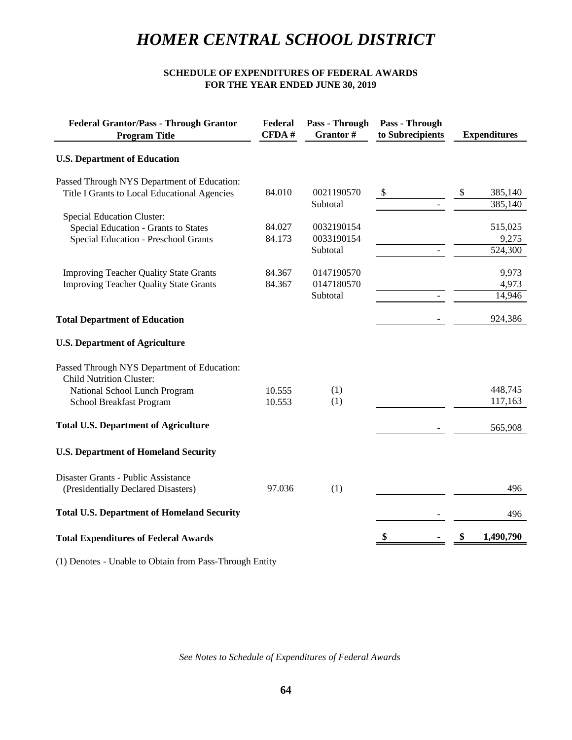#### **SCHEDULE OF EXPENDITURES OF FEDERAL AWARDS FOR THE YEAR ENDED JUNE 30, 2019**

| <b>Federal Grantor/Pass - Through Grantor</b><br><b>Program Title</b> | Federal<br>CFDA# | Pass - Through<br>Grantor# | Pass - Through<br>to Subrecipients | <b>Expenditures</b>      |
|-----------------------------------------------------------------------|------------------|----------------------------|------------------------------------|--------------------------|
| <b>U.S. Department of Education</b>                                   |                  |                            |                                    |                          |
| Passed Through NYS Department of Education:                           |                  |                            |                                    |                          |
| Title I Grants to Local Educational Agencies                          | 84.010           | 0021190570<br>Subtotal     | \$                                 | 385,140<br>\$<br>385,140 |
| <b>Special Education Cluster:</b>                                     |                  |                            |                                    |                          |
| Special Education - Grants to States                                  | 84.027           | 0032190154                 |                                    | 515,025                  |
| <b>Special Education - Preschool Grants</b>                           | 84.173           | 0033190154                 |                                    | 9,275                    |
|                                                                       |                  | Subtotal                   |                                    | 524,300                  |
| <b>Improving Teacher Quality State Grants</b>                         | 84.367           | 0147190570                 |                                    | 9,973                    |
| <b>Improving Teacher Quality State Grants</b>                         | 84.367           | 0147180570                 |                                    | 4,973                    |
|                                                                       |                  | Subtotal                   |                                    | 14,946                   |
| <b>Total Department of Education</b>                                  |                  |                            |                                    | 924,386                  |
| <b>U.S. Department of Agriculture</b>                                 |                  |                            |                                    |                          |
| Passed Through NYS Department of Education:                           |                  |                            |                                    |                          |
| <b>Child Nutrition Cluster:</b>                                       |                  |                            |                                    |                          |
| National School Lunch Program                                         | 10.555           | (1)                        |                                    | 448,745                  |
| School Breakfast Program                                              | 10.553           | (1)                        |                                    | 117,163                  |
| <b>Total U.S. Department of Agriculture</b>                           |                  |                            |                                    | 565,908                  |
| <b>U.S. Department of Homeland Security</b>                           |                  |                            |                                    |                          |
| Disaster Grants - Public Assistance                                   |                  |                            |                                    |                          |
| (Presidentially Declared Disasters)                                   | 97.036           | (1)                        |                                    | 496                      |
| <b>Total U.S. Department of Homeland Security</b>                     |                  |                            |                                    | 496                      |
| <b>Total Expenditures of Federal Awards</b>                           |                  |                            |                                    | 1,490,790                |
|                                                                       |                  |                            |                                    |                          |

(1) Denotes - Unable to Obtain from Pass-Through Entity

*See Notes to Schedule of Expenditures of Federal Awards*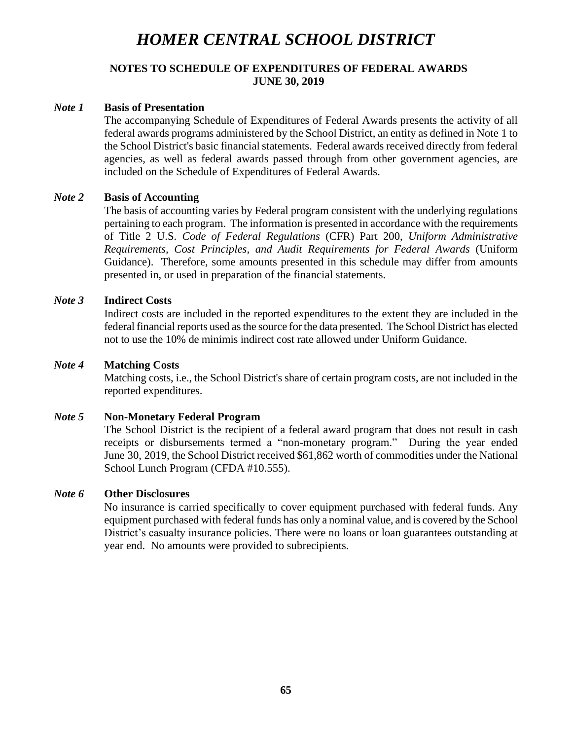## **NOTES TO SCHEDULE OF EXPENDITURES OF FEDERAL AWARDS JUNE 30, 2019**

### *Note 1* **Basis of Presentation**

The accompanying Schedule of Expenditures of Federal Awards presents the activity of all federal awards programs administered by the School District, an entity as defined in Note 1 to the School District's basic financial statements. Federal awards received directly from federal agencies, as well as federal awards passed through from other government agencies, are included on the Schedule of Expenditures of Federal Awards.

### *Note 2* **Basis of Accounting**

The basis of accounting varies by Federal program consistent with the underlying regulations pertaining to each program. The information is presented in accordance with the requirements of Title 2 U.S. *Code of Federal Regulations* (CFR) Part 200, *Uniform Administrative Requirements, Cost Principles, and Audit Requirements for Federal Awards* (Uniform Guidance). Therefore, some amounts presented in this schedule may differ from amounts presented in, or used in preparation of the financial statements.

#### *Note 3* **Indirect Costs**

Indirect costs are included in the reported expenditures to the extent they are included in the federal financial reports used as the source for the data presented. The School District has elected not to use the 10% de minimis indirect cost rate allowed under Uniform Guidance.

#### *Note 4* **Matching Costs**

Matching costs, i.e., the School District's share of certain program costs, are not included in the reported expenditures.

#### *Note 5* **Non-Monetary Federal Program**

The School District is the recipient of a federal award program that does not result in cash receipts or disbursements termed a "non-monetary program." During the year ended June 30, 2019, the School District received \$61,862 worth of commodities under the National School Lunch Program (CFDA #10.555).

#### *Note 6* **Other Disclosures**

No insurance is carried specifically to cover equipment purchased with federal funds. Any equipment purchased with federal funds has only a nominal value, and is covered by the School District's casualty insurance policies. There were no loans or loan guarantees outstanding at year end. No amounts were provided to subrecipients.